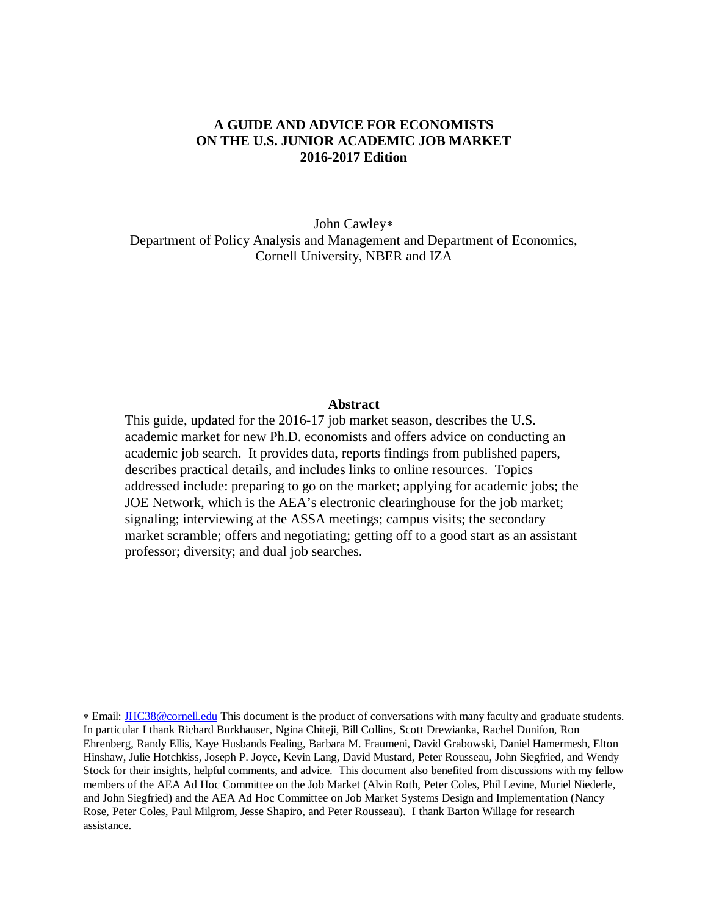# **A GUIDE AND ADVICE FOR ECONOMISTS ON THE U.S. JUNIOR ACADEMIC JOB MARKET 2016-2017 Edition**

John Cawley[∗](#page-0-0) Department of Policy Analysis and Management and Department of Economics, Cornell University, NBER and IZA

#### **Abstract**

This guide, updated for the 2016-17 job market season, describes the U.S. academic market for new Ph.D. economists and offers advice on conducting an academic job search. It provides data, reports findings from published papers, describes practical details, and includes links to online resources. Topics addressed include: preparing to go on the market; applying for academic jobs; the JOE Network, which is the AEA's electronic clearinghouse for the job market; signaling; interviewing at the ASSA meetings; campus visits; the secondary market scramble; offers and negotiating; getting off to a good start as an assistant professor; diversity; and dual job searches.

 $\overline{a}$ 

<span id="page-0-0"></span><sup>∗</sup> Email: [JHC38@cornell.edu](mailto:JHC38@cornell.edu) This document is the product of conversations with many faculty and graduate students. In particular I thank Richard Burkhauser, Ngina Chiteji, Bill Collins, Scott Drewianka, Rachel Dunifon, Ron Ehrenberg, Randy Ellis, Kaye Husbands Fealing, Barbara M. Fraumeni, David Grabowski, Daniel Hamermesh, Elton Hinshaw, Julie Hotchkiss, Joseph P. Joyce, Kevin Lang, David Mustard, Peter Rousseau, John Siegfried, and Wendy Stock for their insights, helpful comments, and advice. This document also benefited from discussions with my fellow members of the AEA Ad Hoc Committee on the Job Market (Alvin Roth, Peter Coles, Phil Levine, Muriel Niederle, and John Siegfried) and the AEA Ad Hoc Committee on Job Market Systems Design and Implementation (Nancy Rose, Peter Coles, Paul Milgrom, Jesse Shapiro, and Peter Rousseau). I thank Barton Willage for research assistance.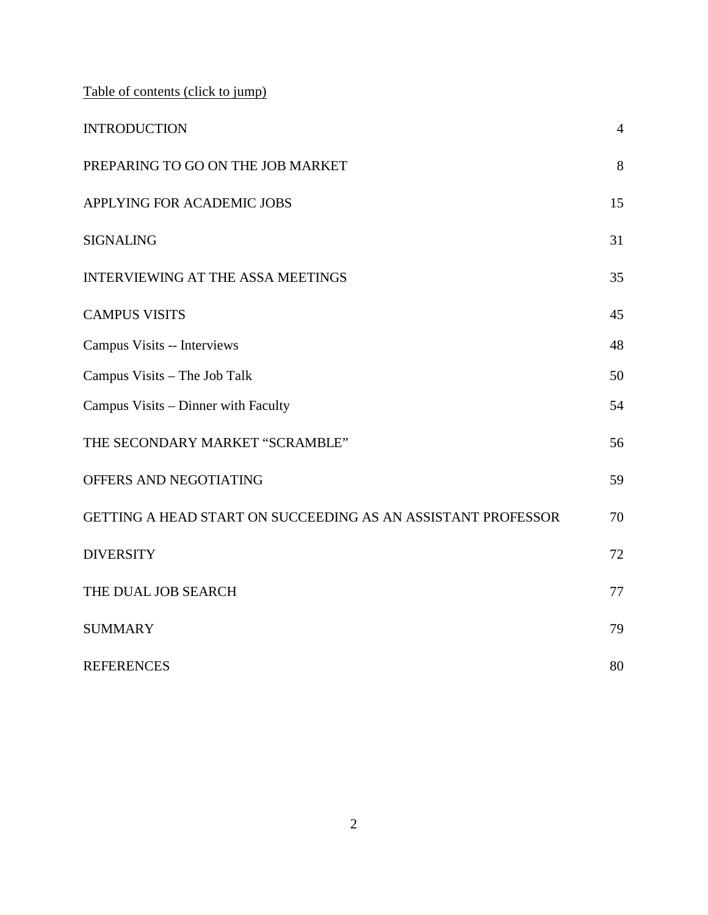Table of contents (click to jump)

| <b>INTRODUCTION</b>                                          | $\overline{4}$ |
|--------------------------------------------------------------|----------------|
| PREPARING TO GO ON THE JOB MARKET                            | 8              |
| APPLYING FOR ACADEMIC JOBS                                   | 15             |
| <b>SIGNALING</b>                                             | 31             |
| <b>INTERVIEWING AT THE ASSA MEETINGS</b>                     | 35             |
| <b>CAMPUS VISITS</b>                                         | 45             |
| Campus Visits -- Interviews                                  | 48             |
| Campus Visits - The Job Talk                                 | 50             |
| Campus Visits – Dinner with Faculty                          | 54             |
| THE SECONDARY MARKET "SCRAMBLE"                              | 56             |
| OFFERS AND NEGOTIATING                                       | 59             |
| GETTING A HEAD START ON SUCCEEDING AS AN ASSISTANT PROFESSOR | 70             |
| <b>DIVERSITY</b>                                             | 72             |
| THE DUAL JOB SEARCH                                          | 77             |
| <b>SUMMARY</b>                                               | 79             |
| <b>REFERENCES</b>                                            | 80             |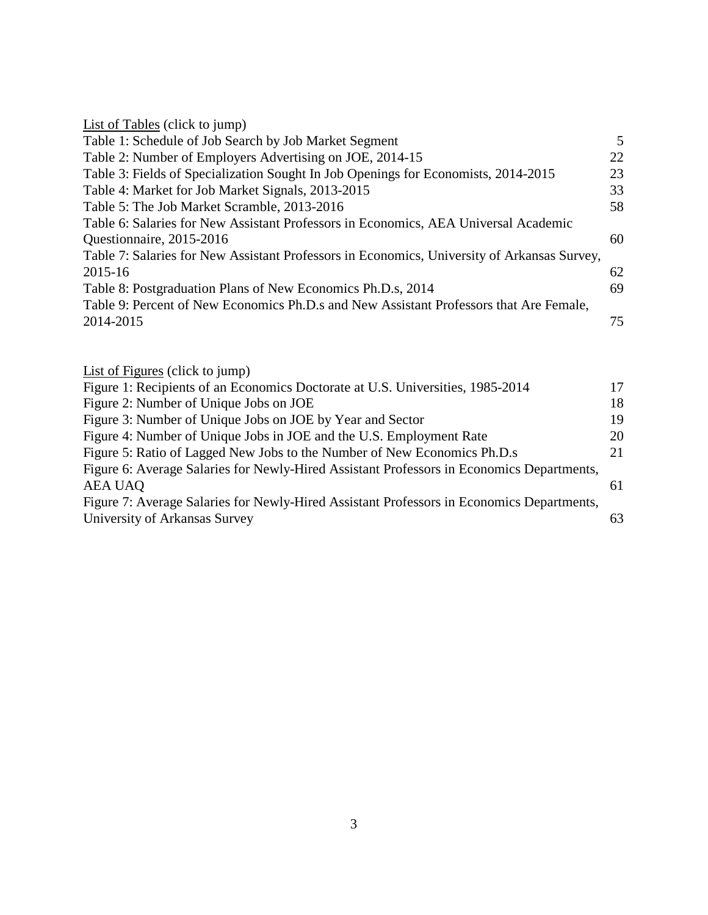| List of Tables (click to jump)                                                              |    |
|---------------------------------------------------------------------------------------------|----|
| Table 1: Schedule of Job Search by Job Market Segment                                       | 5  |
| Table 2: Number of Employers Advertising on JOE, 2014-15                                    | 22 |
| Table 3: Fields of Specialization Sought In Job Openings for Economists, 2014-2015          | 23 |
| Table 4: Market for Job Market Signals, 2013-2015                                           | 33 |
| Table 5: The Job Market Scramble, 2013-2016                                                 | 58 |
| Table 6: Salaries for New Assistant Professors in Economics, AEA Universal Academic         |    |
| Questionnaire, 2015-2016                                                                    | 60 |
| Table 7: Salaries for New Assistant Professors in Economics, University of Arkansas Survey, |    |
| 2015-16                                                                                     | 62 |
| Table 8: Postgraduation Plans of New Economics Ph.D.s, 2014                                 | 69 |
| Table 9: Percent of New Economics Ph.D.s and New Assistant Professors that Are Female,      |    |
| 2014-2015                                                                                   | 75 |
|                                                                                             |    |
|                                                                                             |    |

| List of Figures (click to jump)                                                           |    |
|-------------------------------------------------------------------------------------------|----|
| Figure 1: Recipients of an Economics Doctorate at U.S. Universities, 1985-2014            | 17 |
| Figure 2: Number of Unique Jobs on JOE                                                    | 18 |
| Figure 3: Number of Unique Jobs on JOE by Year and Sector                                 | 19 |
| Figure 4: Number of Unique Jobs in JOE and the U.S. Employment Rate                       | 20 |
| Figure 5: Ratio of Lagged New Jobs to the Number of New Economics Ph.D.s.                 | 21 |
| Figure 6: Average Salaries for Newly-Hired Assistant Professors in Economics Departments, |    |
| AEA UAQ                                                                                   | 61 |
| Figure 7: Average Salaries for Newly-Hired Assistant Professors in Economics Departments, |    |
| University of Arkansas Survey                                                             | 63 |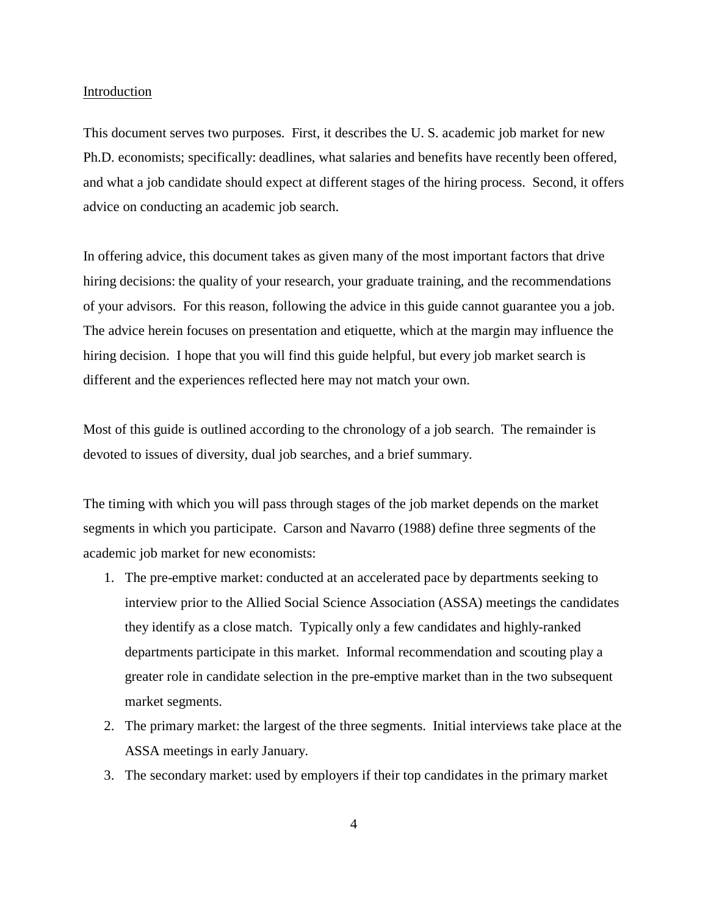### <span id="page-3-0"></span>Introduction

This document serves two purposes. First, it describes the U. S. academic job market for new Ph.D. economists; specifically: deadlines, what salaries and benefits have recently been offered, and what a job candidate should expect at different stages of the hiring process. Second, it offers advice on conducting an academic job search.

In offering advice, this document takes as given many of the most important factors that drive hiring decisions: the quality of your research, your graduate training, and the recommendations of your advisors. For this reason, following the advice in this guide cannot guarantee you a job. The advice herein focuses on presentation and etiquette, which at the margin may influence the hiring decision. I hope that you will find this guide helpful, but every job market search is different and the experiences reflected here may not match your own.

Most of this guide is outlined according to the chronology of a job search. The remainder is devoted to issues of diversity, dual job searches, and a brief summary.

The timing with which you will pass through stages of the job market depends on the market segments in which you participate. Carson and Navarro (1988) define three segments of the academic job market for new economists:

- 1. The pre-emptive market: conducted at an accelerated pace by departments seeking to interview prior to the Allied Social Science Association (ASSA) meetings the candidates they identify as a close match. Typically only a few candidates and highly-ranked departments participate in this market. Informal recommendation and scouting play a greater role in candidate selection in the pre-emptive market than in the two subsequent market segments.
- 2. The primary market: the largest of the three segments. Initial interviews take place at the ASSA meetings in early January.
- 3. The secondary market: used by employers if their top candidates in the primary market

4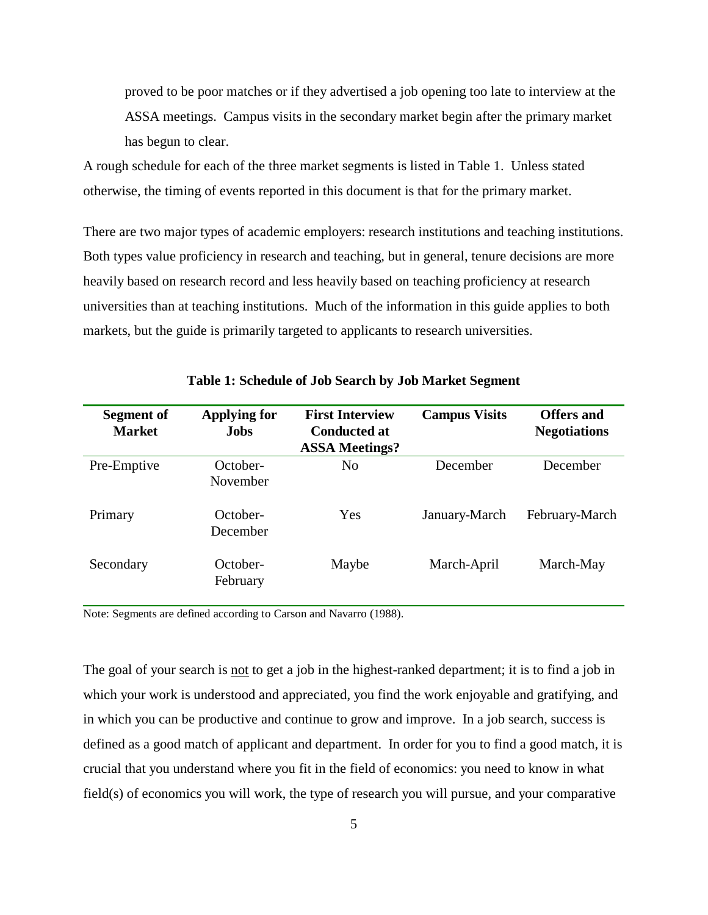proved to be poor matches or if they advertised a job opening too late to interview at the ASSA meetings. Campus visits in the secondary market begin after the primary market has begun to clear.

A rough schedule for each of the three market segments is listed in Table 1. Unless stated otherwise, the timing of events reported in this document is that for the primary market.

There are two major types of academic employers: research institutions and teaching institutions. Both types value proficiency in research and teaching, but in general, tenure decisions are more heavily based on research record and less heavily based on teaching proficiency at research universities than at teaching institutions. Much of the information in this guide applies to both markets, but the guide is primarily targeted to applicants to research universities.

<span id="page-4-0"></span>

| <b>Segment of</b><br><b>Market</b> | <b>Applying for</b><br><b>Jobs</b> | <b>First Interview</b><br><b>Conducted at</b> | <b>Campus Visits</b> | <b>Offers and</b><br><b>Negotiations</b> |
|------------------------------------|------------------------------------|-----------------------------------------------|----------------------|------------------------------------------|
|                                    |                                    | <b>ASSA Meetings?</b>                         |                      |                                          |
| Pre-Emptive                        | October-<br>November               | N <sub>0</sub>                                | December             | December                                 |
| Primary                            | October-<br>December               | Yes                                           | January-March        | February-March                           |
| Secondary                          | October-<br>February               | Maybe                                         | March-April          | March-May                                |

#### **Table 1: Schedule of Job Search by Job Market Segment**

Note: Segments are defined according to Carson and Navarro (1988).

The goal of your search is not to get a job in the highest-ranked department; it is to find a job in which your work is understood and appreciated, you find the work enjoyable and gratifying, and in which you can be productive and continue to grow and improve. In a job search, success is defined as a good match of applicant and department. In order for you to find a good match, it is crucial that you understand where you fit in the field of economics: you need to know in what field(s) of economics you will work, the type of research you will pursue, and your comparative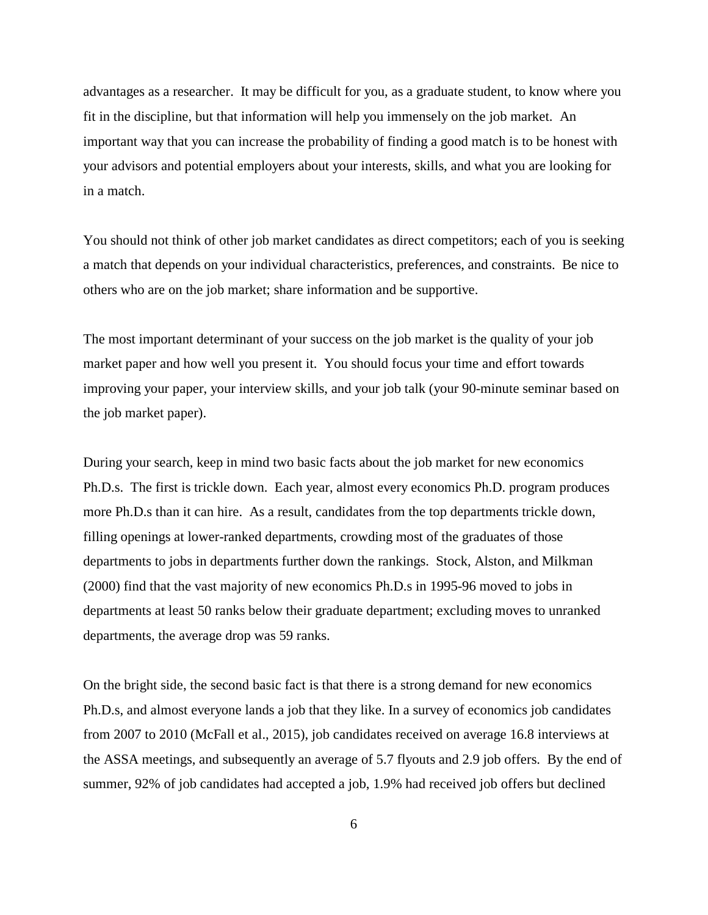advantages as a researcher. It may be difficult for you, as a graduate student, to know where you fit in the discipline, but that information will help you immensely on the job market. An important way that you can increase the probability of finding a good match is to be honest with your advisors and potential employers about your interests, skills, and what you are looking for in a match.

You should not think of other job market candidates as direct competitors; each of you is seeking a match that depends on your individual characteristics, preferences, and constraints. Be nice to others who are on the job market; share information and be supportive.

The most important determinant of your success on the job market is the quality of your job market paper and how well you present it. You should focus your time and effort towards improving your paper, your interview skills, and your job talk (your 90-minute seminar based on the job market paper).

During your search, keep in mind two basic facts about the job market for new economics Ph.D.s. The first is trickle down. Each year, almost every economics Ph.D. program produces more Ph.D.s than it can hire. As a result, candidates from the top departments trickle down, filling openings at lower-ranked departments, crowding most of the graduates of those departments to jobs in departments further down the rankings. Stock, Alston, and Milkman (2000) find that the vast majority of new economics Ph.D.s in 1995-96 moved to jobs in departments at least 50 ranks below their graduate department; excluding moves to unranked departments, the average drop was 59 ranks.

On the bright side, the second basic fact is that there is a strong demand for new economics Ph.D.s, and almost everyone lands a job that they like. In a survey of economics job candidates from 2007 to 2010 (McFall et al., 2015), job candidates received on average 16.8 interviews at the ASSA meetings, and subsequently an average of 5.7 flyouts and 2.9 job offers. By the end of summer, 92% of job candidates had accepted a job, 1.9% had received job offers but declined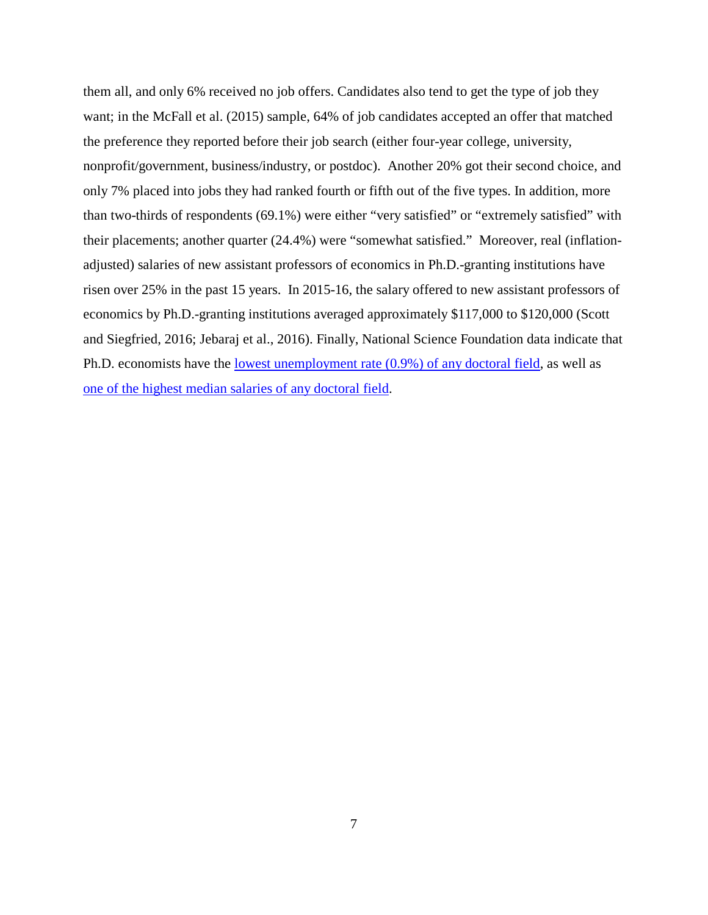them all, and only 6% received no job offers. Candidates also tend to get the type of job they want; in the McFall et al. (2015) sample, 64% of job candidates accepted an offer that matched the preference they reported before their job search (either four-year college, university, nonprofit/government, business/industry, or postdoc). Another 20% got their second choice, and only 7% placed into jobs they had ranked fourth or fifth out of the five types. In addition, more than two-thirds of respondents (69.1%) were either "very satisfied" or "extremely satisfied" with their placements; another quarter (24.4%) were "somewhat satisfied." Moreover, real (inflationadjusted) salaries of new assistant professors of economics in Ph.D.-granting institutions have risen over 25% in the past 15 years. In 2015-16, the salary offered to new assistant professors of economics by Ph.D.-granting institutions averaged approximately \$117,000 to \$120,000 (Scott and Siegfried, 2016; Jebaraj et al., 2016). Finally, National Science Foundation data indicate that Ph.D. economists have the [lowest unemployment rate \(0.9%\) of any doctoral field,](https://ncsesdata.nsf.gov/doctoratework/2010/html/SDR2010_DST4_1.html) as well as [one of the highest median salaries of any doctoral field.](https://ncsesdata.nsf.gov/doctoratework/2010/html/SDR2010_DST50.html)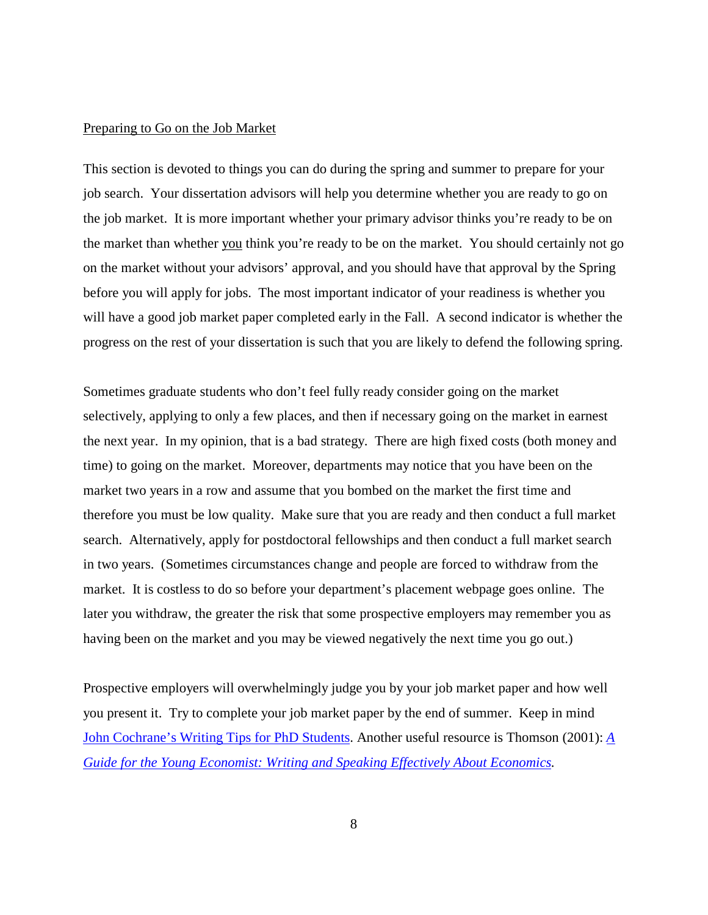### <span id="page-7-0"></span>Preparing to Go on the Job Market

This section is devoted to things you can do during the spring and summer to prepare for your job search. Your dissertation advisors will help you determine whether you are ready to go on the job market. It is more important whether your primary advisor thinks you're ready to be on the market than whether you think you're ready to be on the market. You should certainly not go on the market without your advisors' approval, and you should have that approval by the Spring before you will apply for jobs. The most important indicator of your readiness is whether you will have a good job market paper completed early in the Fall. A second indicator is whether the progress on the rest of your dissertation is such that you are likely to defend the following spring.

Sometimes graduate students who don't feel fully ready consider going on the market selectively, applying to only a few places, and then if necessary going on the market in earnest the next year. In my opinion, that is a bad strategy. There are high fixed costs (both money and time) to going on the market. Moreover, departments may notice that you have been on the market two years in a row and assume that you bombed on the market the first time and therefore you must be low quality. Make sure that you are ready and then conduct a full market search. Alternatively, apply for postdoctoral fellowships and then conduct a full market search in two years. (Sometimes circumstances change and people are forced to withdraw from the market. It is costless to do so before your department's placement webpage goes online. The later you withdraw, the greater the risk that some prospective employers may remember you as having been on the market and you may be viewed negatively the next time you go out.)

Prospective employers will overwhelmingly judge you by your job market paper and how well you present it. Try to complete your job market paper by the end of summer. Keep in mind [John Cochrane's Writing Tips for PhD Students.](http://faculty.chicagobooth.edu/john.cochrane/research/papers/phd_paper_writing.pdf) Another useful resource is Thomson (2001): *[A](https://www.amazon.com/Guide-Young-Economist-William-Thomson/dp/0262700794/ref=sr_1_3?ie=UTF8&qid=1479318555&sr=8-3&keywords=young+economist)  [Guide for the Young Economist: Writing and Speaking Effectively About Economics.](https://www.amazon.com/Guide-Young-Economist-William-Thomson/dp/0262700794/ref=sr_1_3?ie=UTF8&qid=1479318555&sr=8-3&keywords=young+economist)*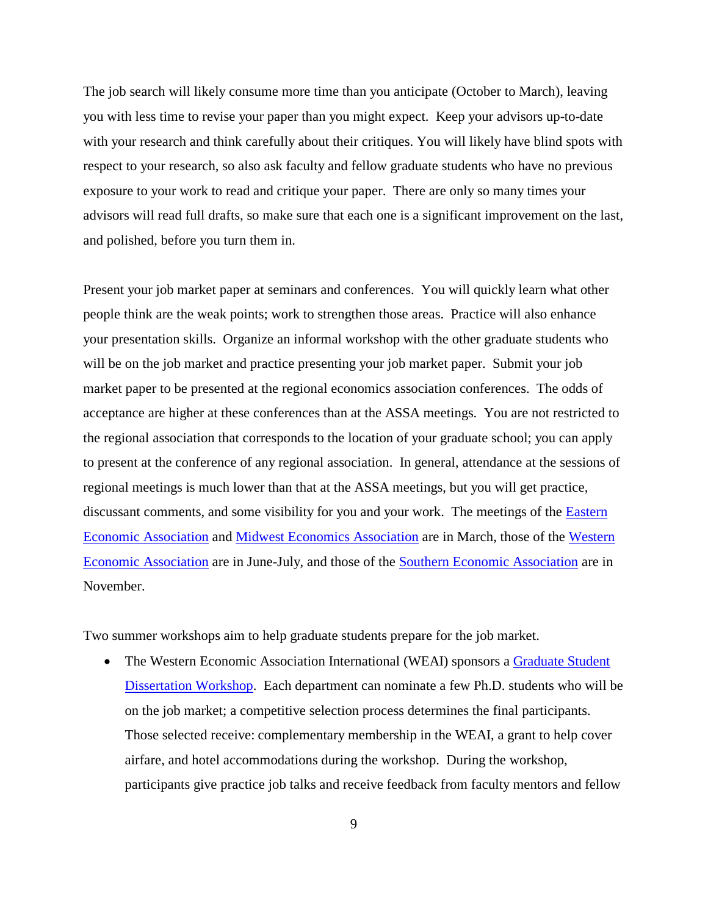The job search will likely consume more time than you anticipate (October to March), leaving you with less time to revise your paper than you might expect. Keep your advisors up-to-date with your research and think carefully about their critiques. You will likely have blind spots with respect to your research, so also ask faculty and fellow graduate students who have no previous exposure to your work to read and critique your paper. There are only so many times your advisors will read full drafts, so make sure that each one is a significant improvement on the last, and polished, before you turn them in.

Present your job market paper at seminars and conferences. You will quickly learn what other people think are the weak points; work to strengthen those areas. Practice will also enhance your presentation skills. Organize an informal workshop with the other graduate students who will be on the job market and practice presenting your job market paper. Submit your job market paper to be presented at the regional economics association conferences. The odds of acceptance are higher at these conferences than at the ASSA meetings. You are not restricted to the regional association that corresponds to the location of your graduate school; you can apply to present at the conference of any regional association. In general, attendance at the sessions of regional meetings is much lower than that at the ASSA meetings, but you will get practice, discussant comments, and some visibility for you and your work. The meetings of the [Eastern](http://www.easterneconomicassociation.org/conferences.html)  [Economic Association](http://www.easterneconomicassociation.org/conferences.html) and [Midwest Economics Association](http://mea.grinnell.edu/conferences) are in March, those of the [Western](http://www.weai.org/conferences.html)  [Economic Association](http://www.weai.org/conferences.html) are in June-July, and those of the [Southern Economic Association](https://www.southerneconomic.org/conference/) are in November.

Two summer workshops aim to help graduate students prepare for the job market.

• The Western Economic Association International (WEAI) sponsors a Graduate Student [Dissertation Workshop.](http://www.weai.org/gsw) Each department can nominate a few Ph.D. students who will be on the job market; a competitive selection process determines the final participants. Those selected receive: complementary membership in the WEAI, a grant to help cover airfare, and hotel accommodations during the workshop. During the workshop, participants give practice job talks and receive feedback from faculty mentors and fellow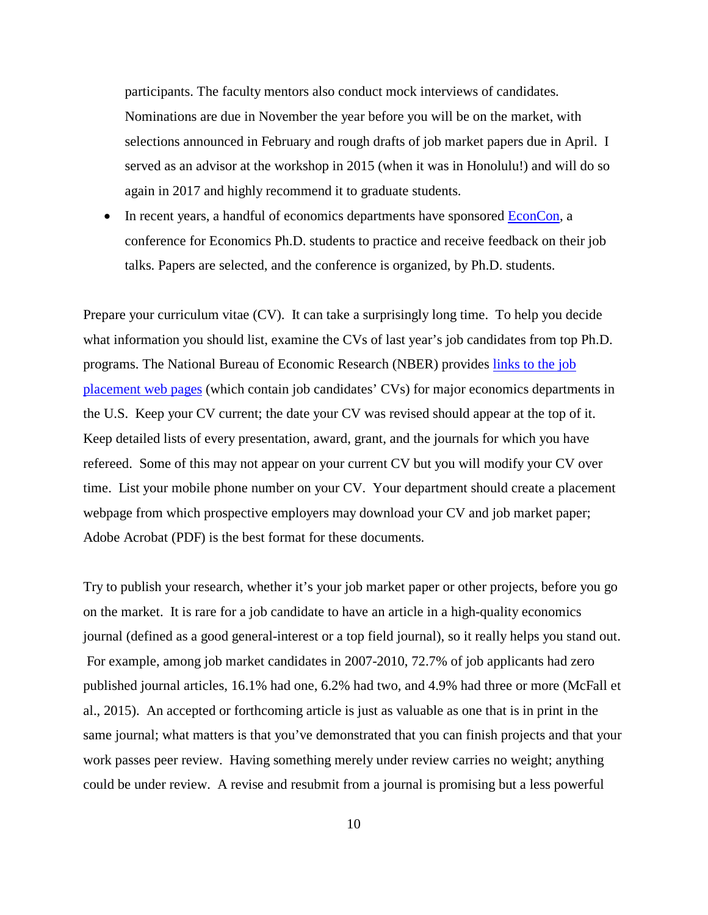participants. The faculty mentors also conduct mock interviews of candidates. Nominations are due in November the year before you will be on the market, with selections announced in February and rough drafts of job market papers due in April. I served as an advisor at the workshop in 2015 (when it was in Honolulu!) and will do so again in 2017 and highly recommend it to graduate students.

• In recent years, a handful of economics departments have sponsored [EconCon,](http://www.princeton.edu/%7Eeconcon/) a conference for Economics Ph.D. students to practice and receive feedback on their job talks. Papers are selected, and the conference is organized, by Ph.D. students.

Prepare your curriculum vitae (CV). It can take a surprisingly long time. To help you decide what information you should list, examine the CVs of last year's job candidates from top Ph.D. programs. The National Bureau of Economic Research (NBER) provides [links to the job](http://www.nber.org/candidates/)  [placement web pages](http://www.nber.org/candidates/) (which contain job candidates' CVs) for major economics departments in the U.S. Keep your CV current; the date your CV was revised should appear at the top of it. Keep detailed lists of every presentation, award, grant, and the journals for which you have refereed. Some of this may not appear on your current CV but you will modify your CV over time. List your mobile phone number on your CV. Your department should create a placement webpage from which prospective employers may download your CV and job market paper; Adobe Acrobat (PDF) is the best format for these documents.

Try to publish your research, whether it's your job market paper or other projects, before you go on the market. It is rare for a job candidate to have an article in a high-quality economics journal (defined as a good general-interest or a top field journal), so it really helps you stand out. For example, among job market candidates in 2007-2010, 72.7% of job applicants had zero published journal articles, 16.1% had one, 6.2% had two, and 4.9% had three or more (McFall et al., 2015). An accepted or forthcoming article is just as valuable as one that is in print in the same journal; what matters is that you've demonstrated that you can finish projects and that your work passes peer review. Having something merely under review carries no weight; anything could be under review. A revise and resubmit from a journal is promising but a less powerful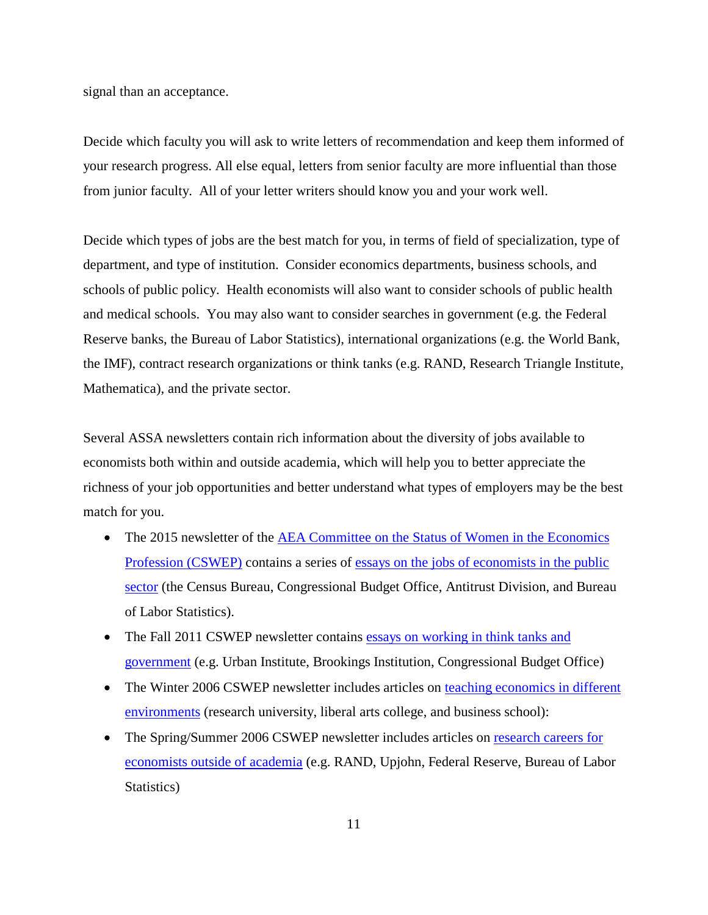signal than an acceptance.

Decide which faculty you will ask to write letters of recommendation and keep them informed of your research progress. All else equal, letters from senior faculty are more influential than those from junior faculty. All of your letter writers should know you and your work well.

Decide which types of jobs are the best match for you, in terms of field of specialization, type of department, and type of institution. Consider economics departments, business schools, and schools of public policy. Health economists will also want to consider schools of public health and medical schools. You may also want to consider searches in government (e.g. the Federal Reserve banks, the Bureau of Labor Statistics), international organizations (e.g. the World Bank, the IMF), contract research organizations or think tanks (e.g. RAND, Research Triangle Institute, Mathematica), and the private sector.

Several ASSA newsletters contain rich information about the diversity of jobs available to economists both within and outside academia, which will help you to better appreciate the richness of your job opportunities and better understand what types of employers may be the best match for you.

- The 2015 newsletter of the AEA Committee on the Status of Women in the Economics [Profession \(CSWEP\)](https://www.aeaweb.org/about-aea/committees/cswep) contains a series of [essays on the jobs of economists in the public](https://www.aeaweb.org/content/file?id=1914)  [sector](https://www.aeaweb.org/content/file?id=1914) (the Census Bureau, Congressional Budget Office, Antitrust Division, and Bureau of Labor Statistics).
- The Fall 2011 CSWEP newsletter contains essays on working in think tanks and [government](https://www.aeaweb.org/content/file?id=503) (e.g. Urban Institute, Brookings Institution, Congressional Budget Office)
- The Winter 2006 CSWEP newsletter includes articles on teaching economics in different [environments](https://www.aeaweb.org/content/file?id=580) (research university, liberal arts college, and business school):
- The Spring/Summer 2006 CSWEP newsletter includes articles on research careers for [economists outside of academia](https://www.aeaweb.org/content/file?id=562) (e.g. RAND, Upjohn, Federal Reserve, Bureau of Labor Statistics)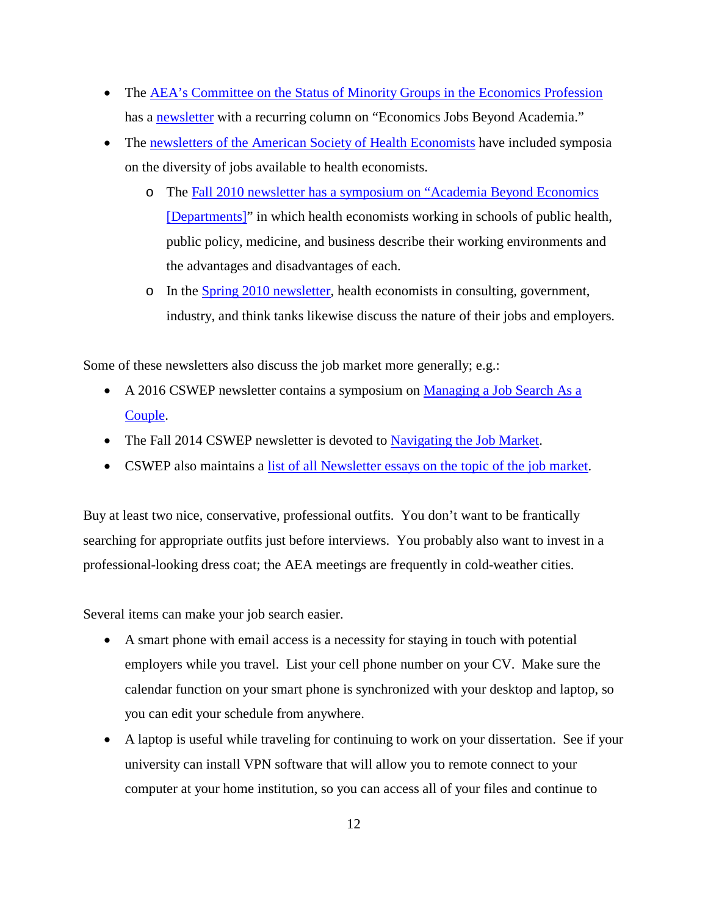- The [AEA's Committee on the Status of Minority Groups in the Economics Profession](https://www.aeaweb.org/about-aea/committees/csmgep) has a [newsletter](https://www.aeaweb.org/about-aea/committees/csmgep/resources) with a recurring column on "Economics Jobs Beyond Academia."
- The [newsletters of the American Society of Health Economists](http://ashecon.org/newsletter/) have included symposia on the diversity of jobs available to health economists.
	- o The Fall 2010 newsletter [has a symposium on "Academia Beyond Economics](http://ashecon.org/wp-content/uploads/2010/10/ASHEFall2010.pdf)  [\[Departments\]"](http://ashecon.org/wp-content/uploads/2010/10/ASHEFall2010.pdf) in which health economists working in schools of public health, public policy, medicine, and business describe their working environments and the advantages and disadvantages of each.
	- o In the [Spring 2010 newsletter,](http://ashecon.org/wp-content/uploads/2010/11/ashecon-spring2010.pdf) health economists in consulting, government, industry, and think tanks likewise discuss the nature of their jobs and employers.

Some of these newsletters also discuss the job market more generally; e.g.:

- A 2016 CSWEP newsletter contains a symposium on Managing a Job Search As a [Couple.](https://www.aeaweb.org/content/file?id=2327)
- The Fall 2014 CSWEP newsletter is devoted to [Navigating the Job Market.](https://www.aeaweb.org/content/file?id=506)
- CSWEP also maintains a [list of all Newsletter essays on the topic of the job market.](https://www.aeaweb.org/about-aea/committees/cswep/newsletters/topics%23jobmarket)

Buy at least two nice, conservative, professional outfits. You don't want to be frantically searching for appropriate outfits just before interviews. You probably also want to invest in a professional-looking dress coat; the AEA meetings are frequently in cold-weather cities.

Several items can make your job search easier.

- A smart phone with email access is a necessity for staying in touch with potential employers while you travel. List your cell phone number on your CV. Make sure the calendar function on your smart phone is synchronized with your desktop and laptop, so you can edit your schedule from anywhere.
- A laptop is useful while traveling for continuing to work on your dissertation. See if your university can install VPN software that will allow you to remote connect to your computer at your home institution, so you can access all of your files and continue to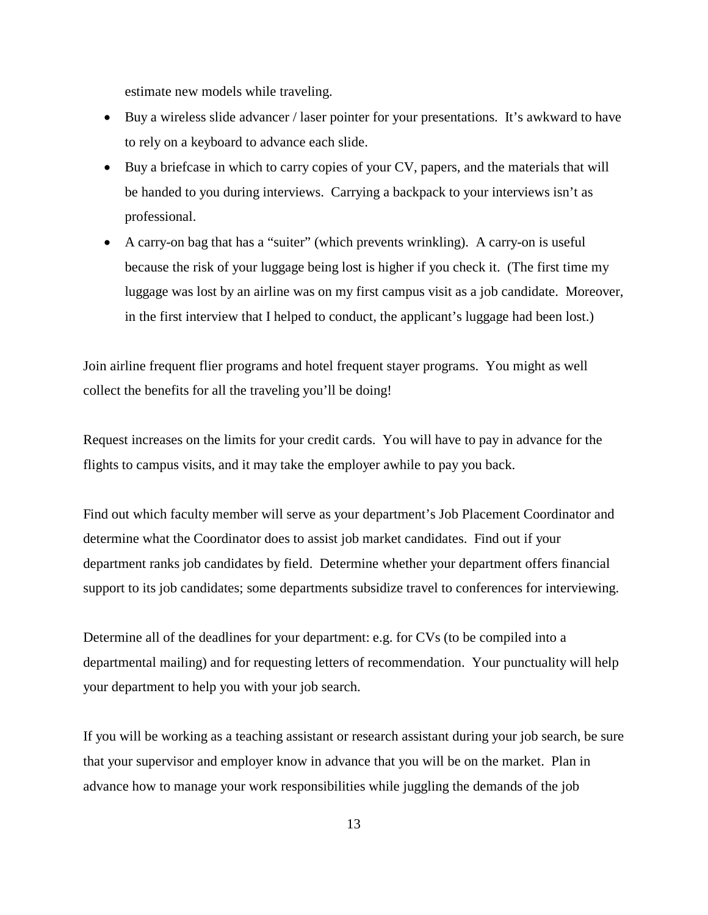estimate new models while traveling.

- Buy a wireless slide advancer / laser pointer for your presentations. It's awkward to have to rely on a keyboard to advance each slide.
- Buy a briefcase in which to carry copies of your CV, papers, and the materials that will be handed to you during interviews. Carrying a backpack to your interviews isn't as professional.
- A carry-on bag that has a "suiter" (which prevents wrinkling). A carry-on is useful because the risk of your luggage being lost is higher if you check it. (The first time my luggage was lost by an airline was on my first campus visit as a job candidate. Moreover, in the first interview that I helped to conduct, the applicant's luggage had been lost.)

Join airline frequent flier programs and hotel frequent stayer programs. You might as well collect the benefits for all the traveling you'll be doing!

Request increases on the limits for your credit cards. You will have to pay in advance for the flights to campus visits, and it may take the employer awhile to pay you back.

Find out which faculty member will serve as your department's Job Placement Coordinator and determine what the Coordinator does to assist job market candidates. Find out if your department ranks job candidates by field. Determine whether your department offers financial support to its job candidates; some departments subsidize travel to conferences for interviewing.

Determine all of the deadlines for your department: e.g. for CVs (to be compiled into a departmental mailing) and for requesting letters of recommendation. Your punctuality will help your department to help you with your job search.

If you will be working as a teaching assistant or research assistant during your job search, be sure that your supervisor and employer know in advance that you will be on the market. Plan in advance how to manage your work responsibilities while juggling the demands of the job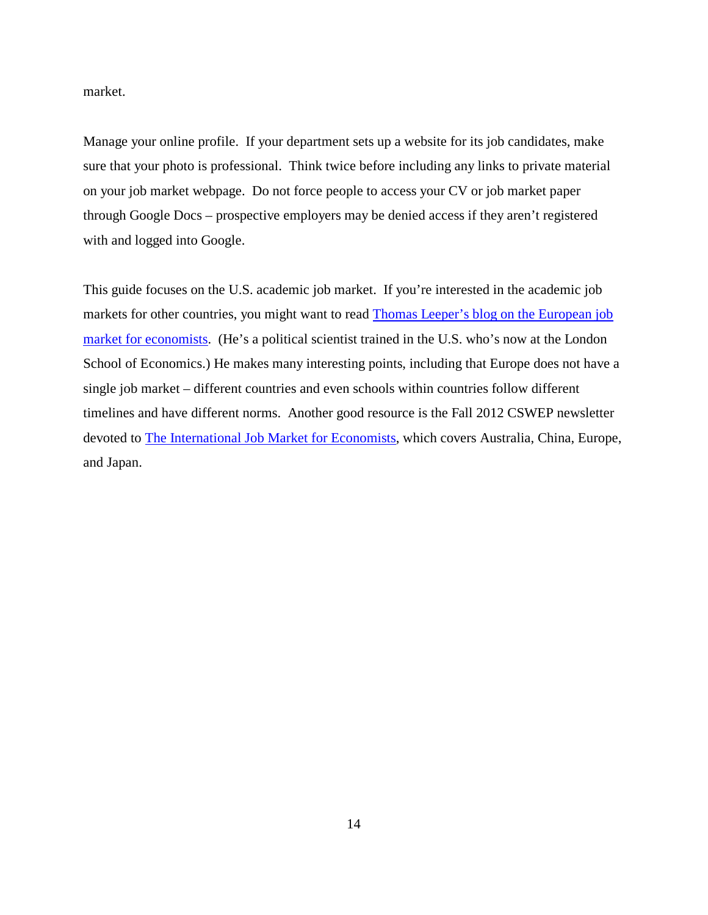market.

Manage your online profile. If your department sets up a website for its job candidates, make sure that your photo is professional. Think twice before including any links to private material on your job market webpage. Do not force people to access your CV or job market paper through Google Docs – prospective employers may be denied access if they aren't registered with and logged into Google.

This guide focuses on the U.S. academic job market. If you're interested in the academic job markets for other countries, you might want to read [Thomas Leeper's blog on the European job](http://thomasleeper.com/2016/11/different-here/)  [market for economists.](http://thomasleeper.com/2016/11/different-here/) (He's a political scientist trained in the U.S. who's now at the London School of Economics.) He makes many interesting points, including that Europe does not have a single job market – different countries and even schools within countries follow different timelines and have different norms. Another good resource is the Fall 2012 CSWEP newsletter devoted to [The International Job Market for Economists,](https://www.aeaweb.org/content/file?id=504) which covers Australia, China, Europe, and Japan.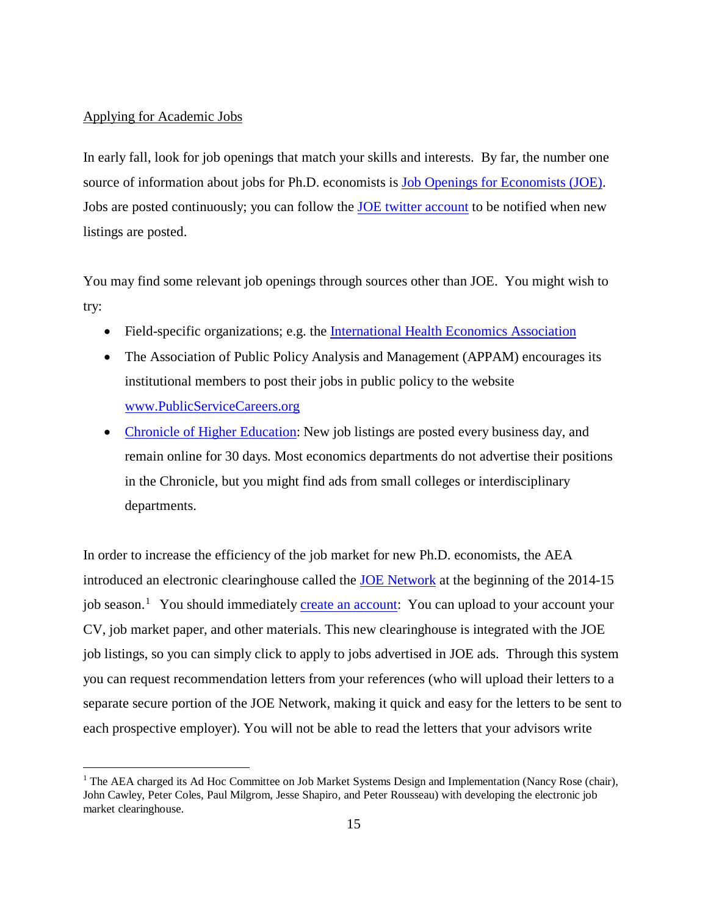# <span id="page-14-0"></span>Applying for Academic Jobs

In early fall, look for job openings that match your skills and interests. By far, the number one source of information about jobs for Ph.D. economists is [Job Openings for Economists \(JOE\).](https://www.aeaweb.org/joe/listings.php) Jobs are posted continuously; you can follow the [JOE twitter account](https://twitter.com/JOE_listings) to be notified when new listings are posted.

You may find some relevant job openings through sources other than JOE. You might wish to try:

- Field-specific organizations; e.g. the [International Health Economics Association](https://www.healtheconomics.org/networking/opening_search.asp)
- The Association of Public Policy Analysis and Management (APPAM) encourages its institutional members to post their jobs in public policy to the website [www.PublicServiceCareers.org](http://www.publicservicecareers.org/)
- [Chronicle of Higher Education:](https://chroniclevitae.com/job_search/new) New job listings are posted every business day, and remain online for 30 days. Most economics departments do not advertise their positions in the Chronicle, but you might find ads from small colleges or interdisciplinary departments.

In order to increase the efficiency of the job market for new Ph.D. economists, the AEA introduced an electronic clearinghouse called the [JOE Network](https://www.aeaweb.org/joe/) at the beginning of the 2014-15 job season.<sup>[1](#page-14-1)</sup> You should immediately **create an account**: You can upload to your account your CV, job market paper, and other materials. This new clearinghouse is integrated with the JOE job listings, so you can simply click to apply to jobs advertised in JOE ads. Through this system you can request recommendation letters from your references (who will upload their letters to a separate secure portion of the JOE Network, making it quick and easy for the letters to be sent to each prospective employer). You will not be able to read the letters that your advisors write

<span id="page-14-1"></span><sup>&</sup>lt;sup>1</sup> The AEA charged its Ad Hoc Committee on Job Market Systems Design and Implementation (Nancy Rose (chair), John Cawley, Peter Coles, Paul Milgrom, Jesse Shapiro, and Peter Rousseau) with developing the electronic job market clearinghouse.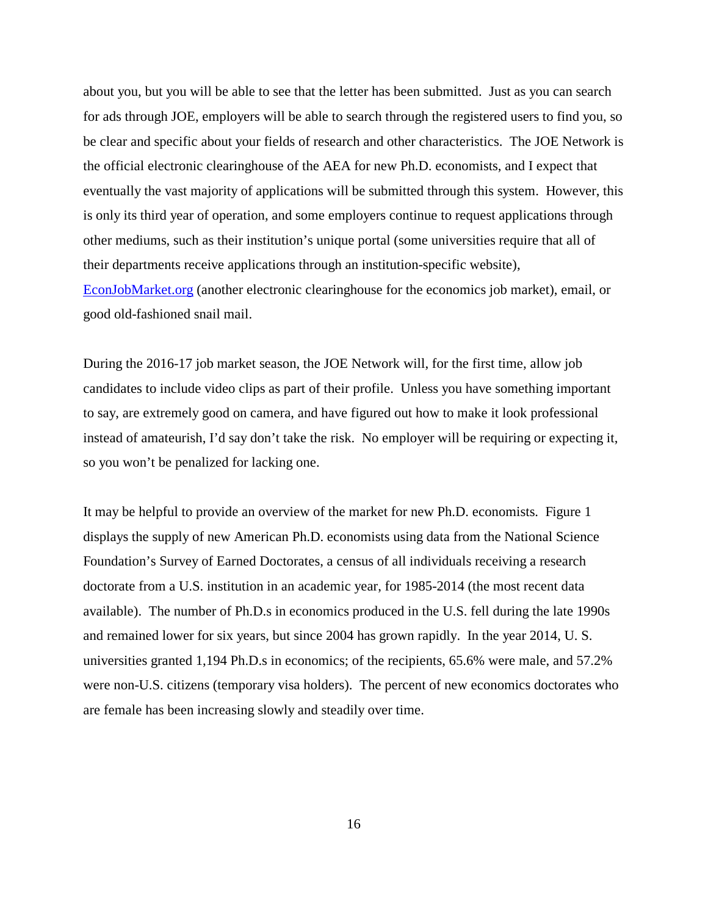about you, but you will be able to see that the letter has been submitted. Just as you can search for ads through JOE, employers will be able to search through the registered users to find you, so be clear and specific about your fields of research and other characteristics. The JOE Network is the official electronic clearinghouse of the AEA for new Ph.D. economists, and I expect that eventually the vast majority of applications will be submitted through this system. However, this is only its third year of operation, and some employers continue to request applications through other mediums, such as their institution's unique portal (some universities require that all of their departments receive applications through an institution-specific website), [EconJobMarket.org](https://econjobmarket.org/) (another electronic clearinghouse for the economics job market), email, or good old-fashioned snail mail.

During the 2016-17 job market season, the JOE Network will, for the first time, allow job candidates to include video clips as part of their profile. Unless you have something important to say, are extremely good on camera, and have figured out how to make it look professional instead of amateurish, I'd say don't take the risk. No employer will be requiring or expecting it, so you won't be penalized for lacking one.

It may be helpful to provide an overview of the market for new Ph.D. economists. Figure 1 displays the supply of new American Ph.D. economists using data from the National Science Foundation's Survey of Earned Doctorates, a census of all individuals receiving a research doctorate from a U.S. institution in an academic year, for 1985-2014 (the most recent data available). The number of Ph.D.s in economics produced in the U.S. fell during the late 1990s and remained lower for six years, but since 2004 has grown rapidly. In the year 2014, U. S. universities granted 1,194 Ph.D.s in economics; of the recipients, 65.6% were male, and 57.2% were non-U.S. citizens (temporary visa holders). The percent of new economics doctorates who are female has been increasing slowly and steadily over time.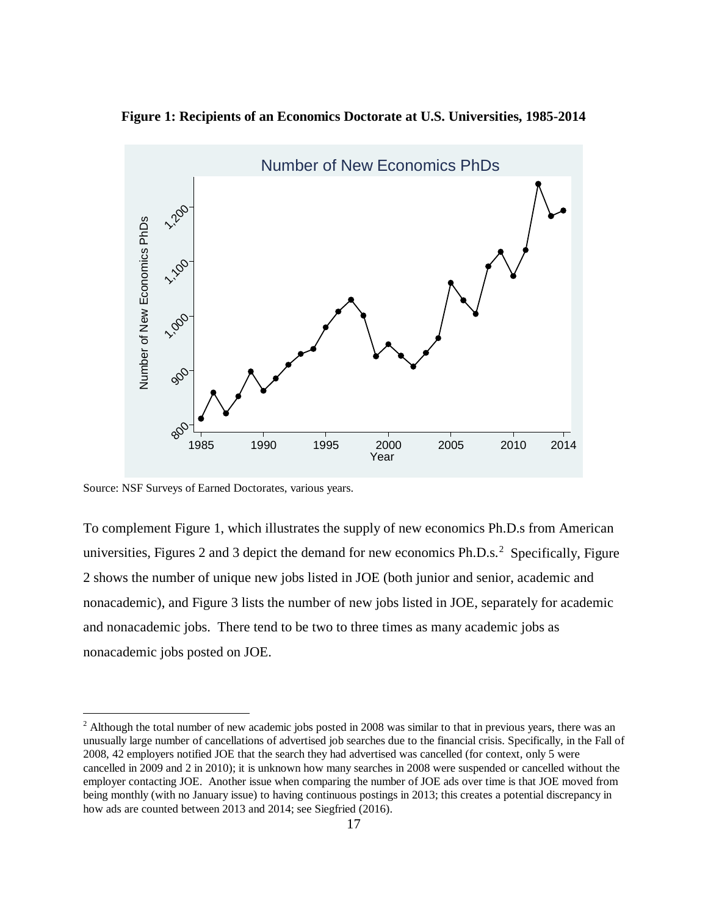<span id="page-16-0"></span>**Figure 1: Recipients of an Economics Doctorate at U.S. Universities, 1985-2014**



Source: NSF Surveys of Earned Doctorates, various years.

To complement Figure 1, which illustrates the supply of new economics Ph.D.s from American universities, Figures [2](#page-16-1) and 3 depict the demand for new economics  $Ph.D.s.$ <sup>2</sup> Specifically, Figure 2 shows the number of unique new jobs listed in JOE (both junior and senior, academic and nonacademic), and Figure 3 lists the number of new jobs listed in JOE, separately for academic and nonacademic jobs. There tend to be two to three times as many academic jobs as nonacademic jobs posted on JOE.

<span id="page-16-1"></span><sup>&</sup>lt;sup>2</sup> Although the total number of new academic jobs posted in 2008 was similar to that in previous years, there was an unusually large number of cancellations of advertised job searches due to the financial crisis. Specifically, in the Fall of 2008, 42 employers notified JOE that the search they had advertised was cancelled (for context, only 5 were cancelled in 2009 and 2 in 2010); it is unknown how many searches in 2008 were suspended or cancelled without the employer contacting JOE. Another issue when comparing the number of JOE ads over time is that JOE moved from being monthly (with no January issue) to having continuous postings in 2013; this creates a potential discrepancy in how ads are counted between 2013 and 2014; see Siegfried (2016).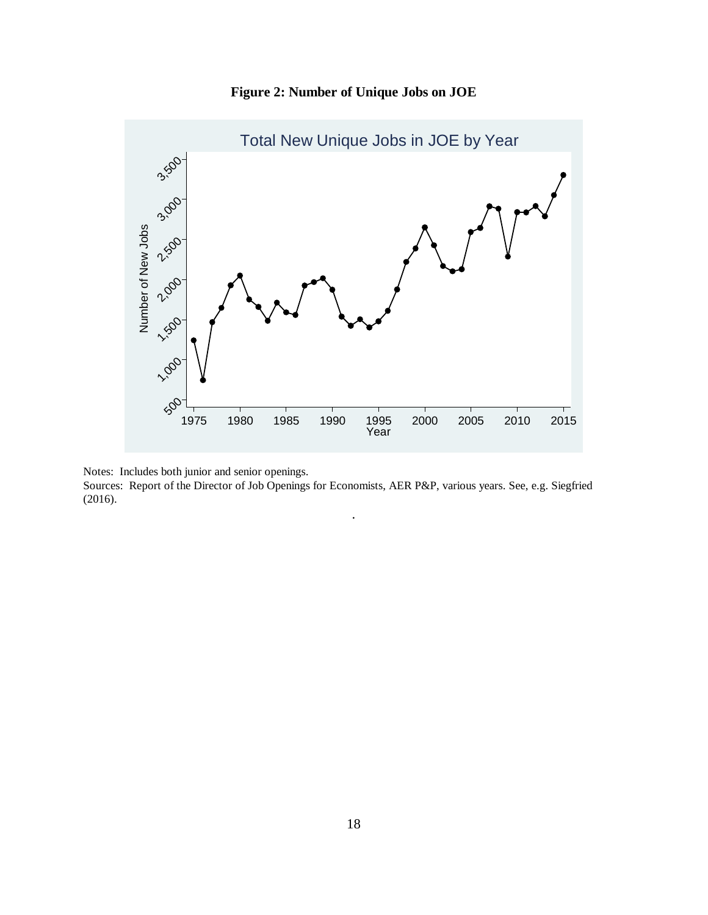

<span id="page-17-0"></span>

Notes: Includes both junior and senior openings.

Sources: Report of the Director of Job Openings for Economists, AER P&P, various years. See, e.g. Siegfried (2016).

.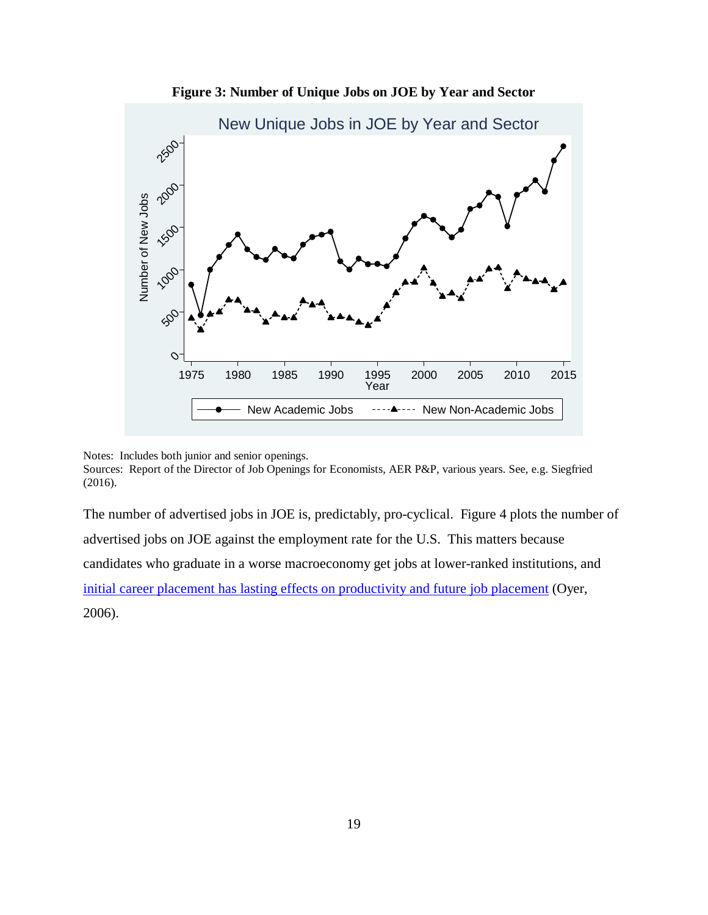<span id="page-18-0"></span>

**Figure 3: Number of Unique Jobs on JOE by Year and Sector**

Sources: Report of the Director of Job Openings for Economists, AER P&P, various years. See, e.g. Siegfried (2016).

The number of advertised jobs in JOE is, predictably, pro-cyclical. Figure 4 plots the number of advertised jobs on JOE against the employment rate for the U.S. This matters because candidates who graduate in a worse macroeconomy get jobs at lower-ranked institutions, and [initial career placement has lasting effects on productivity and future job placement](https://www.aeaweb.org/articles?id=10.1257/jep.20.3.143) (Oyer, 2006).

Notes: Includes both junior and senior openings.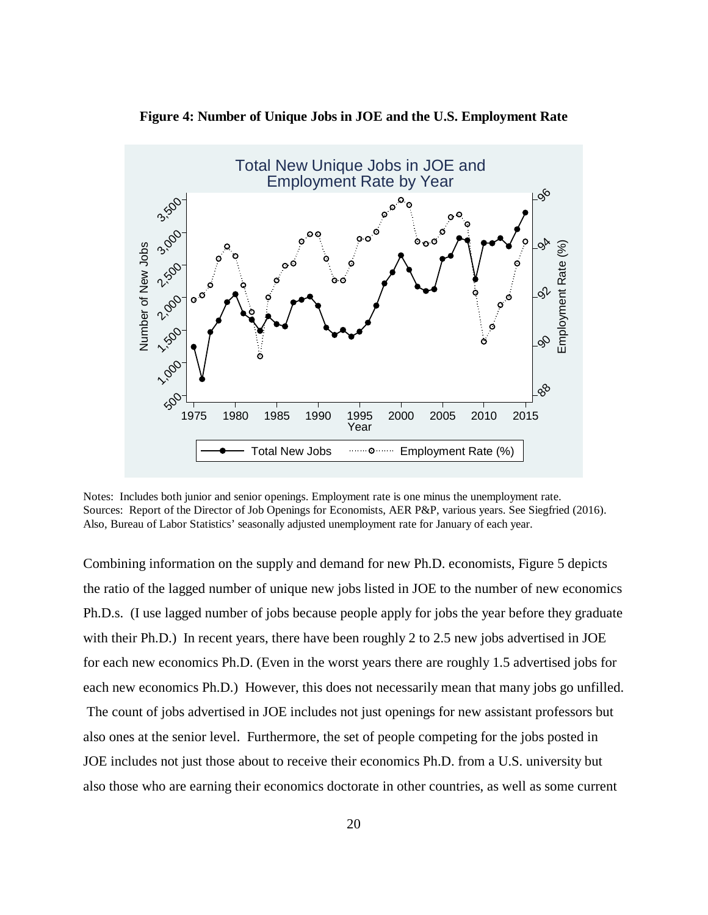<span id="page-19-0"></span>

**Figure 4: Number of Unique Jobs in JOE and the U.S. Employment Rate**

Notes: Includes both junior and senior openings. Employment rate is one minus the unemployment rate. Sources: Report of the Director of Job Openings for Economists, AER P&P, various years. See Siegfried (2016). Also, Bureau of Labor Statistics' seasonally adjusted unemployment rate for January of each year.

Combining information on the supply and demand for new Ph.D. economists, Figure 5 depicts the ratio of the lagged number of unique new jobs listed in JOE to the number of new economics Ph.D.s. (I use lagged number of jobs because people apply for jobs the year before they graduate with their Ph.D.) In recent years, there have been roughly 2 to 2.5 new jobs advertised in JOE for each new economics Ph.D. (Even in the worst years there are roughly 1.5 advertised jobs for each new economics Ph.D.) However, this does not necessarily mean that many jobs go unfilled. The count of jobs advertised in JOE includes not just openings for new assistant professors but also ones at the senior level. Furthermore, the set of people competing for the jobs posted in JOE includes not just those about to receive their economics Ph.D. from a U.S. university but also those who are earning their economics doctorate in other countries, as well as some current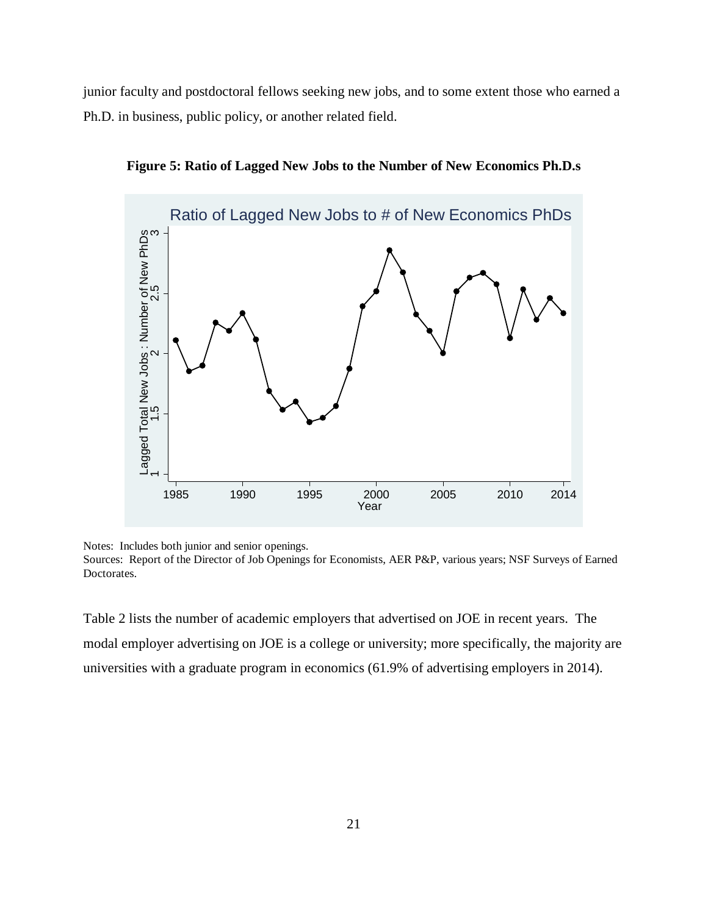junior faculty and postdoctoral fellows seeking new jobs, and to some extent those who earned a Ph.D. in business, public policy, or another related field.

<span id="page-20-0"></span>

**Figure 5: Ratio of Lagged New Jobs to the Number of New Economics Ph.D.s**

Notes: Includes both junior and senior openings.

Sources: Report of the Director of Job Openings for Economists, AER P&P, various years; NSF Surveys of Earned Doctorates.

Table 2 lists the number of academic employers that advertised on JOE in recent years. The modal employer advertising on JOE is a college or university; more specifically, the majority are universities with a graduate program in economics (61.9% of advertising employers in 2014).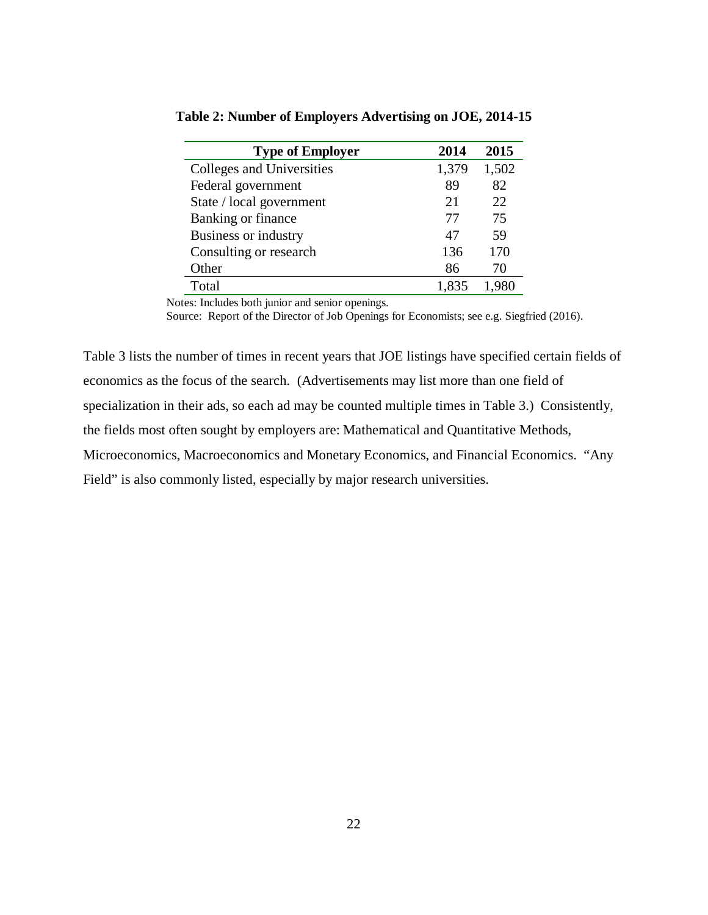| <b>Type of Employer</b>     | 2014  | 2015  |
|-----------------------------|-------|-------|
| Colleges and Universities   | 1,379 | 1,502 |
| Federal government          | 89    | 82    |
| State / local government    | 21    | 22    |
| Banking or finance          | 77    | 75    |
| <b>Business or industry</b> | 47    | 59    |
| Consulting or research      | 136   | 170   |
| Other                       | 86    | 70    |
| Total                       | 1,835 | 1.980 |

<span id="page-21-0"></span>**Table 2: Number of Employers Advertising on JOE, 2014-15**

Notes: Includes both junior and senior openings.

Source: Report of the Director of Job Openings for Economists; see e.g. Siegfried (2016).

Table 3 lists the number of times in recent years that JOE listings have specified certain fields of economics as the focus of the search. (Advertisements may list more than one field of specialization in their ads, so each ad may be counted multiple times in Table 3.) Consistently, the fields most often sought by employers are: Mathematical and Quantitative Methods, Microeconomics, Macroeconomics and Monetary Economics, and Financial Economics. "Any Field" is also commonly listed, especially by major research universities.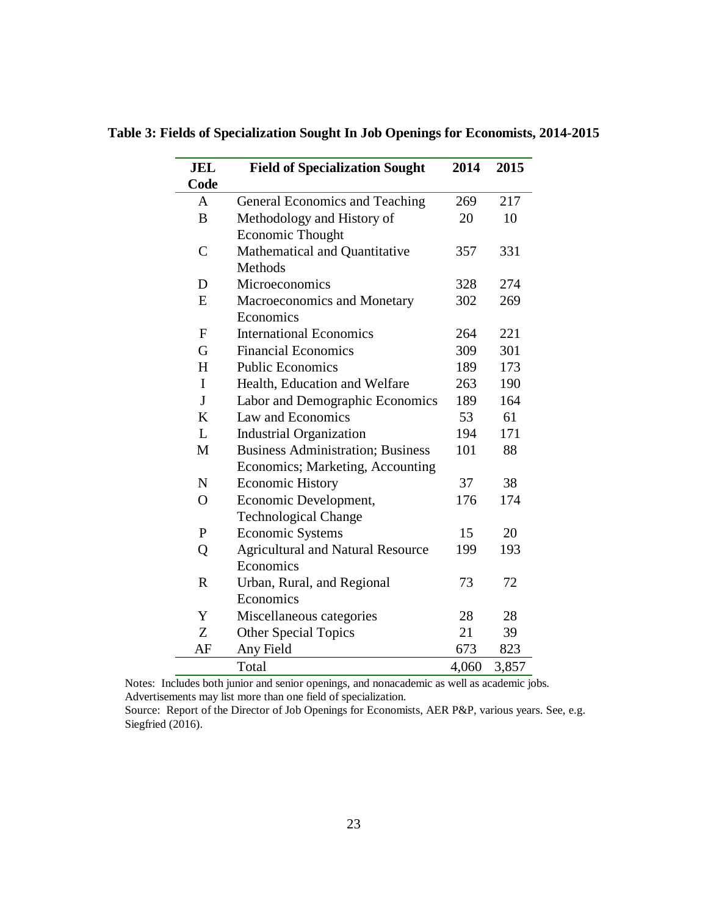| <b>JEL</b><br>Code | <b>Field of Specialization Sought</b>    | 2014       | 2015  |
|--------------------|------------------------------------------|------------|-------|
| A                  | General Economics and Teaching           | 269        | 217   |
| B                  | Methodology and History of               | 20         | 10    |
|                    | <b>Economic Thought</b>                  |            |       |
| $\overline{C}$     | Mathematical and Quantitative            | 357        | 331   |
|                    | Methods                                  |            |       |
| D                  | Microeconomics                           |            | 274   |
| E                  | Macroeconomics and Monetary              | 328<br>302 | 269   |
|                    | Economics                                |            |       |
| $\mathbf{F}$       | <b>International Economics</b>           | 264        | 221   |
| G                  | <b>Financial Economics</b>               | 309        | 301   |
| H                  | <b>Public Economics</b>                  | 189        | 173   |
| I                  | Health, Education and Welfare            | 263        | 190   |
| $\bf J$            | Labor and Demographic Economics          | 189        | 164   |
| K                  | Law and Economics                        | 53         | 61    |
| L                  | <b>Industrial Organization</b>           | 194        | 171   |
| M                  | <b>Business Administration; Business</b> | 101        | 88    |
|                    | Economics; Marketing, Accounting         |            |       |
| $\mathbf N$        | <b>Economic History</b>                  | 37         | 38    |
| O                  | Economic Development,                    | 176        | 174   |
|                    | <b>Technological Change</b>              |            |       |
| $\mathbf{P}$       | <b>Economic Systems</b>                  | 15         | 20    |
| Q                  | <b>Agricultural and Natural Resource</b> | 199        | 193   |
|                    | Economics                                |            |       |
| $\mathbf R$        | Urban, Rural, and Regional               | 73         | 72    |
|                    | Economics                                |            |       |
| Y                  | Miscellaneous categories                 | 28         | 28    |
| Z                  | <b>Other Special Topics</b>              | 21         | 39    |
| AF                 | Any Field                                | 673        | 823   |
|                    |                                          |            |       |
|                    | Total                                    | 4,060      | 3,857 |

<span id="page-22-0"></span>**Table 3: Fields of Specialization Sought In Job Openings for Economists, 2014-2015**

Notes: Includes both junior and senior openings, and nonacademic as well as academic jobs. Advertisements may list more than one field of specialization.

Source: Report of the Director of Job Openings for Economists, AER P&P, various years. See, e.g. Siegfried (2016).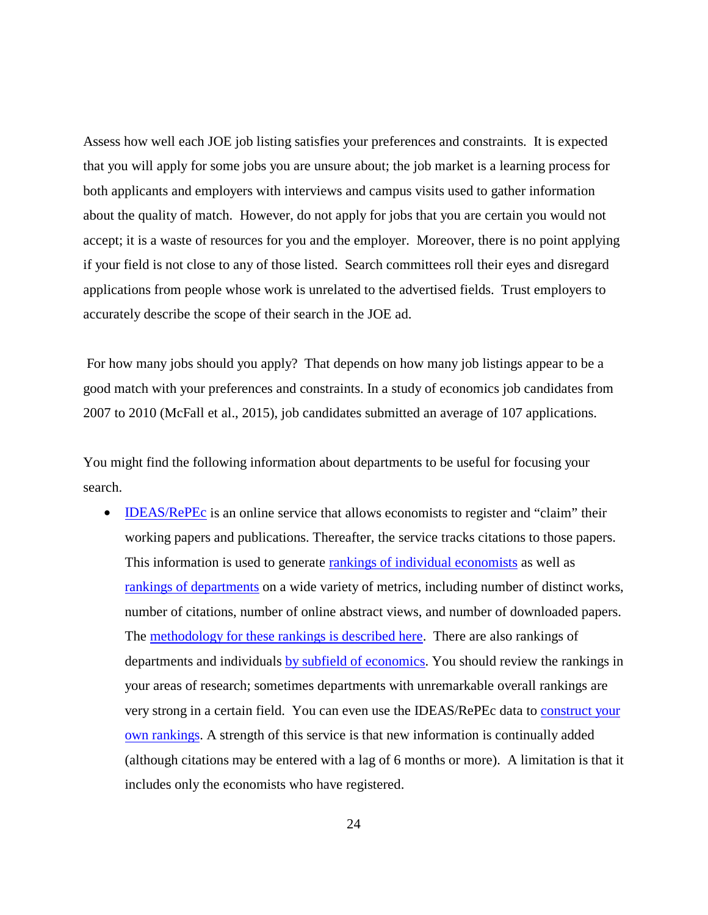Assess how well each JOE job listing satisfies your preferences and constraints. It is expected that you will apply for some jobs you are unsure about; the job market is a learning process for both applicants and employers with interviews and campus visits used to gather information about the quality of match. However, do not apply for jobs that you are certain you would not accept; it is a waste of resources for you and the employer. Moreover, there is no point applying if your field is not close to any of those listed. Search committees roll their eyes and disregard applications from people whose work is unrelated to the advertised fields. Trust employers to accurately describe the scope of their search in the JOE ad.

For how many jobs should you apply? That depends on how many job listings appear to be a good match with your preferences and constraints. In a study of economics job candidates from 2007 to 2010 (McFall et al., 2015), job candidates submitted an average of 107 applications.

You might find the following information about departments to be useful for focusing your search.

• **[IDEAS/RePEc](https://ideas.repec.org/)** is an online service that allows economists to register and "claim" their working papers and publications. Thereafter, the service tracks citations to those papers. This information is used to generate [rankings of individual economists](https://ideas.repec.org/top/top.person.all.html) as well as [rankings of departments](https://ideas.repec.org/top/top.inst.all.html) on a wide variety of metrics, including number of distinct works, number of citations, number of online abstract views, and number of downloaded papers. The [methodology for these rankings is described here.](https://ideas.repec.org/t/ranking.html) There are also rankings of departments and individuals [by subfield of economics.](https://ideas.repec.org/top/%23instsfield) You should review the rankings in your areas of research; sometimes departments with unremarkable overall rankings are very strong in a certain field. You can even use the IDEAS/RePEc data to [construct your](https://ideas.repec.org/cgi-bin/newrank.cgi)  [own rankings.](https://ideas.repec.org/cgi-bin/newrank.cgi) A strength of this service is that new information is continually added (although citations may be entered with a lag of 6 months or more). A limitation is that it includes only the economists who have registered.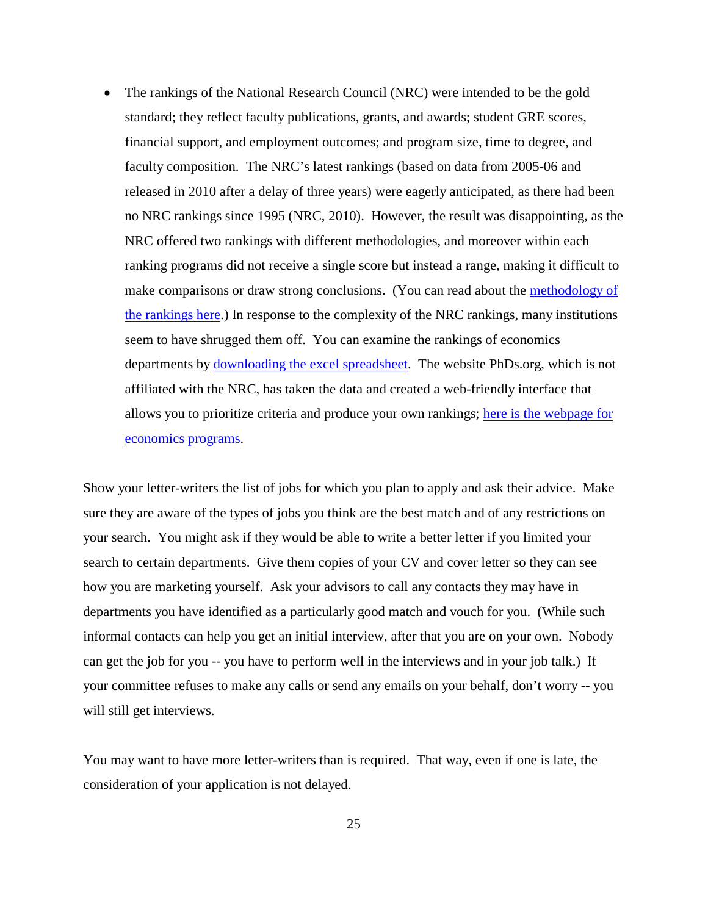• The rankings of the National Research Council (NRC) were intended to be the gold standard; they reflect faculty publications, grants, and awards; student GRE scores, financial support, and employment outcomes; and program size, time to degree, and faculty composition. The NRC's latest rankings (based on data from 2005-06 and released in 2010 after a delay of three years) were eagerly anticipated, as there had been no NRC rankings since 1995 (NRC, 2010). However, the result was disappointing, as the NRC offered two rankings with different methodologies, and moreover within each ranking programs did not receive a single score but instead a range, making it difficult to make comparisons or draw strong conclusions. (You can read about the [methodology of](https://www.nap.edu/catalog/12676/a-guide-to-the-methodology-of-the-national-research-council-assessment-of-doctorate-programs%23toc)  [the rankings here.](https://www.nap.edu/catalog/12676/a-guide-to-the-methodology-of-the-national-research-council-assessment-of-doctorate-programs%23toc)) In response to the complexity of the NRC rankings, many institutions seem to have shrugged them off. You can examine the rankings of economics departments by <u>downloading the excel spreadsheet</u>. The website PhDs.org, which is not affiliated with the NRC, has taken the data and created a web-friendly interface that allows you to prioritize criteria and produce your own rankings; [here is the webpage for](http://www.phds.org/rankings/economics)  [economics programs.](http://www.phds.org/rankings/economics)

Show your letter-writers the list of jobs for which you plan to apply and ask their advice. Make sure they are aware of the types of jobs you think are the best match and of any restrictions on your search. You might ask if they would be able to write a better letter if you limited your search to certain departments. Give them copies of your CV and cover letter so they can see how you are marketing yourself. Ask your advisors to call any contacts they may have in departments you have identified as a particularly good match and vouch for you. (While such informal contacts can help you get an initial interview, after that you are on your own. Nobody can get the job for you -- you have to perform well in the interviews and in your job talk.) If your committee refuses to make any calls or send any emails on your behalf, don't worry -- you will still get interviews.

You may want to have more letter-writers than is required. That way, even if one is late, the consideration of your application is not delayed.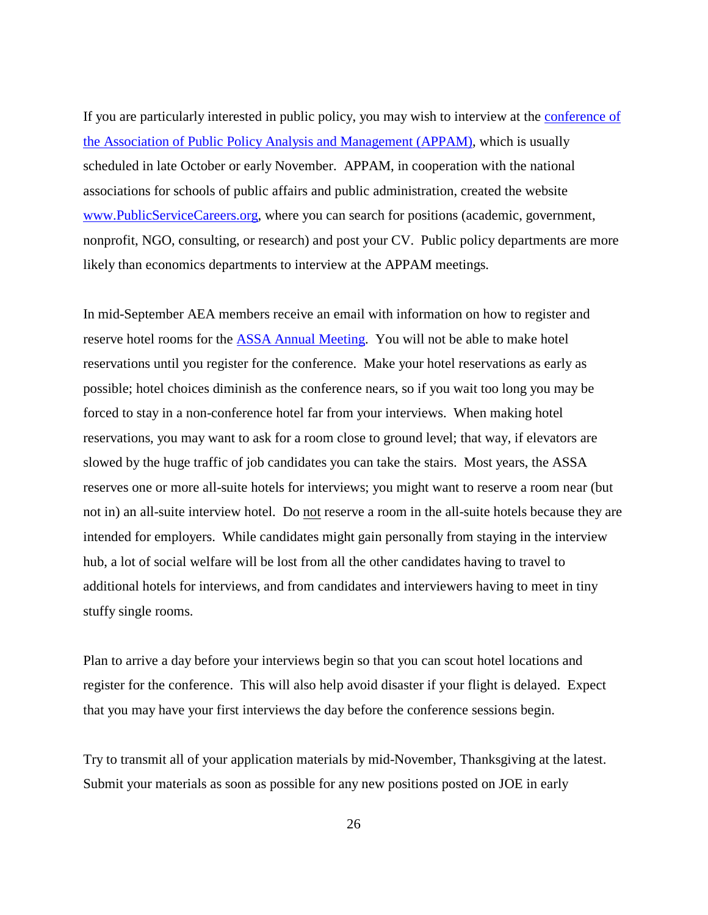If you are particularly interested in public policy, you may wish to interview at the [conference of](http://www.appam.org/fallresearchconference/) [the Association of Public Policy Analysis and Management \(APPAM\),](http://www.appam.org/fallresearchconference/) which is usually scheduled in late October or early November. APPAM, in cooperation with the national associations for schools of public affairs and public administration, created the website [www.PublicServiceCareers.org,](http://www.publicservicecareers.org/) where you can search for positions (academic, government, nonprofit, NGO, consulting, or research) and post your CV. Public policy departments are more likely than economics departments to interview at the APPAM meetings.

In mid-September AEA members receive an email with information on how to register and reserve hotel rooms for the **ASSA Annual Meeting.** You will not be able to make hotel reservations until you register for the conference. Make your hotel reservations as early as possible; hotel choices diminish as the conference nears, so if you wait too long you may be forced to stay in a non-conference hotel far from your interviews. When making hotel reservations, you may want to ask for a room close to ground level; that way, if elevators are slowed by the huge traffic of job candidates you can take the stairs. Most years, the ASSA reserves one or more all-suite hotels for interviews; you might want to reserve a room near (but not in) an all-suite interview hotel. Do not reserve a room in the all-suite hotels because they are intended for employers. While candidates might gain personally from staying in the interview hub, a lot of social welfare will be lost from all the other candidates having to travel to additional hotels for interviews, and from candidates and interviewers having to meet in tiny stuffy single rooms.

Plan to arrive a day before your interviews begin so that you can scout hotel locations and register for the conference. This will also help avoid disaster if your flight is delayed. Expect that you may have your first interviews the day before the conference sessions begin.

Try to transmit all of your application materials by mid-November, Thanksgiving at the latest. Submit your materials as soon as possible for any new positions posted on JOE in early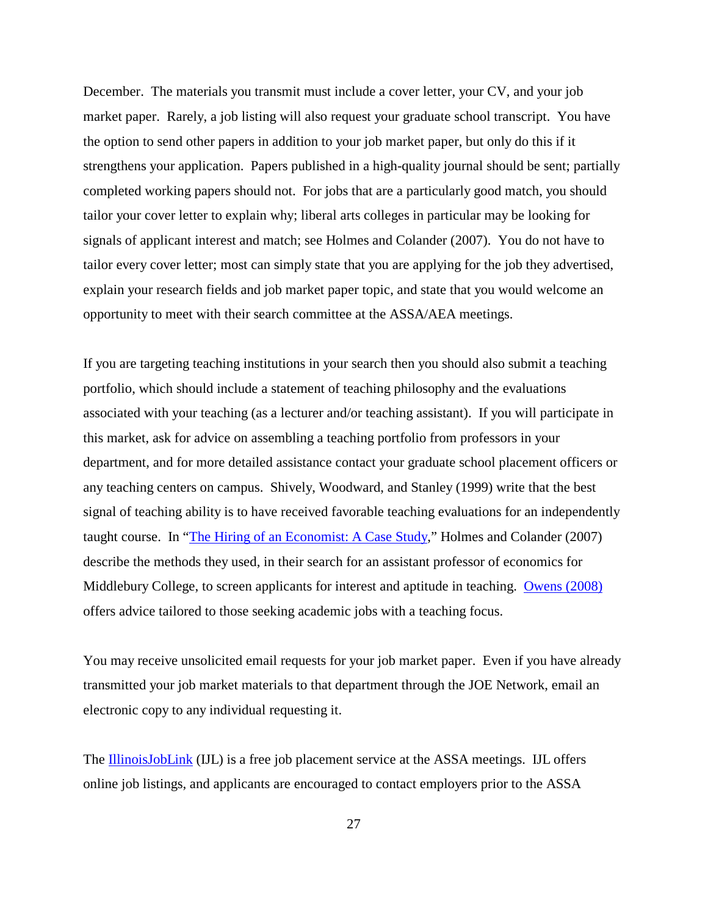December. The materials you transmit must include a cover letter, your CV, and your job market paper. Rarely, a job listing will also request your graduate school transcript. You have the option to send other papers in addition to your job market paper, but only do this if it strengthens your application. Papers published in a high-quality journal should be sent; partially completed working papers should not. For jobs that are a particularly good match, you should tailor your cover letter to explain why; liberal arts colleges in particular may be looking for signals of applicant interest and match; see Holmes and Colander (2007). You do not have to tailor every cover letter; most can simply state that you are applying for the job they advertised, explain your research fields and job market paper topic, and state that you would welcome an opportunity to meet with their search committee at the ASSA/AEA meetings.

If you are targeting teaching institutions in your search then you should also submit a teaching portfolio, which should include a statement of teaching philosophy and the evaluations associated with your teaching (as a lecturer and/or teaching assistant). If you will participate in this market, ask for advice on assembling a teaching portfolio from professors in your department, and for more detailed assistance contact your graduate school placement officers or any teaching centers on campus. Shively, Woodward, and Stanley (1999) write that the best signal of teaching ability is to have received favorable teaching evaluations for an independently taught course. In ["The Hiring of an Economist: A Case Study,](http://aex.sagepub.com/content/51/1/54.refs)" Holmes and Colander (2007) describe the methods they used, in their search for an assistant professor of economics for Middlebury College, to screen applicants for interest and aptitude in teaching. [Owens \(2008\)](https://poole.ncsu.edu/documents/Owens-SearchforanEconomicsJobWithATeachingFocus.pdf) offers advice tailored to those seeking academic jobs with a teaching focus.

You may receive unsolicited email requests for your job market paper. Even if you have already transmitted your job market materials to that department through the JOE Network, email an electronic copy to any individual requesting it.

The **IllinoisJobLink** (IJL) is a free job placement service at the ASSA meetings. IJL offers online job listings, and applicants are encouraged to contact employers prior to the ASSA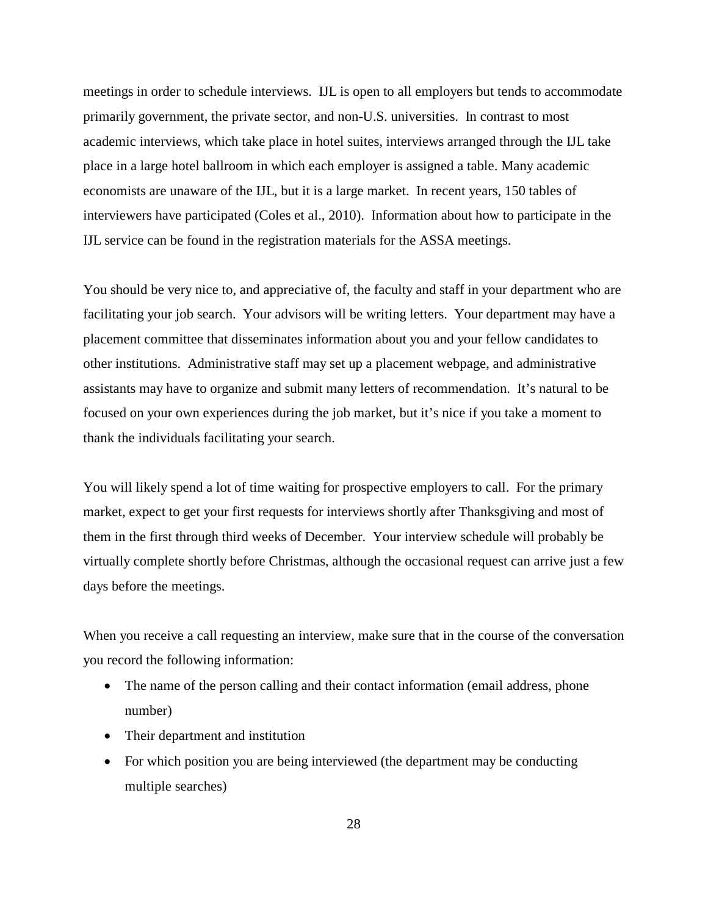meetings in order to schedule interviews. IJL is open to all employers but tends to accommodate primarily government, the private sector, and non-U.S. universities. In contrast to most academic interviews, which take place in hotel suites, interviews arranged through the IJL take place in a large hotel ballroom in which each employer is assigned a table. Many academic economists are unaware of the IJL, but it is a large market. In recent years, 150 tables of interviewers have participated (Coles et al., 2010). Information about how to participate in the IJL service can be found in the registration materials for the ASSA meetings.

You should be very nice to, and appreciative of, the faculty and staff in your department who are facilitating your job search. Your advisors will be writing letters. Your department may have a placement committee that disseminates information about you and your fellow candidates to other institutions. Administrative staff may set up a placement webpage, and administrative assistants may have to organize and submit many letters of recommendation. It's natural to be focused on your own experiences during the job market, but it's nice if you take a moment to thank the individuals facilitating your search.

You will likely spend a lot of time waiting for prospective employers to call. For the primary market, expect to get your first requests for interviews shortly after Thanksgiving and most of them in the first through third weeks of December. Your interview schedule will probably be virtually complete shortly before Christmas, although the occasional request can arrive just a few days before the meetings.

When you receive a call requesting an interview, make sure that in the course of the conversation you record the following information:

- The name of the person calling and their contact information (email address, phone number)
- Their department and institution
- For which position you are being interviewed (the department may be conducting multiple searches)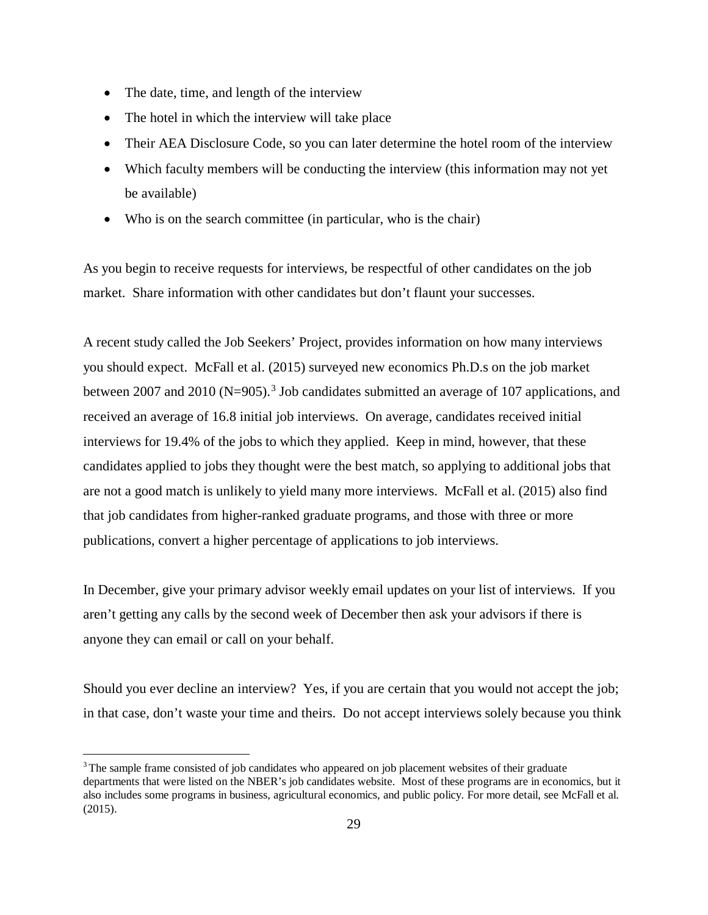- The date, time, and length of the interview
- The hotel in which the interview will take place
- Their AEA Disclosure Code, so you can later determine the hotel room of the interview
- Which faculty members will be conducting the interview (this information may not yet be available)
- Who is on the search committee (in particular, who is the chair)

As you begin to receive requests for interviews, be respectful of other candidates on the job market. Share information with other candidates but don't flaunt your successes.

A recent study called the Job Seekers' Project, provides information on how many interviews you should expect. McFall et al. (2015) surveyed new economics Ph.D.s on the job market between 2007 and 2010 (N=905).<sup>[3](#page-28-0)</sup> Job candidates submitted an average of 107 applications, and received an average of 16.8 initial job interviews. On average, candidates received initial interviews for 19.4% of the jobs to which they applied. Keep in mind, however, that these candidates applied to jobs they thought were the best match, so applying to additional jobs that are not a good match is unlikely to yield many more interviews. McFall et al. (2015) also find that job candidates from higher-ranked graduate programs, and those with three or more publications, convert a higher percentage of applications to job interviews.

In December, give your primary advisor weekly email updates on your list of interviews. If you aren't getting any calls by the second week of December then ask your advisors if there is anyone they can email or call on your behalf.

Should you ever decline an interview? Yes, if you are certain that you would not accept the job; in that case, don't waste your time and theirs. Do not accept interviews solely because you think

<span id="page-28-0"></span><sup>&</sup>lt;sup>3</sup> The sample frame consisted of job candidates who appeared on job placement websites of their graduate departments that were listed on the NBER's job candidates website. Most of these programs are in economics, but it also includes some programs in business, agricultural economics, and public policy. For more detail, see McFall et al. (2015).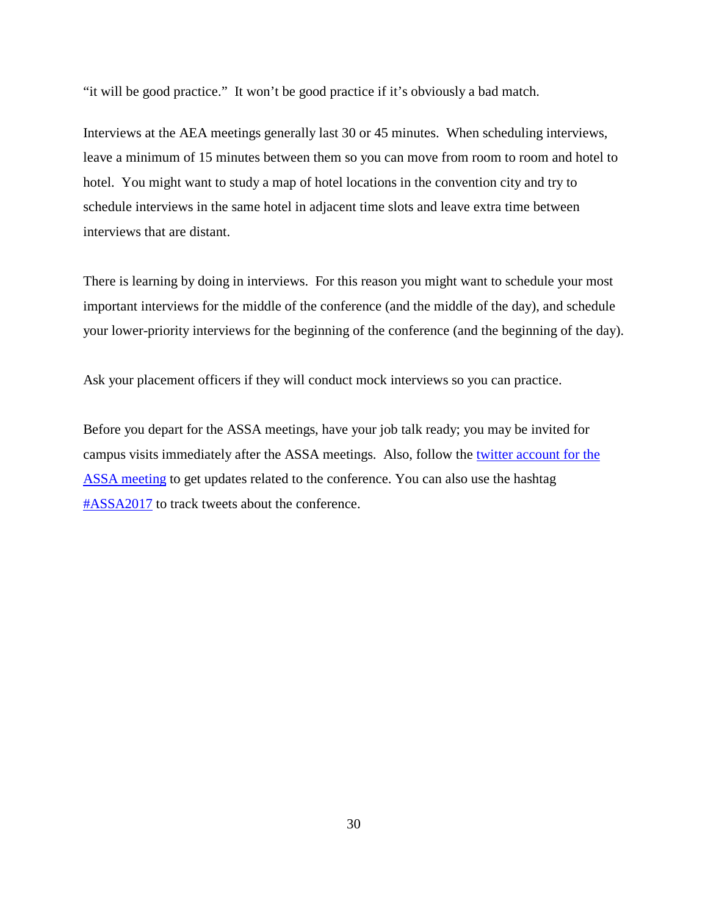"it will be good practice." It won't be good practice if it's obviously a bad match.

Interviews at the AEA meetings generally last 30 or 45 minutes. When scheduling interviews, leave a minimum of 15 minutes between them so you can move from room to room and hotel to hotel. You might want to study a map of hotel locations in the convention city and try to schedule interviews in the same hotel in adjacent time slots and leave extra time between interviews that are distant.

There is learning by doing in interviews. For this reason you might want to schedule your most important interviews for the middle of the conference (and the middle of the day), and schedule your lower-priority interviews for the beginning of the conference (and the beginning of the day).

Ask your placement officers if they will conduct mock interviews so you can practice.

Before you depart for the ASSA meetings, have your job talk ready; you may be invited for campus visits immediately after the ASSA meetings. Also, follow the [twitter account for the](https://twitter.com/ASSAMeeting)  [ASSA meeting](https://twitter.com/ASSAMeeting) to get updates related to the conference. You can also use the hashtag [#ASSA2017](https://twitter.com/hashtag/ASSA2017?src=hash) to track tweets about the conference.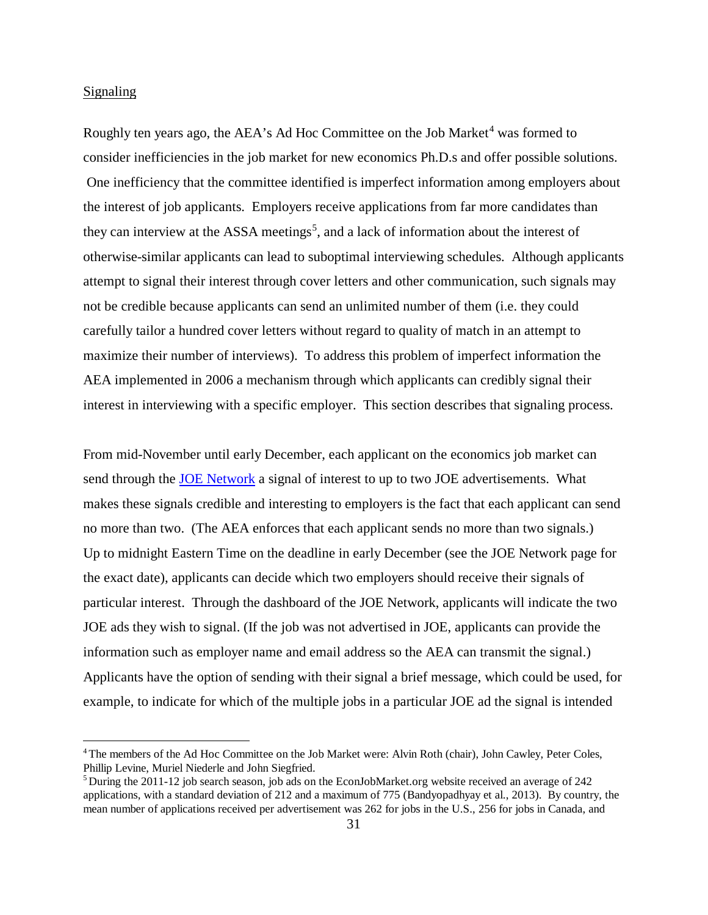# <span id="page-30-0"></span>Signaling

Roughly ten years ago, the AEA's Ad Hoc Committee on the Job Market<sup>[4](#page-30-1)</sup> was formed to consider inefficiencies in the job market for new economics Ph.D.s and offer possible solutions. One inefficiency that the committee identified is imperfect information among employers about the interest of job applicants. Employers receive applications from far more candidates than they can interview at the ASSA meetings<sup>[5](#page-30-2)</sup>, and a lack of information about the interest of otherwise-similar applicants can lead to suboptimal interviewing schedules. Although applicants attempt to signal their interest through cover letters and other communication, such signals may not be credible because applicants can send an unlimited number of them (i.e. they could carefully tailor a hundred cover letters without regard to quality of match in an attempt to maximize their number of interviews). To address this problem of imperfect information the AEA implemented in 2006 a mechanism through which applicants can credibly signal their interest in interviewing with a specific employer. This section describes that signaling process.

From mid-November until early December, each applicant on the economics job market can send through the [JOE Network](https://www.aeaweb.org/joe/) a signal of interest to up to two JOE advertisements. What makes these signals credible and interesting to employers is the fact that each applicant can send no more than two. (The AEA enforces that each applicant sends no more than two signals.) Up to midnight Eastern Time on the deadline in early December (see the JOE Network page for the exact date), applicants can decide which two employers should receive their signals of particular interest. Through the dashboard of the JOE Network, applicants will indicate the two JOE ads they wish to signal. (If the job was not advertised in JOE, applicants can provide the information such as employer name and email address so the AEA can transmit the signal.) Applicants have the option of sending with their signal a brief message, which could be used, for example, to indicate for which of the multiple jobs in a particular JOE ad the signal is intended

<span id="page-30-1"></span> <sup>4</sup> The members of the Ad Hoc Committee on the Job Market were: Alvin Roth (chair), John Cawley, Peter Coles, Phillip Levine, Muriel Niederle and John Siegfried.

<span id="page-30-2"></span><sup>5</sup> During the 2011-12 job search season, job ads on the EconJobMarket.org website received an average of 242 applications, with a standard deviation of 212 and a maximum of 775 (Bandyopadhyay et al., 2013). By country, the mean number of applications received per advertisement was 262 for jobs in the U.S., 256 for jobs in Canada, and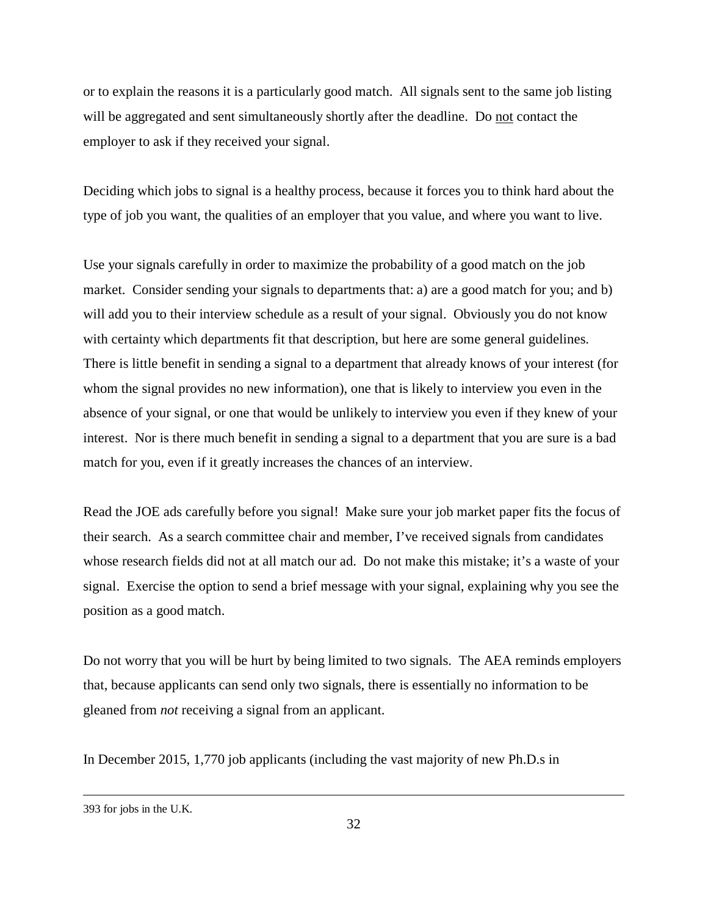or to explain the reasons it is a particularly good match. All signals sent to the same job listing will be aggregated and sent simultaneously shortly after the deadline. Do not contact the employer to ask if they received your signal.

Deciding which jobs to signal is a healthy process, because it forces you to think hard about the type of job you want, the qualities of an employer that you value, and where you want to live.

Use your signals carefully in order to maximize the probability of a good match on the job market. Consider sending your signals to departments that: a) are a good match for you; and b) will add you to their interview schedule as a result of your signal. Obviously you do not know with certainty which departments fit that description, but here are some general guidelines. There is little benefit in sending a signal to a department that already knows of your interest (for whom the signal provides no new information), one that is likely to interview you even in the absence of your signal, or one that would be unlikely to interview you even if they knew of your interest. Nor is there much benefit in sending a signal to a department that you are sure is a bad match for you, even if it greatly increases the chances of an interview.

Read the JOE ads carefully before you signal! Make sure your job market paper fits the focus of their search. As a search committee chair and member, I've received signals from candidates whose research fields did not at all match our ad. Do not make this mistake; it's a waste of your signal. Exercise the option to send a brief message with your signal, explaining why you see the position as a good match.

Do not worry that you will be hurt by being limited to two signals. The AEA reminds employers that, because applicants can send only two signals, there is essentially no information to be gleaned from *not* receiving a signal from an applicant.

In December 2015, 1,770 job applicants (including the vast majority of new Ph.D.s in

 $\overline{a}$ 

<sup>393</sup> for jobs in the U.K.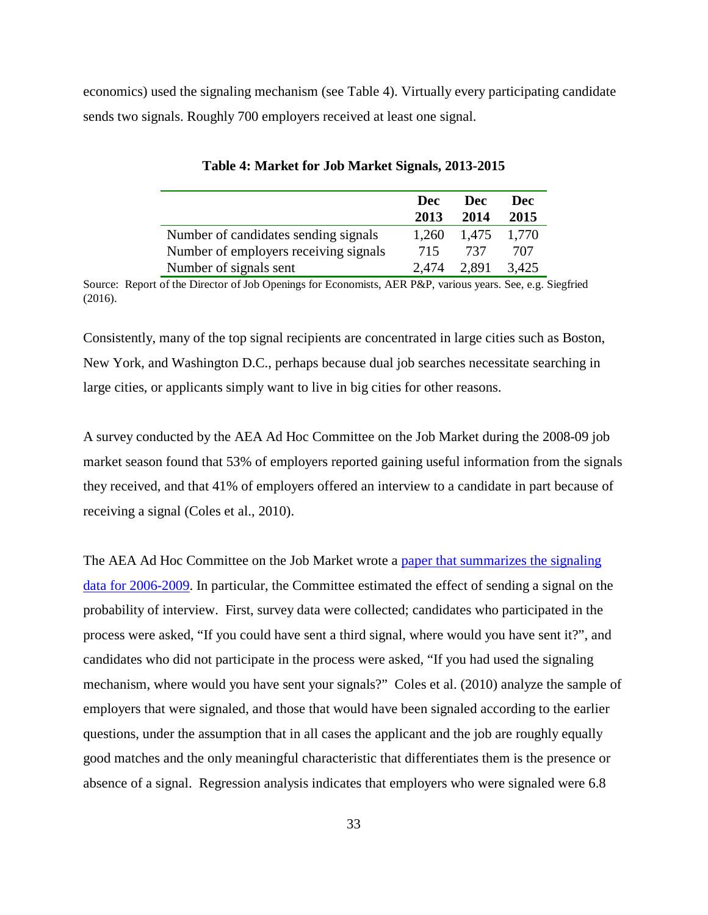<span id="page-32-0"></span>economics) used the signaling mechanism (see Table 4). Virtually every participating candidate sends two signals. Roughly 700 employers received at least one signal.

|                                       | Dec<br>2013 | Dec.<br>2014 | Dec<br>2015 |
|---------------------------------------|-------------|--------------|-------------|
| Number of candidates sending signals  | 1,260       | 1,475        | 1.770       |
| Number of employers receiving signals | 715         | 737          | 707         |
| Number of signals sent                | 2.474       | 2.891        | 3.425       |

**Table 4: Market for Job Market Signals, 2013-2015**

Source: Report of the Director of Job Openings for Economists, AER P&P, various years. See, e.g. Siegfried (2016).

Consistently, many of the top signal recipients are concentrated in large cities such as Boston, New York, and Washington D.C., perhaps because dual job searches necessitate searching in large cities, or applicants simply want to live in big cities for other reasons.

A survey conducted by the AEA Ad Hoc Committee on the Job Market during the 2008-09 job market season found that 53% of employers reported gaining useful information from the signals they received, and that 41% of employers offered an interview to a candidate in part because of receiving a signal (Coles et al., 2010).

The AEA Ad Hoc Committee on the Job Market wrote a paper that summarizes the signaling [data for 2006-2009.](https://www.aeaweb.org/articles?id=10.1257/jep.24.4.187) In particular, the Committee estimated the effect of sending a signal on the probability of interview. First, survey data were collected; candidates who participated in the process were asked, "If you could have sent a third signal, where would you have sent it?", and candidates who did not participate in the process were asked, "If you had used the signaling mechanism, where would you have sent your signals?" Coles et al. (2010) analyze the sample of employers that were signaled, and those that would have been signaled according to the earlier questions, under the assumption that in all cases the applicant and the job are roughly equally good matches and the only meaningful characteristic that differentiates them is the presence or absence of a signal. Regression analysis indicates that employers who were signaled were 6.8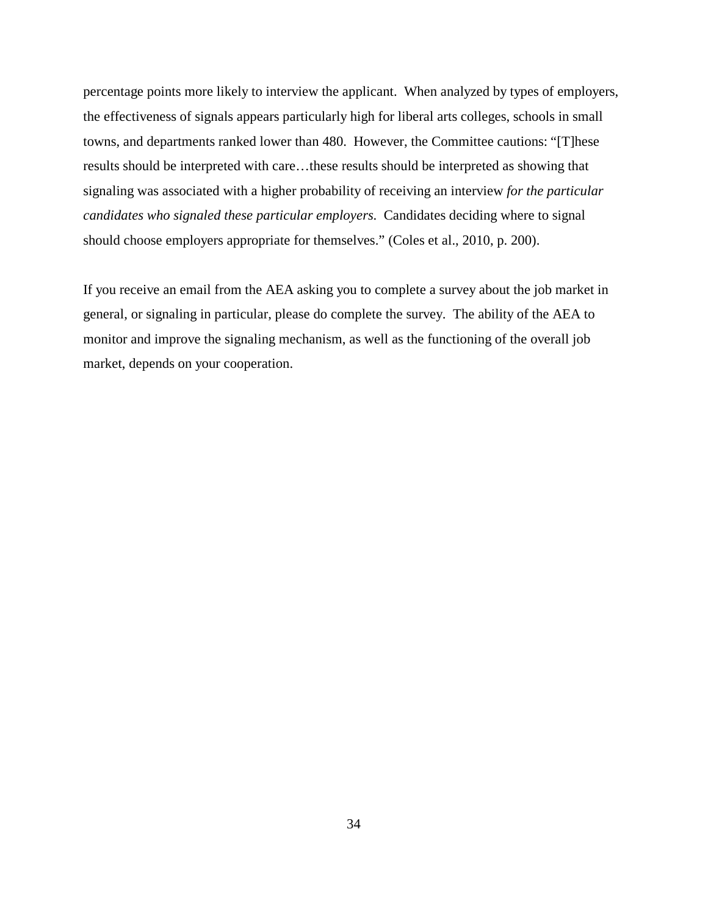percentage points more likely to interview the applicant. When analyzed by types of employers, the effectiveness of signals appears particularly high for liberal arts colleges, schools in small towns, and departments ranked lower than 480. However, the Committee cautions: "[T]hese results should be interpreted with care…these results should be interpreted as showing that signaling was associated with a higher probability of receiving an interview *for the particular candidates who signaled these particular employers*. Candidates deciding where to signal should choose employers appropriate for themselves." (Coles et al., 2010, p. 200).

If you receive an email from the AEA asking you to complete a survey about the job market in general, or signaling in particular, please do complete the survey. The ability of the AEA to monitor and improve the signaling mechanism, as well as the functioning of the overall job market, depends on your cooperation.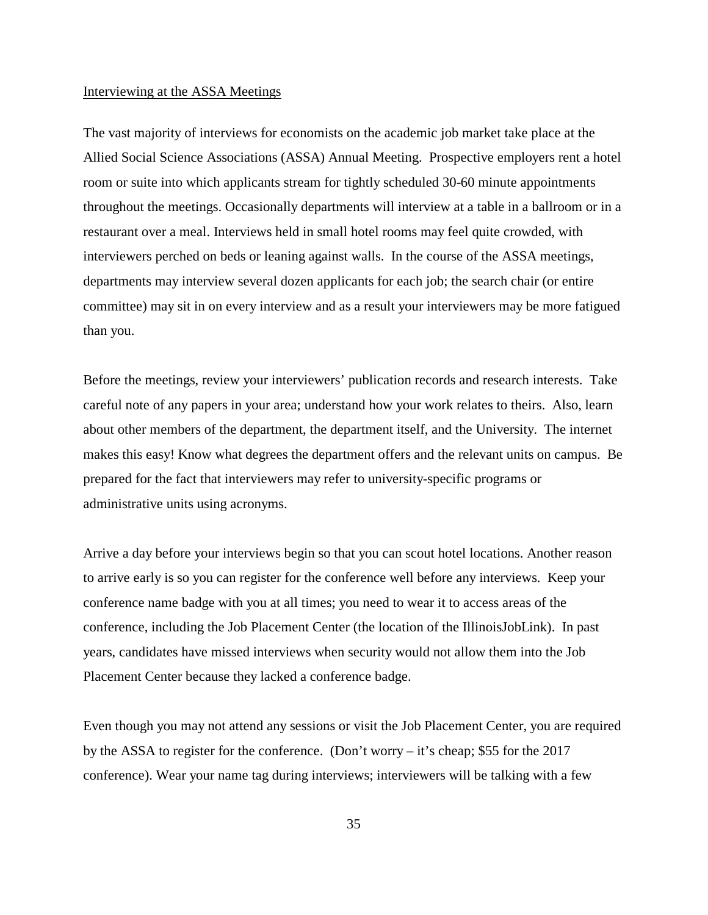#### <span id="page-34-0"></span>Interviewing at the ASSA Meetings

The vast majority of interviews for economists on the academic job market take place at the Allied Social Science Associations (ASSA) Annual Meeting. Prospective employers rent a hotel room or suite into which applicants stream for tightly scheduled 30-60 minute appointments throughout the meetings. Occasionally departments will interview at a table in a ballroom or in a restaurant over a meal. Interviews held in small hotel rooms may feel quite crowded, with interviewers perched on beds or leaning against walls. In the course of the ASSA meetings, departments may interview several dozen applicants for each job; the search chair (or entire committee) may sit in on every interview and as a result your interviewers may be more fatigued than you.

Before the meetings, review your interviewers' publication records and research interests. Take careful note of any papers in your area; understand how your work relates to theirs. Also, learn about other members of the department, the department itself, and the University. The internet makes this easy! Know what degrees the department offers and the relevant units on campus. Be prepared for the fact that interviewers may refer to university-specific programs or administrative units using acronyms.

Arrive a day before your interviews begin so that you can scout hotel locations. Another reason to arrive early is so you can register for the conference well before any interviews. Keep your conference name badge with you at all times; you need to wear it to access areas of the conference, including the Job Placement Center (the location of the IllinoisJobLink). In past years, candidates have missed interviews when security would not allow them into the Job Placement Center because they lacked a conference badge.

Even though you may not attend any sessions or visit the Job Placement Center, you are required by the ASSA to register for the conference. (Don't worry – it's cheap; \$55 for the  $2017$ conference). Wear your name tag during interviews; interviewers will be talking with a few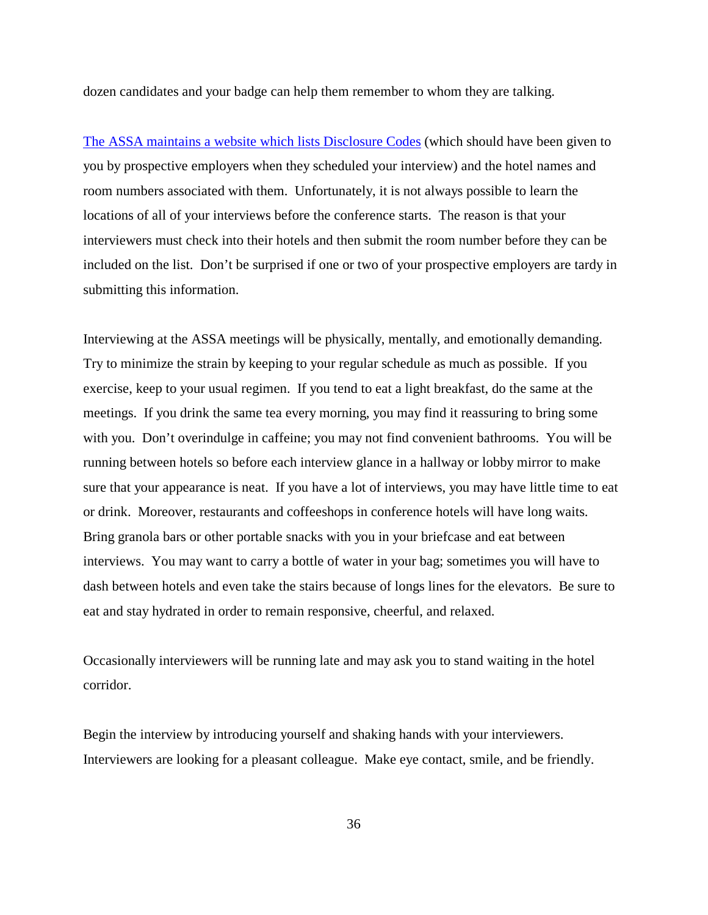dozen candidates and your badge can help them remember to whom they are talking.

The ASSA [maintains a website which lists Disclosure Codes](https://conf.aeaweb.org/employers/codes.php) (which should have been given to you by prospective employers when they scheduled your interview) and the hotel names and room numbers associated with them. Unfortunately, it is not always possible to learn the locations of all of your interviews before the conference starts. The reason is that your interviewers must check into their hotels and then submit the room number before they can be included on the list. Don't be surprised if one or two of your prospective employers are tardy in submitting this information.

Interviewing at the ASSA meetings will be physically, mentally, and emotionally demanding. Try to minimize the strain by keeping to your regular schedule as much as possible. If you exercise, keep to your usual regimen. If you tend to eat a light breakfast, do the same at the meetings. If you drink the same tea every morning, you may find it reassuring to bring some with you. Don't overindulge in caffeine; you may not find convenient bathrooms. You will be running between hotels so before each interview glance in a hallway or lobby mirror to make sure that your appearance is neat. If you have a lot of interviews, you may have little time to eat or drink. Moreover, restaurants and coffeeshops in conference hotels will have long waits. Bring granola bars or other portable snacks with you in your briefcase and eat between interviews. You may want to carry a bottle of water in your bag; sometimes you will have to dash between hotels and even take the stairs because of longs lines for the elevators. Be sure to eat and stay hydrated in order to remain responsive, cheerful, and relaxed.

Occasionally interviewers will be running late and may ask you to stand waiting in the hotel corridor.

Begin the interview by introducing yourself and shaking hands with your interviewers. Interviewers are looking for a pleasant colleague. Make eye contact, smile, and be friendly.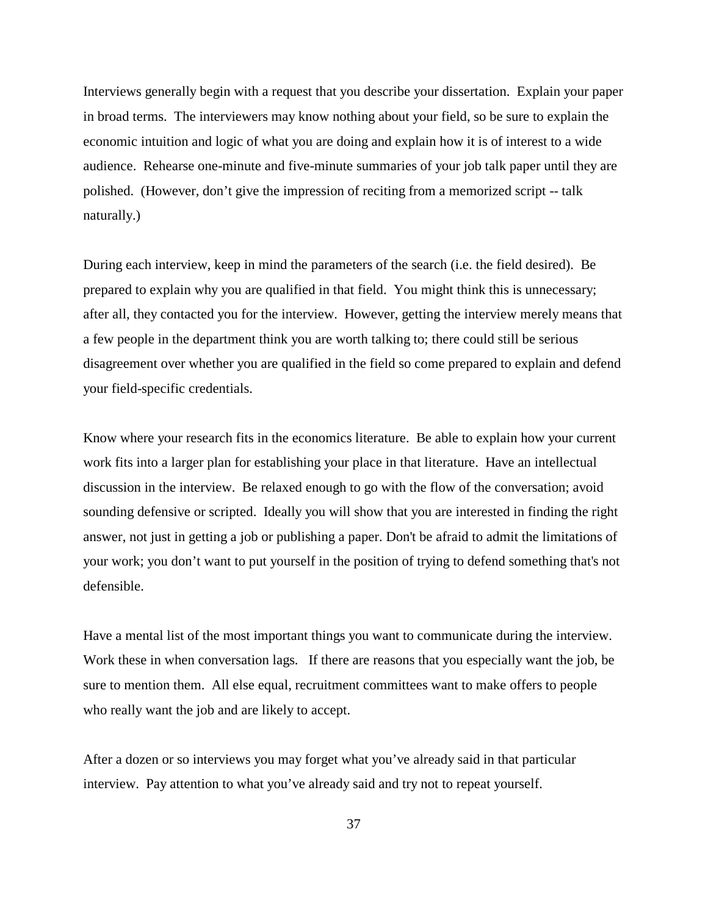Interviews generally begin with a request that you describe your dissertation. Explain your paper in broad terms. The interviewers may know nothing about your field, so be sure to explain the economic intuition and logic of what you are doing and explain how it is of interest to a wide audience. Rehearse one-minute and five-minute summaries of your job talk paper until they are polished. (However, don't give the impression of reciting from a memorized script -- talk naturally.)

During each interview, keep in mind the parameters of the search (i.e. the field desired). Be prepared to explain why you are qualified in that field. You might think this is unnecessary; after all, they contacted you for the interview. However, getting the interview merely means that a few people in the department think you are worth talking to; there could still be serious disagreement over whether you are qualified in the field so come prepared to explain and defend your field-specific credentials.

Know where your research fits in the economics literature. Be able to explain how your current work fits into a larger plan for establishing your place in that literature. Have an intellectual discussion in the interview. Be relaxed enough to go with the flow of the conversation; avoid sounding defensive or scripted. Ideally you will show that you are interested in finding the right answer, not just in getting a job or publishing a paper. Don't be afraid to admit the limitations of your work; you don't want to put yourself in the position of trying to defend something that's not defensible.

Have a mental list of the most important things you want to communicate during the interview. Work these in when conversation lags. If there are reasons that you especially want the job, be sure to mention them. All else equal, recruitment committees want to make offers to people who really want the job and are likely to accept.

After a dozen or so interviews you may forget what you've already said in that particular interview. Pay attention to what you've already said and try not to repeat yourself.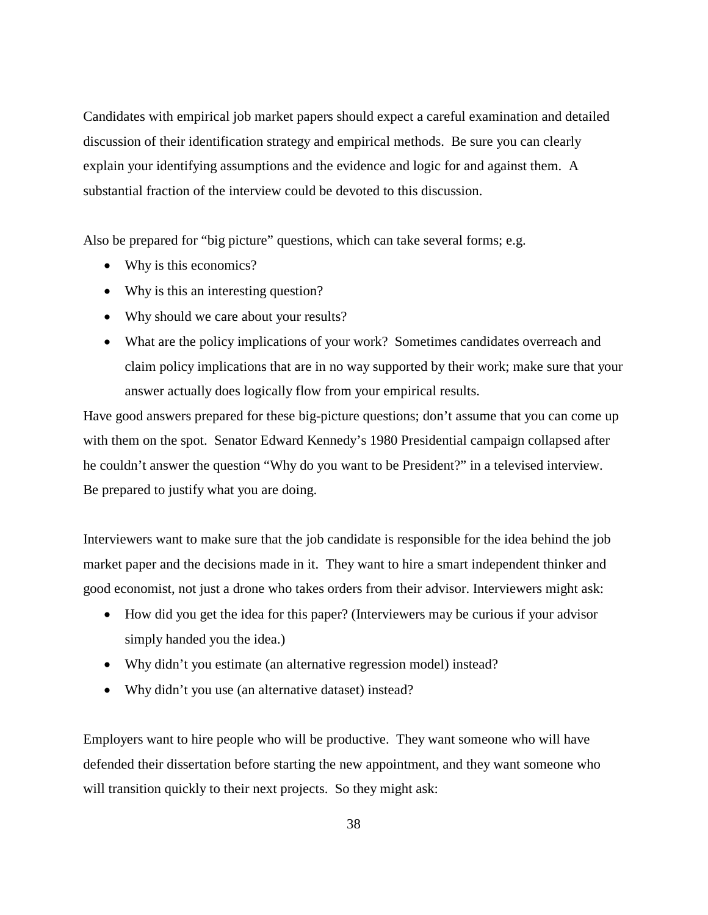Candidates with empirical job market papers should expect a careful examination and detailed discussion of their identification strategy and empirical methods. Be sure you can clearly explain your identifying assumptions and the evidence and logic for and against them. A substantial fraction of the interview could be devoted to this discussion.

Also be prepared for "big picture" questions, which can take several forms; e.g.

- Why is this economics?
- Why is this an interesting question?
- Why should we care about your results?
- What are the policy implications of your work? Sometimes candidates overreach and claim policy implications that are in no way supported by their work; make sure that your answer actually does logically flow from your empirical results.

Have good answers prepared for these big-picture questions; don't assume that you can come up with them on the spot. Senator Edward Kennedy's 1980 Presidential campaign collapsed after he couldn't answer the question "Why do you want to be President?" in a televised interview. Be prepared to justify what you are doing.

Interviewers want to make sure that the job candidate is responsible for the idea behind the job market paper and the decisions made in it. They want to hire a smart independent thinker and good economist, not just a drone who takes orders from their advisor. Interviewers might ask:

- How did you get the idea for this paper? (Interviewers may be curious if your advisor simply handed you the idea.)
- Why didn't you estimate (an alternative regression model) instead?
- Why didn't you use (an alternative dataset) instead?

Employers want to hire people who will be productive. They want someone who will have defended their dissertation before starting the new appointment, and they want someone who will transition quickly to their next projects. So they might ask: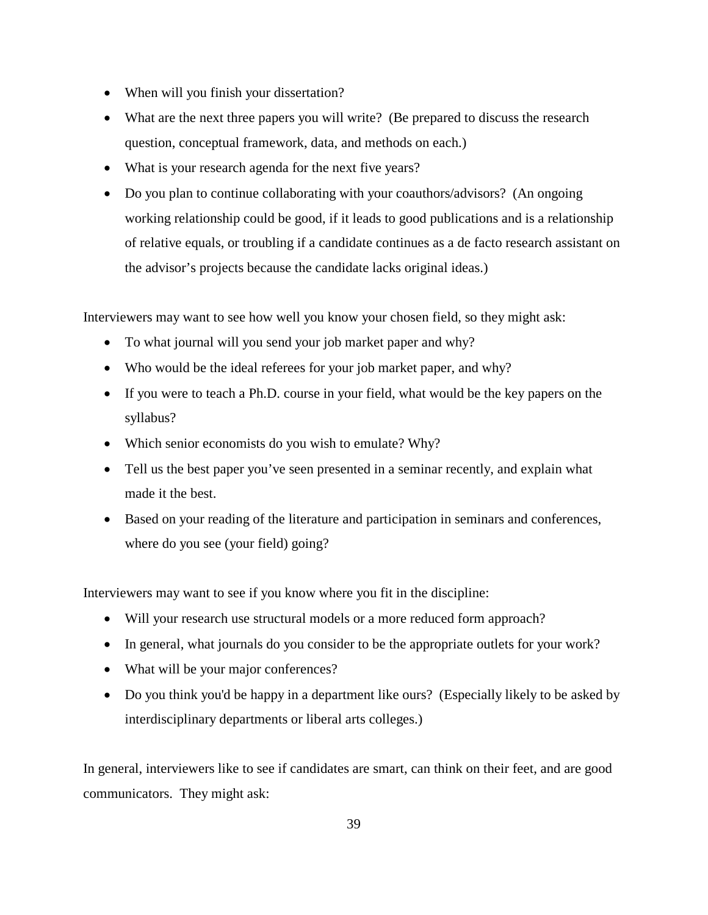- When will you finish your dissertation?
- What are the next three papers you will write? (Be prepared to discuss the research question, conceptual framework, data, and methods on each.)
- What is your research agenda for the next five years?
- Do you plan to continue collaborating with your coauthors/advisors? (An ongoing working relationship could be good, if it leads to good publications and is a relationship of relative equals, or troubling if a candidate continues as a de facto research assistant on the advisor's projects because the candidate lacks original ideas.)

Interviewers may want to see how well you know your chosen field, so they might ask:

- To what journal will you send your job market paper and why?
- Who would be the ideal referees for your job market paper, and why?
- If you were to teach a Ph.D. course in your field, what would be the key papers on the syllabus?
- Which senior economists do you wish to emulate? Why?
- Tell us the best paper you've seen presented in a seminar recently, and explain what made it the best.
- Based on your reading of the literature and participation in seminars and conferences, where do you see (your field) going?

Interviewers may want to see if you know where you fit in the discipline:

- Will your research use structural models or a more reduced form approach?
- In general, what journals do you consider to be the appropriate outlets for your work?
- What will be your major conferences?
- Do you think you'd be happy in a department like ours? (Especially likely to be asked by interdisciplinary departments or liberal arts colleges.)

In general, interviewers like to see if candidates are smart, can think on their feet, and are good communicators. They might ask: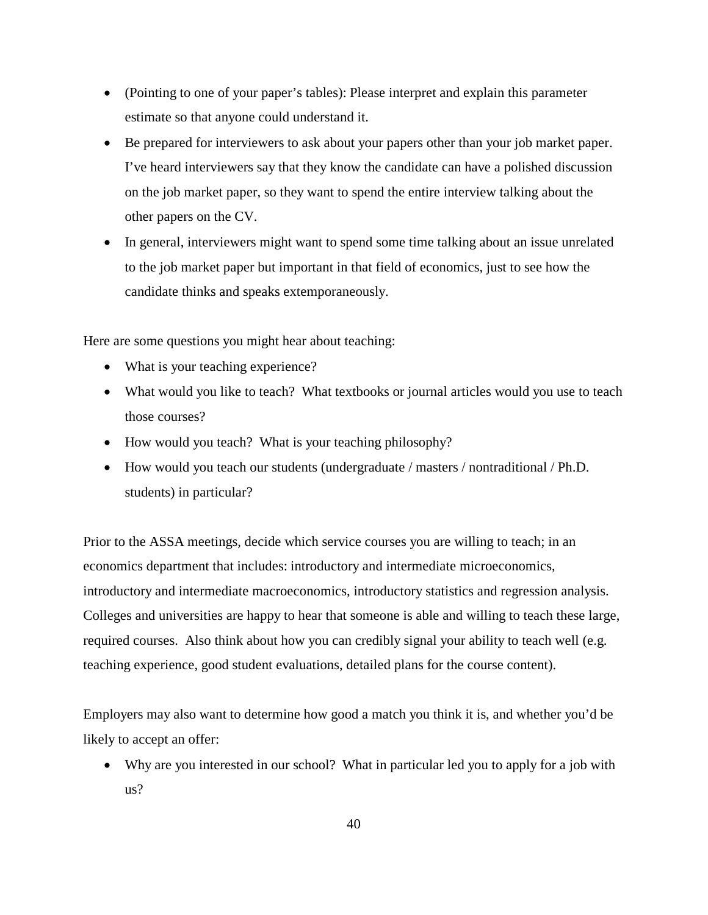- (Pointing to one of your paper's tables): Please interpret and explain this parameter estimate so that anyone could understand it.
- Be prepared for interviewers to ask about your papers other than your job market paper. I've heard interviewers say that they know the candidate can have a polished discussion on the job market paper, so they want to spend the entire interview talking about the other papers on the CV.
- In general, interviewers might want to spend some time talking about an issue unrelated to the job market paper but important in that field of economics, just to see how the candidate thinks and speaks extemporaneously.

Here are some questions you might hear about teaching:

- What is your teaching experience?
- What would you like to teach? What textbooks or journal articles would you use to teach those courses?
- How would you teach? What is your teaching philosophy?
- How would you teach our students (undergraduate / masters / nontraditional / Ph.D. students) in particular?

Prior to the ASSA meetings, decide which service courses you are willing to teach; in an economics department that includes: introductory and intermediate microeconomics, introductory and intermediate macroeconomics, introductory statistics and regression analysis. Colleges and universities are happy to hear that someone is able and willing to teach these large, required courses. Also think about how you can credibly signal your ability to teach well (e.g. teaching experience, good student evaluations, detailed plans for the course content).

Employers may also want to determine how good a match you think it is, and whether you'd be likely to accept an offer:

• Why are you interested in our school? What in particular led you to apply for a job with us?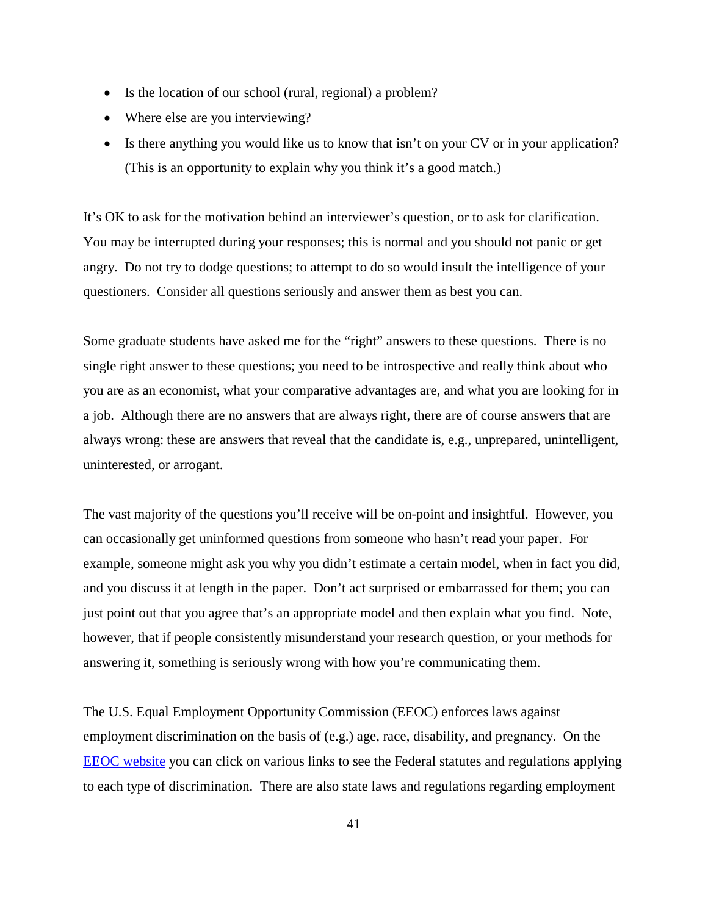- Is the location of our school (rural, regional) a problem?
- Where else are you interviewing?
- Is there anything you would like us to know that isn't on your CV or in your application? (This is an opportunity to explain why you think it's a good match.)

It's OK to ask for the motivation behind an interviewer's question, or to ask for clarification. You may be interrupted during your responses; this is normal and you should not panic or get angry. Do not try to dodge questions; to attempt to do so would insult the intelligence of your questioners. Consider all questions seriously and answer them as best you can.

Some graduate students have asked me for the "right" answers to these questions. There is no single right answer to these questions; you need to be introspective and really think about who you are as an economist, what your comparative advantages are, and what you are looking for in a job. Although there are no answers that are always right, there are of course answers that are always wrong: these are answers that reveal that the candidate is, e.g., unprepared, unintelligent, uninterested, or arrogant.

The vast majority of the questions you'll receive will be on-point and insightful. However, you can occasionally get uninformed questions from someone who hasn't read your paper. For example, someone might ask you why you didn't estimate a certain model, when in fact you did, and you discuss it at length in the paper. Don't act surprised or embarrassed for them; you can just point out that you agree that's an appropriate model and then explain what you find. Note, however, that if people consistently misunderstand your research question, or your methods for answering it, something is seriously wrong with how you're communicating them.

The U.S. Equal Employment Opportunity Commission (EEOC) enforces laws against employment discrimination on the basis of (e.g.) age, race, disability, and pregnancy. On the [EEOC website](https://www.eeoc.gov/) you can click on various links to see the Federal statutes and regulations applying to each type of discrimination. There are also state laws and regulations regarding employment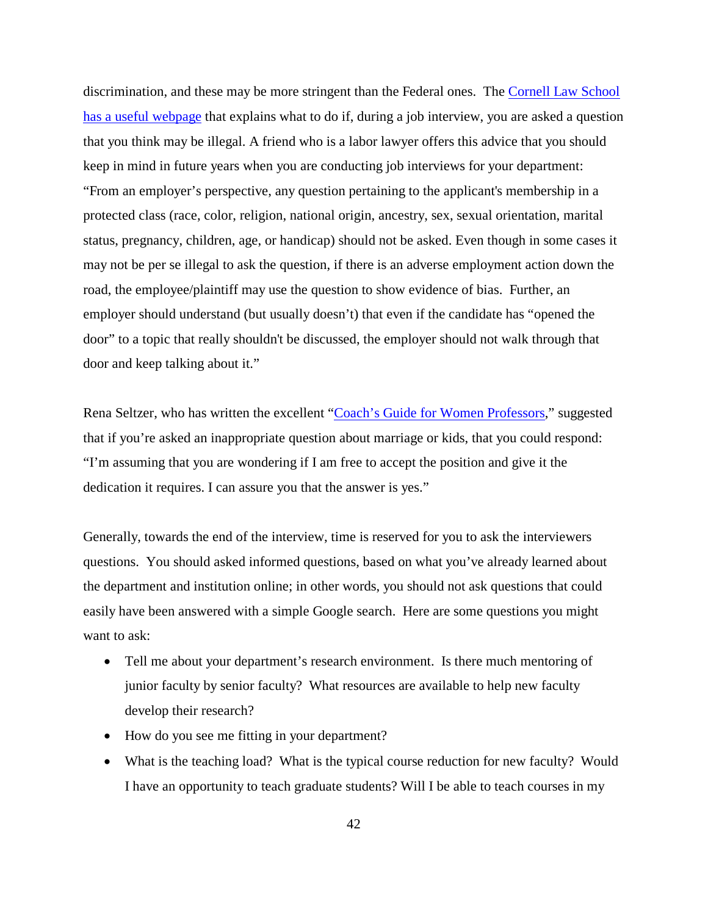discrimination, and these may be more stringent than the Federal ones. The [Cornell Law School](http://www.lawschool.cornell.edu/careers/students/interview/ill_questions.cfm)  [has a useful webpage](http://www.lawschool.cornell.edu/careers/students/interview/ill_questions.cfm) that explains what to do if, during a job interview, you are asked a question that you think may be illegal. A friend who is a labor lawyer offers this advice that you should keep in mind in future years when you are conducting job interviews for your department: "From an employer's perspective, any question pertaining to the applicant's membership in a protected class (race, color, religion, national origin, ancestry, sex, sexual orientation, marital status, pregnancy, children, age, or handicap) should not be asked. Even though in some cases it may not be per se illegal to ask the question, if there is an adverse employment action down the road, the employee/plaintiff may use the question to show evidence of bias. Further, an employer should understand (but usually doesn't) that even if the candidate has "opened the door" to a topic that really shouldn't be discussed, the employer should not walk through that door and keep talking about it."

Rena Seltzer, who has written the excellent ["Coach's Guide for Women Professors,](https://www.amazon.com/Coachs-Guide-Women-Professors-Well-Balanced/dp/1579228968/ref=sr_1_1?ie=UTF8&qid=1479326463&sr=8-1&keywords=rena+seltzer)" suggested that if you're asked an inappropriate question about marriage or kids, that you could respond: "I'm assuming that you are wondering if I am free to accept the position and give it the dedication it requires. I can assure you that the answer is yes."

Generally, towards the end of the interview, time is reserved for you to ask the interviewers questions. You should asked informed questions, based on what you've already learned about the department and institution online; in other words, you should not ask questions that could easily have been answered with a simple Google search. Here are some questions you might want to ask:

- Tell me about your department's research environment. Is there much mentoring of junior faculty by senior faculty? What resources are available to help new faculty develop their research?
- How do you see me fitting in your department?
- What is the teaching load? What is the typical course reduction for new faculty? Would I have an opportunity to teach graduate students? Will I be able to teach courses in my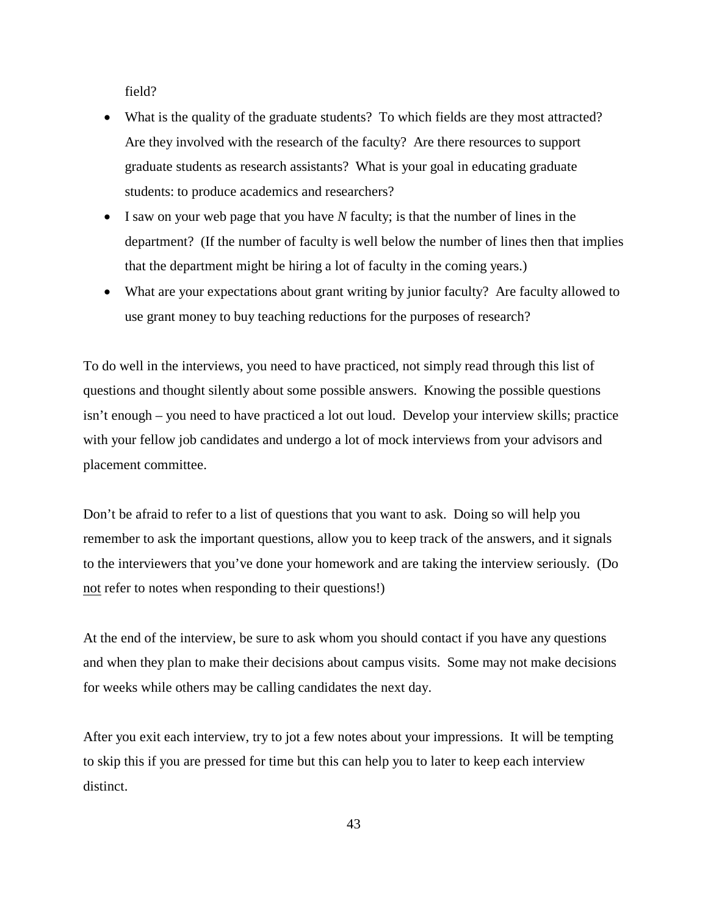field?

- What is the quality of the graduate students? To which fields are they most attracted? Are they involved with the research of the faculty? Are there resources to support graduate students as research assistants? What is your goal in educating graduate students: to produce academics and researchers?
- I saw on your web page that you have *N* faculty; is that the number of lines in the department? (If the number of faculty is well below the number of lines then that implies that the department might be hiring a lot of faculty in the coming years.)
- What are your expectations about grant writing by junior faculty? Are faculty allowed to use grant money to buy teaching reductions for the purposes of research?

To do well in the interviews, you need to have practiced, not simply read through this list of questions and thought silently about some possible answers. Knowing the possible questions isn't enough – you need to have practiced a lot out loud. Develop your interview skills; practice with your fellow job candidates and undergo a lot of mock interviews from your advisors and placement committee.

Don't be afraid to refer to a list of questions that you want to ask. Doing so will help you remember to ask the important questions, allow you to keep track of the answers, and it signals to the interviewers that you've done your homework and are taking the interview seriously. (Do not refer to notes when responding to their questions!)

At the end of the interview, be sure to ask whom you should contact if you have any questions and when they plan to make their decisions about campus visits. Some may not make decisions for weeks while others may be calling candidates the next day.

After you exit each interview, try to jot a few notes about your impressions. It will be tempting to skip this if you are pressed for time but this can help you to later to keep each interview distinct.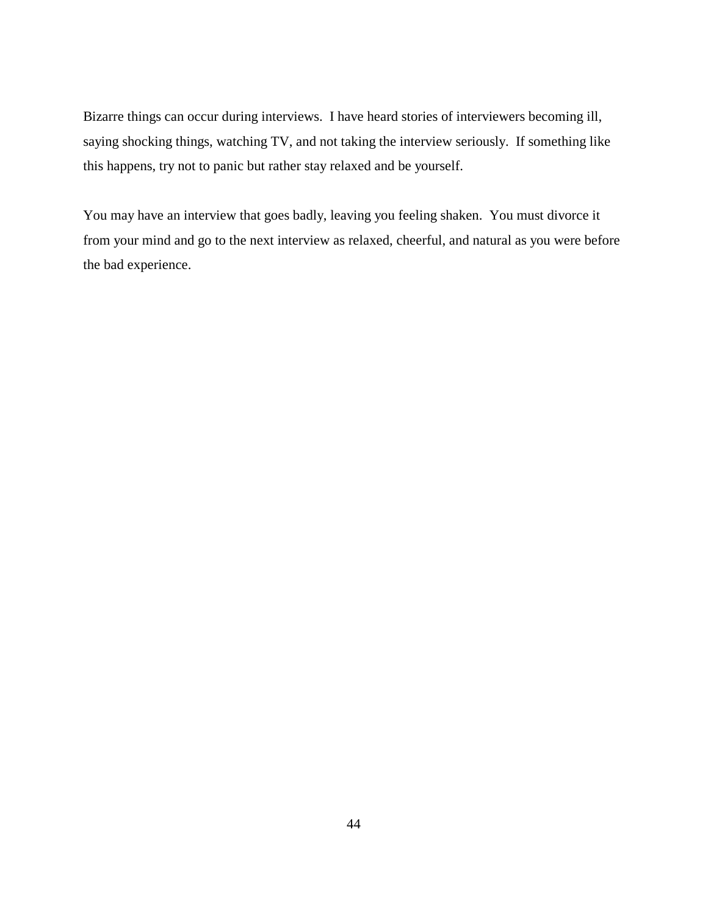Bizarre things can occur during interviews. I have heard stories of interviewers becoming ill, saying shocking things, watching TV, and not taking the interview seriously. If something like this happens, try not to panic but rather stay relaxed and be yourself.

You may have an interview that goes badly, leaving you feeling shaken. You must divorce it from your mind and go to the next interview as relaxed, cheerful, and natural as you were before the bad experience.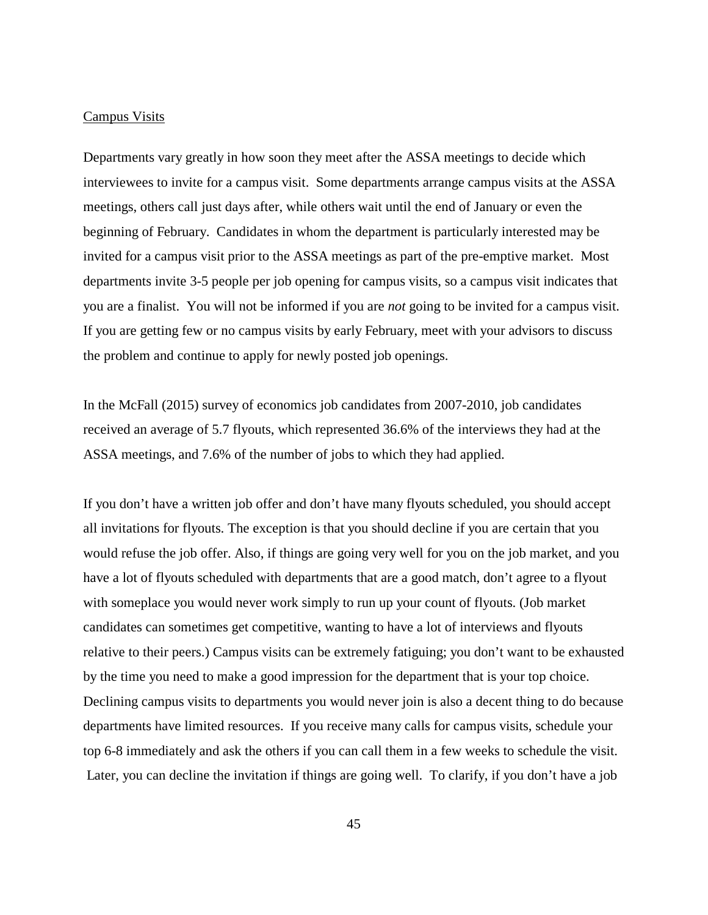### Campus Visits

Departments vary greatly in how soon they meet after the ASSA meetings to decide which interviewees to invite for a campus visit. Some departments arrange campus visits at the ASSA meetings, others call just days after, while others wait until the end of January or even the beginning of February. Candidates in whom the department is particularly interested may be invited for a campus visit prior to the ASSA meetings as part of the pre-emptive market. Most departments invite 3-5 people per job opening for campus visits, so a campus visit indicates that you are a finalist. You will not be informed if you are *not* going to be invited for a campus visit. If you are getting few or no campus visits by early February, meet with your advisors to discuss the problem and continue to apply for newly posted job openings.

In the McFall (2015) survey of economics job candidates from 2007-2010, job candidates received an average of 5.7 flyouts, which represented 36.6% of the interviews they had at the ASSA meetings, and 7.6% of the number of jobs to which they had applied.

If you don't have a written job offer and don't have many flyouts scheduled, you should accept all invitations for flyouts. The exception is that you should decline if you are certain that you would refuse the job offer. Also, if things are going very well for you on the job market, and you have a lot of flyouts scheduled with departments that are a good match, don't agree to a flyout with someplace you would never work simply to run up your count of flyouts. (Job market candidates can sometimes get competitive, wanting to have a lot of interviews and flyouts relative to their peers.) Campus visits can be extremely fatiguing; you don't want to be exhausted by the time you need to make a good impression for the department that is your top choice. Declining campus visits to departments you would never join is also a decent thing to do because departments have limited resources. If you receive many calls for campus visits, schedule your top 6-8 immediately and ask the others if you can call them in a few weeks to schedule the visit. Later, you can decline the invitation if things are going well. To clarify, if you don't have a job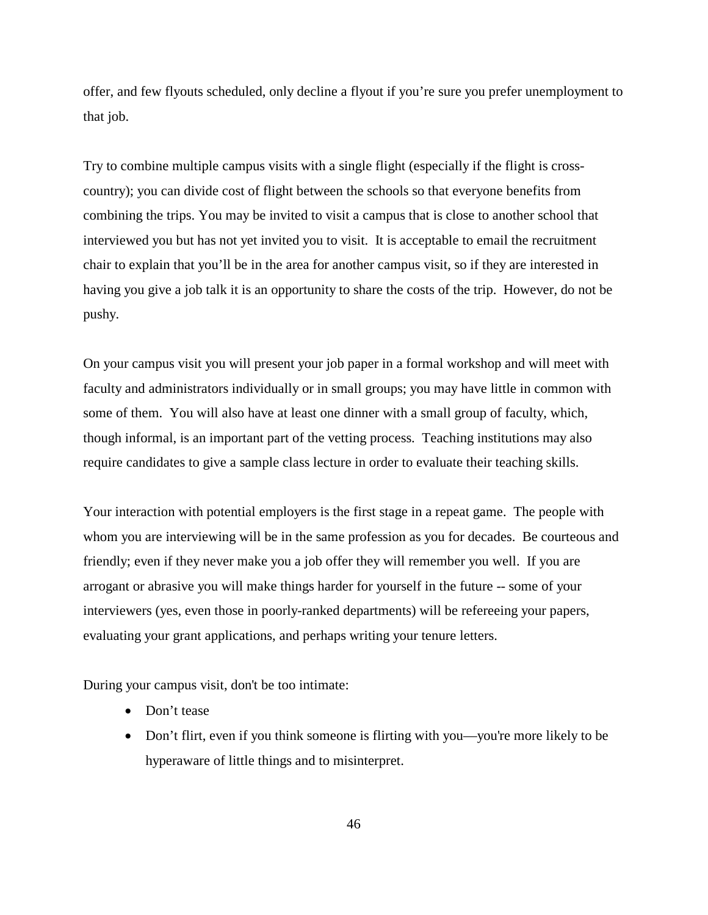offer, and few flyouts scheduled, only decline a flyout if you're sure you prefer unemployment to that job.

Try to combine multiple campus visits with a single flight (especially if the flight is crosscountry); you can divide cost of flight between the schools so that everyone benefits from combining the trips. You may be invited to visit a campus that is close to another school that interviewed you but has not yet invited you to visit. It is acceptable to email the recruitment chair to explain that you'll be in the area for another campus visit, so if they are interested in having you give a job talk it is an opportunity to share the costs of the trip. However, do not be pushy.

On your campus visit you will present your job paper in a formal workshop and will meet with faculty and administrators individually or in small groups; you may have little in common with some of them. You will also have at least one dinner with a small group of faculty, which, though informal, is an important part of the vetting process. Teaching institutions may also require candidates to give a sample class lecture in order to evaluate their teaching skills.

Your interaction with potential employers is the first stage in a repeat game. The people with whom you are interviewing will be in the same profession as you for decades. Be courteous and friendly; even if they never make you a job offer they will remember you well. If you are arrogant or abrasive you will make things harder for yourself in the future -- some of your interviewers (yes, even those in poorly-ranked departments) will be refereeing your papers, evaluating your grant applications, and perhaps writing your tenure letters.

During your campus visit, don't be too intimate:

- Don't tease
- Don't flirt, even if you think someone is flirting with you—you're more likely to be hyperaware of little things and to misinterpret.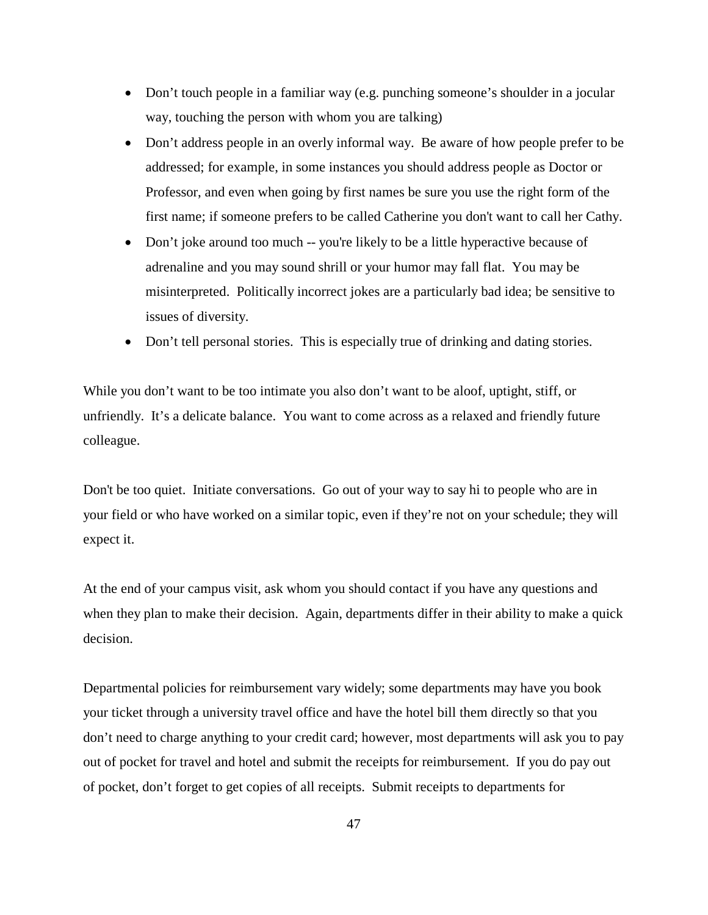- Don't touch people in a familiar way (e.g. punching someone's shoulder in a jocular way, touching the person with whom you are talking)
- Don't address people in an overly informal way. Be aware of how people prefer to be addressed; for example, in some instances you should address people as Doctor or Professor, and even when going by first names be sure you use the right form of the first name; if someone prefers to be called Catherine you don't want to call her Cathy.
- Don't joke around too much -- you're likely to be a little hyperactive because of adrenaline and you may sound shrill or your humor may fall flat. You may be misinterpreted. Politically incorrect jokes are a particularly bad idea; be sensitive to issues of diversity.
- Don't tell personal stories. This is especially true of drinking and dating stories.

While you don't want to be too intimate you also don't want to be aloof, uptight, stiff, or unfriendly. It's a delicate balance. You want to come across as a relaxed and friendly future colleague.

Don't be too quiet. Initiate conversations. Go out of your way to say hi to people who are in your field or who have worked on a similar topic, even if they're not on your schedule; they will expect it.

At the end of your campus visit, ask whom you should contact if you have any questions and when they plan to make their decision. Again, departments differ in their ability to make a quick decision.

Departmental policies for reimbursement vary widely; some departments may have you book your ticket through a university travel office and have the hotel bill them directly so that you don't need to charge anything to your credit card; however, most departments will ask you to pay out of pocket for travel and hotel and submit the receipts for reimbursement. If you do pay out of pocket, don't forget to get copies of all receipts. Submit receipts to departments for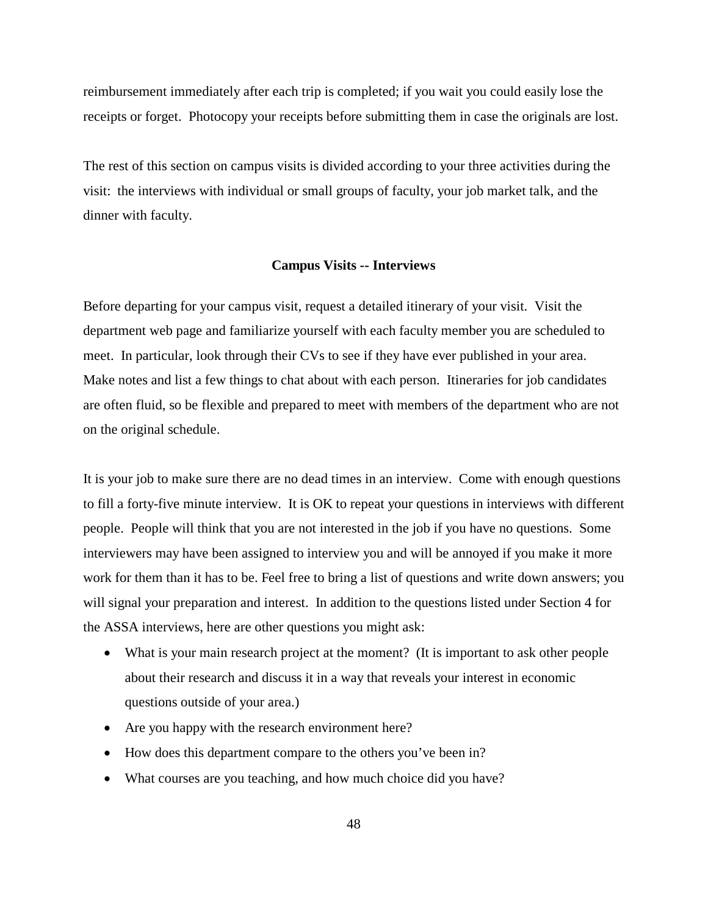reimbursement immediately after each trip is completed; if you wait you could easily lose the receipts or forget. Photocopy your receipts before submitting them in case the originals are lost.

The rest of this section on campus visits is divided according to your three activities during the visit: the interviews with individual or small groups of faculty, your job market talk, and the dinner with faculty.

#### **Campus Visits -- Interviews**

Before departing for your campus visit, request a detailed itinerary of your visit. Visit the department web page and familiarize yourself with each faculty member you are scheduled to meet. In particular, look through their CVs to see if they have ever published in your area. Make notes and list a few things to chat about with each person. Itineraries for job candidates are often fluid, so be flexible and prepared to meet with members of the department who are not on the original schedule.

It is your job to make sure there are no dead times in an interview. Come with enough questions to fill a forty-five minute interview. It is OK to repeat your questions in interviews with different people. People will think that you are not interested in the job if you have no questions. Some interviewers may have been assigned to interview you and will be annoyed if you make it more work for them than it has to be. Feel free to bring a list of questions and write down answers; you will signal your preparation and interest. In addition to the questions listed under Section 4 for the ASSA interviews, here are other questions you might ask:

- What is your main research project at the moment? (It is important to ask other people about their research and discuss it in a way that reveals your interest in economic questions outside of your area.)
- Are you happy with the research environment here?
- How does this department compare to the others you've been in?
- What courses are you teaching, and how much choice did you have?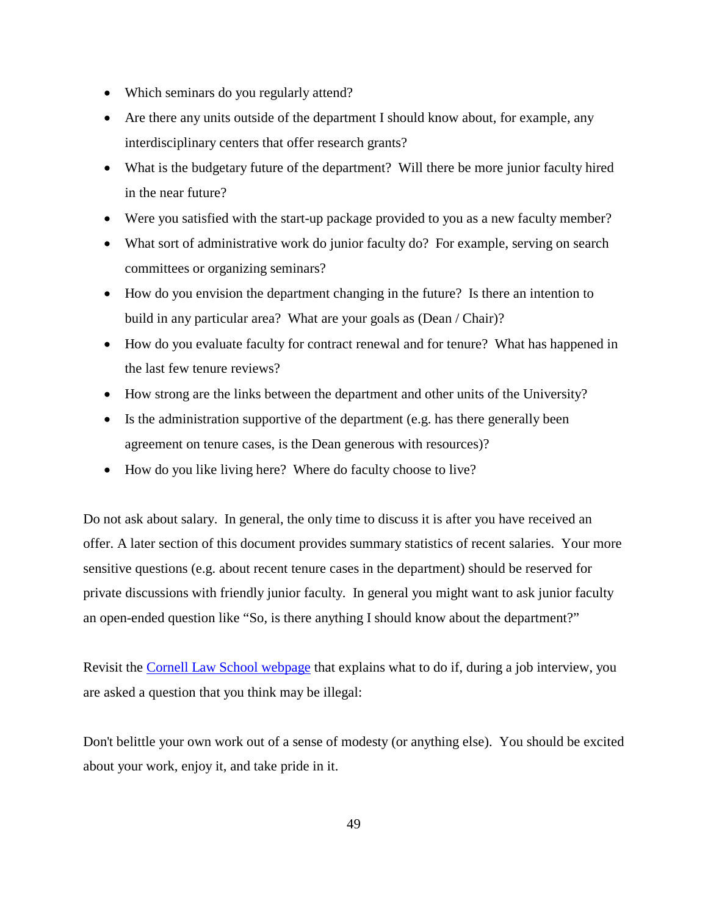- Which seminars do you regularly attend?
- Are there any units outside of the department I should know about, for example, any interdisciplinary centers that offer research grants?
- What is the budgetary future of the department? Will there be more junior faculty hired in the near future?
- Were you satisfied with the start-up package provided to you as a new faculty member?
- What sort of administrative work do junior faculty do? For example, serving on search committees or organizing seminars?
- How do you envision the department changing in the future? Is there an intention to build in any particular area? What are your goals as (Dean / Chair)?
- How do you evaluate faculty for contract renewal and for tenure? What has happened in the last few tenure reviews?
- How strong are the links between the department and other units of the University?
- Is the administration supportive of the department (e.g. has there generally been agreement on tenure cases, is the Dean generous with resources)?
- How do you like living here? Where do faculty choose to live?

Do not ask about salary. In general, the only time to discuss it is after you have received an offer. A later section of this document provides summary statistics of recent salaries. Your more sensitive questions (e.g. about recent tenure cases in the department) should be reserved for private discussions with friendly junior faculty. In general you might want to ask junior faculty an open-ended question like "So, is there anything I should know about the department?"

Revisit the [Cornell Law School webpage](http://www.lawschool.cornell.edu/careers/students/interview/ill_questions.cfm) that explains what to do if, during a job interview, you are asked a question that you think may be illegal:

Don't belittle your own work out of a sense of modesty (or anything else). You should be excited about your work, enjoy it, and take pride in it.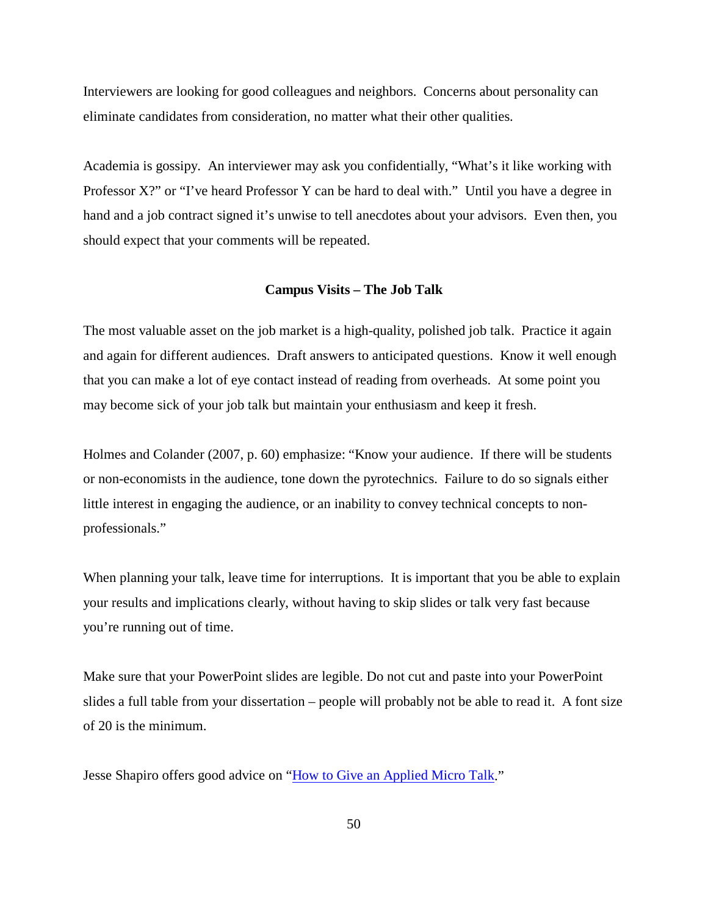Interviewers are looking for good colleagues and neighbors. Concerns about personality can eliminate candidates from consideration, no matter what their other qualities.

Academia is gossipy. An interviewer may ask you confidentially, "What's it like working with Professor X?" or "I've heard Professor Y can be hard to deal with." Until you have a degree in hand and a job contract signed it's unwise to tell anecdotes about your advisors. Even then, you should expect that your comments will be repeated.

#### **Campus Visits – The Job Talk**

The most valuable asset on the job market is a high-quality, polished job talk. Practice it again and again for different audiences. Draft answers to anticipated questions. Know it well enough that you can make a lot of eye contact instead of reading from overheads. At some point you may become sick of your job talk but maintain your enthusiasm and keep it fresh.

Holmes and Colander (2007, p. 60) emphasize: "Know your audience. If there will be students or non-economists in the audience, tone down the pyrotechnics. Failure to do so signals either little interest in engaging the audience, or an inability to convey technical concepts to nonprofessionals."

When planning your talk, leave time for interruptions. It is important that you be able to explain your results and implications clearly, without having to skip slides or talk very fast because you're running out of time.

Make sure that your PowerPoint slides are legible. Do not cut and paste into your PowerPoint slides a full table from your dissertation – people will probably not be able to read it. A font size of 20 is the minimum.

Jesse Shapiro offers good advice on ["How to Give an Applied Micro Talk.](https://www.brown.edu/Research/Shapiro/pdfs/applied_micro_slides.pdf)"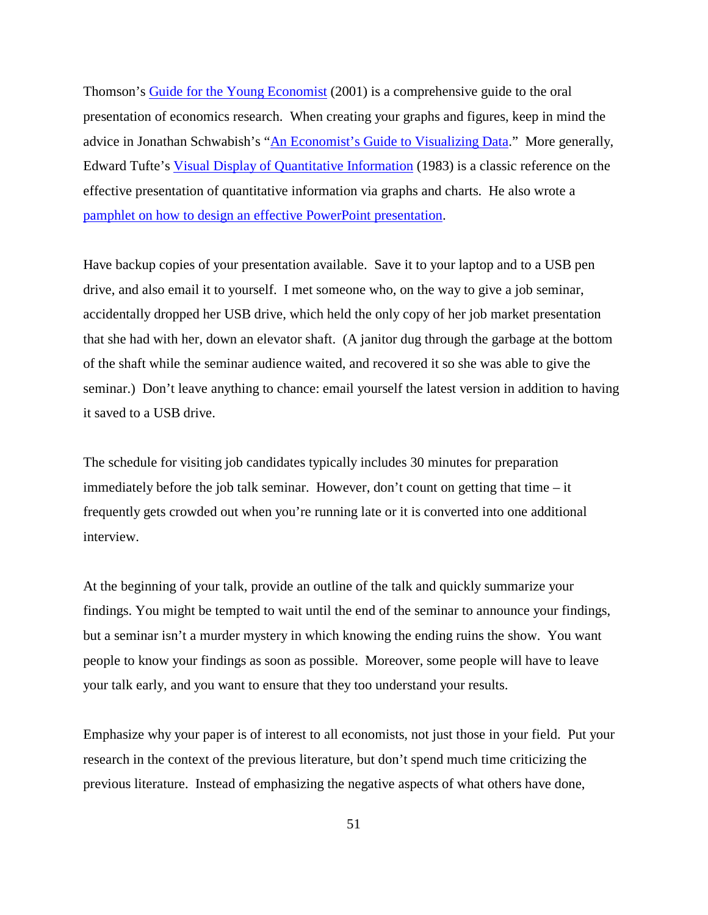Thomson's [Guide for the Young Economist](https://www.amazon.com/Guide-Young-Economist-William-Thomson/dp/0262700794/ref=sr_1_2?ie=UTF8&qid=1479321908&sr=8-2&keywords=guide+young+economist) (2001) is a comprehensive guide to the oral presentation of economics research. When creating your graphs and figures, keep in mind the advice in Jonathan Schwabish's ["An Economist's Guide to Visualizing Data.](https://www.aeaweb.org/articles?id=10.1257/jep.28.1.209)" More generally, Edward Tufte's [Visual Display of Quantitative Information](https://www.amazon.com/Visual-Display-Quantitative-Information/dp/1930824130/ref=sr_1_1_twi_pap_2?ie=UTF8&qid=1479321969&sr=8-1&keywords=edward+tufte) (1983) is a classic reference on the effective presentation of quantitative information via graphs and charts. He also wrote a [pamphlet on how to design an effective PowerPoint presentation.](https://www.amazon.com/Cognitive-Style-PowerPoint-Pitching-Corrupts/dp/0961392169/ref=sr_1_8?ie=UTF8&qid=1479321969&sr=8-8&keywords=edward+tufte)

Have backup copies of your presentation available. Save it to your laptop and to a USB pen drive, and also email it to yourself. I met someone who, on the way to give a job seminar, accidentally dropped her USB drive, which held the only copy of her job market presentation that she had with her, down an elevator shaft. (A janitor dug through the garbage at the bottom of the shaft while the seminar audience waited, and recovered it so she was able to give the seminar.) Don't leave anything to chance: email yourself the latest version in addition to having it saved to a USB drive.

The schedule for visiting job candidates typically includes 30 minutes for preparation immediately before the job talk seminar. However, don't count on getting that time – it frequently gets crowded out when you're running late or it is converted into one additional interview.

At the beginning of your talk, provide an outline of the talk and quickly summarize your findings. You might be tempted to wait until the end of the seminar to announce your findings, but a seminar isn't a murder mystery in which knowing the ending ruins the show. You want people to know your findings as soon as possible. Moreover, some people will have to leave your talk early, and you want to ensure that they too understand your results.

Emphasize why your paper is of interest to all economists, not just those in your field. Put your research in the context of the previous literature, but don't spend much time criticizing the previous literature. Instead of emphasizing the negative aspects of what others have done,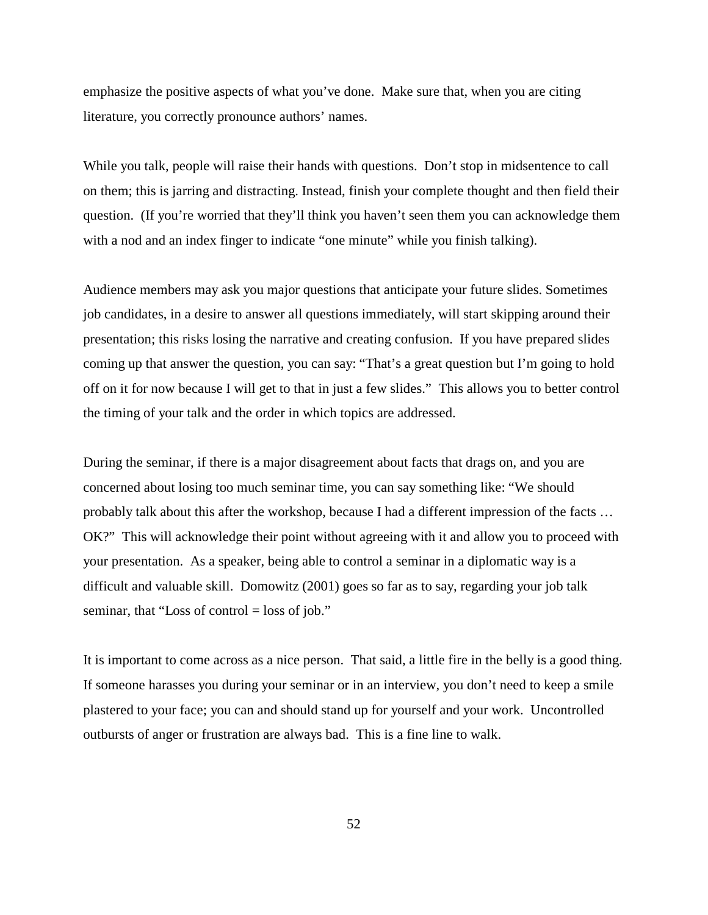emphasize the positive aspects of what you've done. Make sure that, when you are citing literature, you correctly pronounce authors' names.

While you talk, people will raise their hands with questions. Don't stop in midsentence to call on them; this is jarring and distracting. Instead, finish your complete thought and then field their question. (If you're worried that they'll think you haven't seen them you can acknowledge them with a nod and an index finger to indicate "one minute" while you finish talking).

Audience members may ask you major questions that anticipate your future slides. Sometimes job candidates, in a desire to answer all questions immediately, will start skipping around their presentation; this risks losing the narrative and creating confusion. If you have prepared slides coming up that answer the question, you can say: "That's a great question but I'm going to hold off on it for now because I will get to that in just a few slides." This allows you to better control the timing of your talk and the order in which topics are addressed.

During the seminar, if there is a major disagreement about facts that drags on, and you are concerned about losing too much seminar time, you can say something like: "We should probably talk about this after the workshop, because I had a different impression of the facts … OK?" This will acknowledge their point without agreeing with it and allow you to proceed with your presentation. As a speaker, being able to control a seminar in a diplomatic way is a difficult and valuable skill. Domowitz (2001) goes so far as to say, regarding your job talk seminar, that "Loss of control = loss of job."

It is important to come across as a nice person. That said, a little fire in the belly is a good thing. If someone harasses you during your seminar or in an interview, you don't need to keep a smile plastered to your face; you can and should stand up for yourself and your work. Uncontrolled outbursts of anger or frustration are always bad. This is a fine line to walk.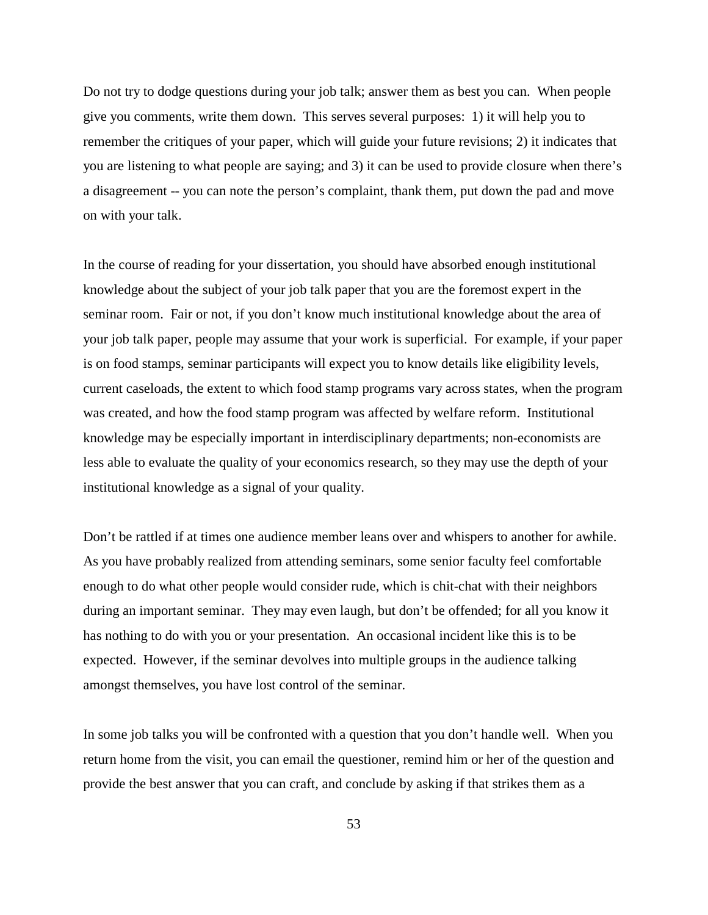Do not try to dodge questions during your job talk; answer them as best you can. When people give you comments, write them down. This serves several purposes: 1) it will help you to remember the critiques of your paper, which will guide your future revisions; 2) it indicates that you are listening to what people are saying; and 3) it can be used to provide closure when there's a disagreement -- you can note the person's complaint, thank them, put down the pad and move on with your talk.

In the course of reading for your dissertation, you should have absorbed enough institutional knowledge about the subject of your job talk paper that you are the foremost expert in the seminar room. Fair or not, if you don't know much institutional knowledge about the area of your job talk paper, people may assume that your work is superficial. For example, if your paper is on food stamps, seminar participants will expect you to know details like eligibility levels, current caseloads, the extent to which food stamp programs vary across states, when the program was created, and how the food stamp program was affected by welfare reform. Institutional knowledge may be especially important in interdisciplinary departments; non-economists are less able to evaluate the quality of your economics research, so they may use the depth of your institutional knowledge as a signal of your quality.

Don't be rattled if at times one audience member leans over and whispers to another for awhile. As you have probably realized from attending seminars, some senior faculty feel comfortable enough to do what other people would consider rude, which is chit-chat with their neighbors during an important seminar. They may even laugh, but don't be offended; for all you know it has nothing to do with you or your presentation. An occasional incident like this is to be expected. However, if the seminar devolves into multiple groups in the audience talking amongst themselves, you have lost control of the seminar.

In some job talks you will be confronted with a question that you don't handle well. When you return home from the visit, you can email the questioner, remind him or her of the question and provide the best answer that you can craft, and conclude by asking if that strikes them as a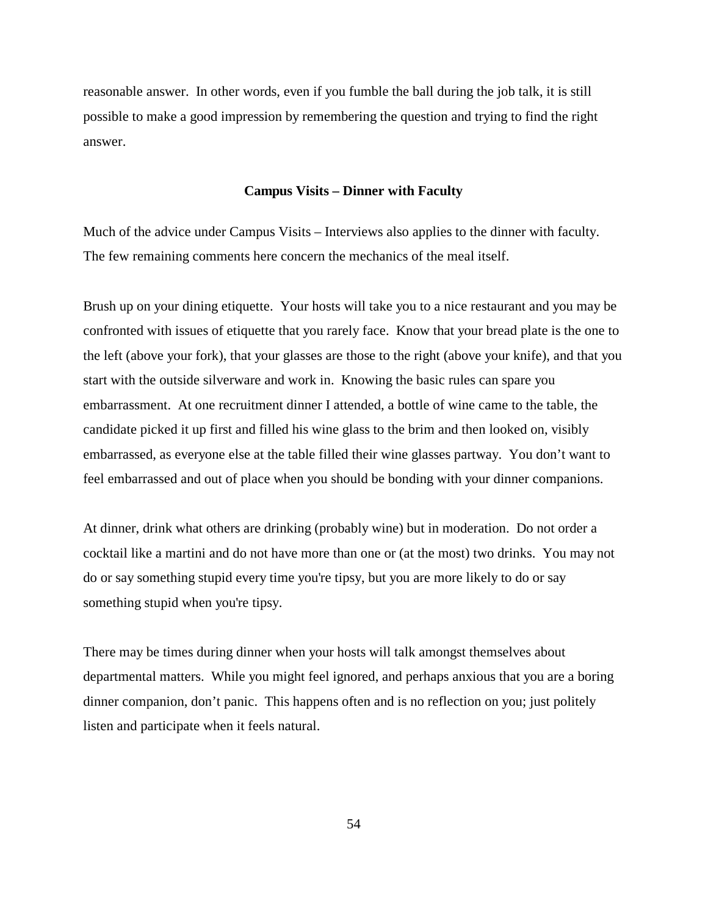reasonable answer. In other words, even if you fumble the ball during the job talk, it is still possible to make a good impression by remembering the question and trying to find the right answer.

### **Campus Visits – Dinner with Faculty**

Much of the advice under Campus Visits – Interviews also applies to the dinner with faculty. The few remaining comments here concern the mechanics of the meal itself.

Brush up on your dining etiquette. Your hosts will take you to a nice restaurant and you may be confronted with issues of etiquette that you rarely face. Know that your bread plate is the one to the left (above your fork), that your glasses are those to the right (above your knife), and that you start with the outside silverware and work in. Knowing the basic rules can spare you embarrassment. At one recruitment dinner I attended, a bottle of wine came to the table, the candidate picked it up first and filled his wine glass to the brim and then looked on, visibly embarrassed, as everyone else at the table filled their wine glasses partway. You don't want to feel embarrassed and out of place when you should be bonding with your dinner companions.

At dinner, drink what others are drinking (probably wine) but in moderation. Do not order a cocktail like a martini and do not have more than one or (at the most) two drinks. You may not do or say something stupid every time you're tipsy, but you are more likely to do or say something stupid when you're tipsy.

There may be times during dinner when your hosts will talk amongst themselves about departmental matters. While you might feel ignored, and perhaps anxious that you are a boring dinner companion, don't panic. This happens often and is no reflection on you; just politely listen and participate when it feels natural.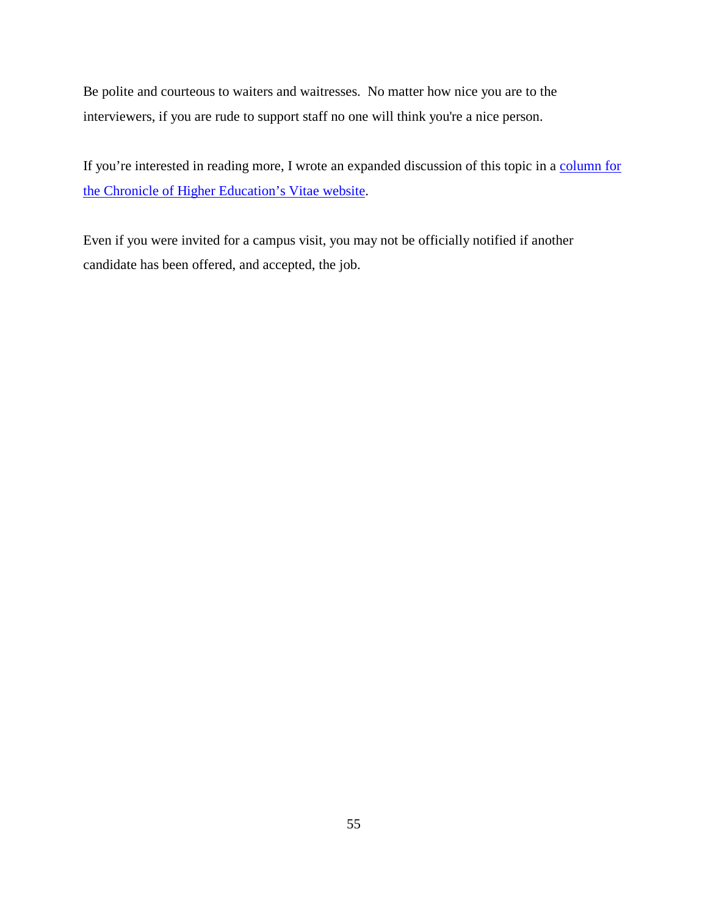Be polite and courteous to waiters and waitresses. No matter how nice you are to the interviewers, if you are rude to support staff no one will think you're a nice person.

If you're interested in reading more, I wrote an expanded discussion of this topic in a [column for](https://chroniclevitae.com/news/1191-the-etiquette-minefield-of-the-interview-meal)  [the Chronicle of Higher Education's Vitae website.](https://chroniclevitae.com/news/1191-the-etiquette-minefield-of-the-interview-meal)

Even if you were invited for a campus visit, you may not be officially notified if another candidate has been offered, and accepted, the job.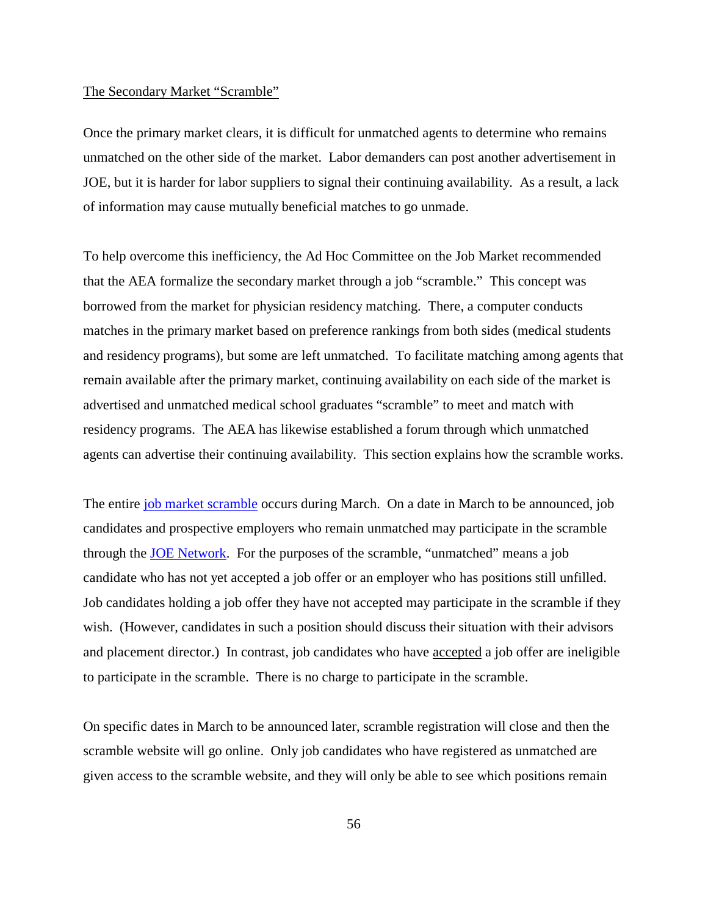#### The Secondary Market "Scramble"

Once the primary market clears, it is difficult for unmatched agents to determine who remains unmatched on the other side of the market. Labor demanders can post another advertisement in JOE, but it is harder for labor suppliers to signal their continuing availability. As a result, a lack of information may cause mutually beneficial matches to go unmade.

To help overcome this inefficiency, the Ad Hoc Committee on the Job Market recommended that the AEA formalize the secondary market through a job "scramble." This concept was borrowed from the market for physician residency matching. There, a computer conducts matches in the primary market based on preference rankings from both sides (medical students and residency programs), but some are left unmatched. To facilitate matching among agents that remain available after the primary market, continuing availability on each side of the market is advertised and unmatched medical school graduates "scramble" to meet and match with residency programs. The AEA has likewise established a forum through which unmatched agents can advertise their continuing availability. This section explains how the scramble works.

The entire [job market scramble](https://www.aeaweb.org/joe/scramble/) occurs during March. On a date in March to be announced, job candidates and prospective employers who remain unmatched may participate in the scramble through the [JOE Network.](https://www.aeaweb.org/joe/) For the purposes of the scramble, "unmatched" means a job candidate who has not yet accepted a job offer or an employer who has positions still unfilled. Job candidates holding a job offer they have not accepted may participate in the scramble if they wish. (However, candidates in such a position should discuss their situation with their advisors and placement director.) In contrast, job candidates who have accepted a job offer are ineligible to participate in the scramble. There is no charge to participate in the scramble.

On specific dates in March to be announced later, scramble registration will close and then the scramble website will go online. Only job candidates who have registered as unmatched are given access to the scramble website, and they will only be able to see which positions remain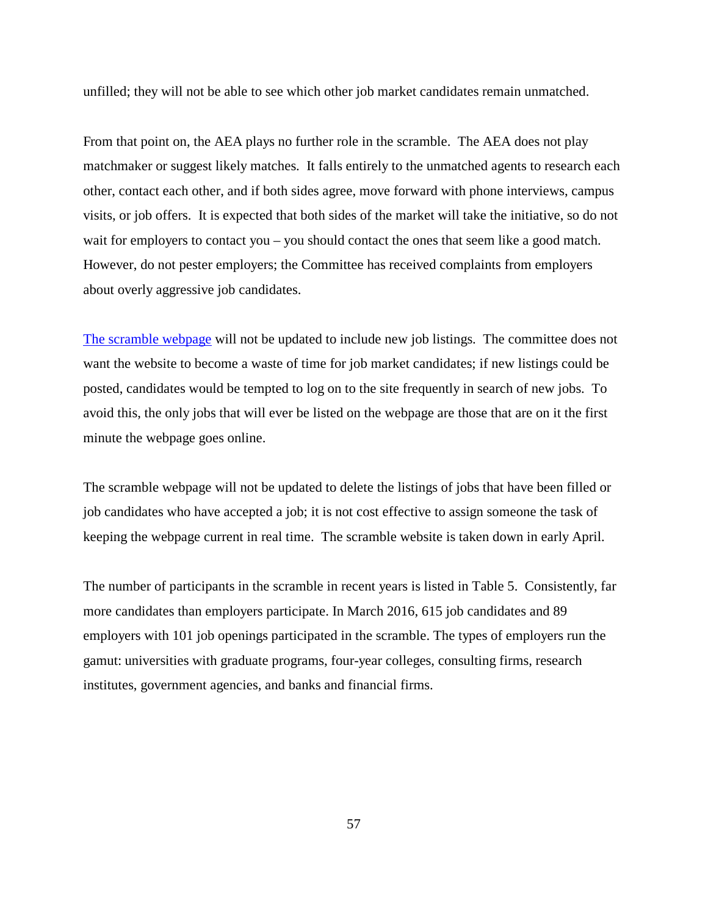unfilled; they will not be able to see which other job market candidates remain unmatched.

From that point on, the AEA plays no further role in the scramble. The AEA does not play matchmaker or suggest likely matches. It falls entirely to the unmatched agents to research each other, contact each other, and if both sides agree, move forward with phone interviews, campus visits, or job offers. It is expected that both sides of the market will take the initiative, so do not wait for employers to contact you – you should contact the ones that seem like a good match. However, do not pester employers; the Committee has received complaints from employers about overly aggressive job candidates.

[The scramble webpage](https://www.aeaweb.org/joe/scramble/) will not be updated to include new job listings. The committee does not want the website to become a waste of time for job market candidates; if new listings could be posted, candidates would be tempted to log on to the site frequently in search of new jobs. To avoid this, the only jobs that will ever be listed on the webpage are those that are on it the first minute the webpage goes online.

The scramble webpage will not be updated to delete the listings of jobs that have been filled or job candidates who have accepted a job; it is not cost effective to assign someone the task of keeping the webpage current in real time. The scramble website is taken down in early April.

The number of participants in the scramble in recent years is listed in Table 5. Consistently, far more candidates than employers participate. In March 2016, 615 job candidates and 89 employers with 101 job openings participated in the scramble. The types of employers run the gamut: universities with graduate programs, four-year colleges, consulting firms, research institutes, government agencies, and banks and financial firms.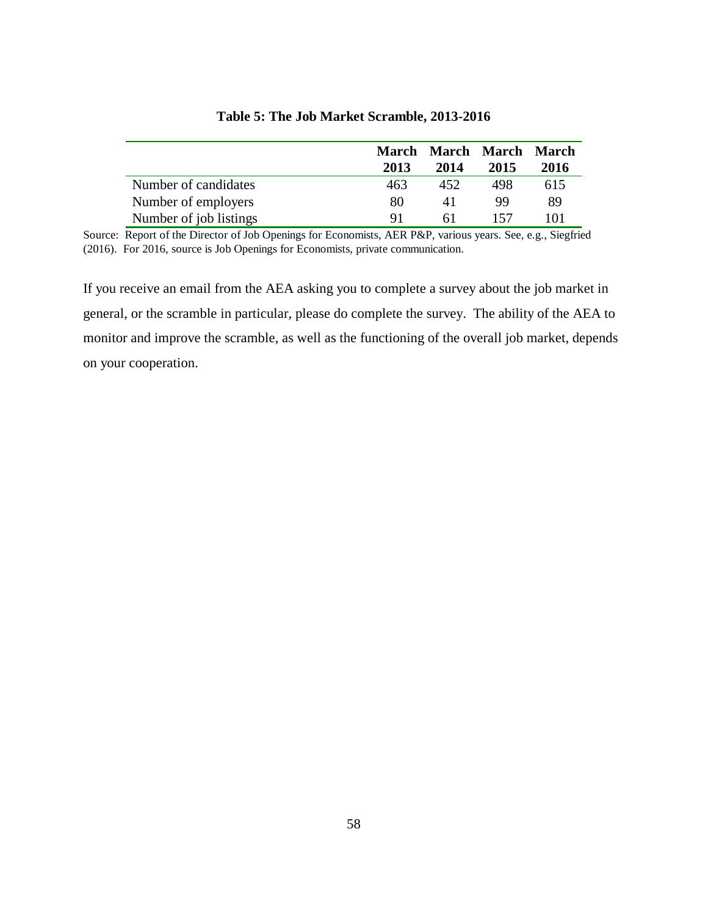|                        | March |      | March March March |      |
|------------------------|-------|------|-------------------|------|
|                        | 2013  | 2014 | 2015              | 2016 |
| Number of candidates   | 463   | 452  | 498               | 615  |
| Number of employers    | 80    |      | 99                | 89   |
| Number of job listings | 91    | 61   | 157               | 101  |

**Table 5: The Job Market Scramble, 2013-2016**

Source: Report of the Director of Job Openings for Economists, AER P&P, various years. See, e.g., Siegfried (2016). For 2016, source is Job Openings for Economists, private communication.

If you receive an email from the AEA asking you to complete a survey about the job market in general, or the scramble in particular, please do complete the survey. The ability of the AEA to monitor and improve the scramble, as well as the functioning of the overall job market, depends on your cooperation.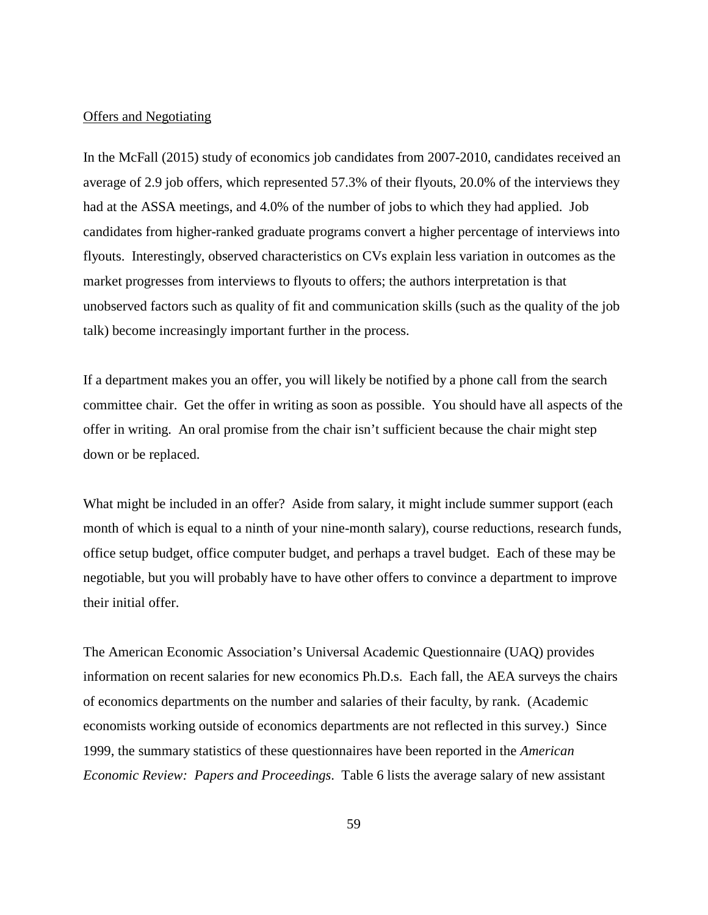### Offers and Negotiating

In the McFall (2015) study of economics job candidates from 2007-2010, candidates received an average of 2.9 job offers, which represented 57.3% of their flyouts, 20.0% of the interviews they had at the ASSA meetings, and 4.0% of the number of jobs to which they had applied. Job candidates from higher-ranked graduate programs convert a higher percentage of interviews into flyouts. Interestingly, observed characteristics on CVs explain less variation in outcomes as the market progresses from interviews to flyouts to offers; the authors interpretation is that unobserved factors such as quality of fit and communication skills (such as the quality of the job talk) become increasingly important further in the process.

If a department makes you an offer, you will likely be notified by a phone call from the search committee chair. Get the offer in writing as soon as possible. You should have all aspects of the offer in writing. An oral promise from the chair isn't sufficient because the chair might step down or be replaced.

What might be included in an offer? Aside from salary, it might include summer support (each month of which is equal to a ninth of your nine-month salary), course reductions, research funds, office setup budget, office computer budget, and perhaps a travel budget. Each of these may be negotiable, but you will probably have to have other offers to convince a department to improve their initial offer.

The American Economic Association's Universal Academic Questionnaire (UAQ) provides information on recent salaries for new economics Ph.D.s. Each fall, the AEA surveys the chairs of economics departments on the number and salaries of their faculty, by rank. (Academic economists working outside of economics departments are not reflected in this survey.) Since 1999, the summary statistics of these questionnaires have been reported in the *American Economic Review: Papers and Proceedings*. Table 6 lists the average salary of new assistant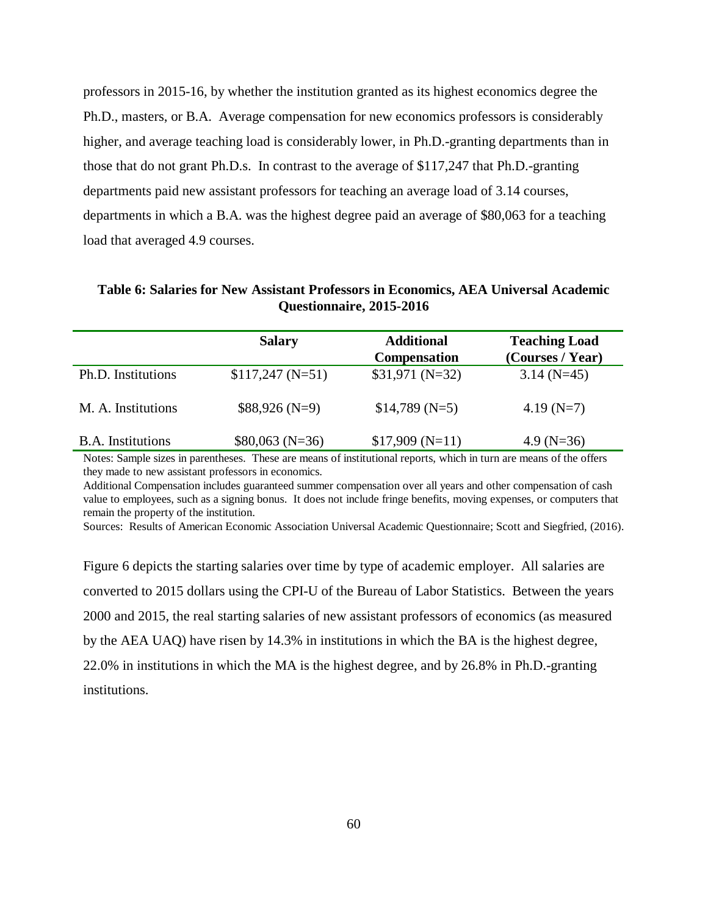professors in 2015-16, by whether the institution granted as its highest economics degree the Ph.D., masters, or B.A. Average compensation for new economics professors is considerably higher, and average teaching load is considerably lower, in Ph.D.-granting departments than in those that do not grant Ph.D.s. In contrast to the average of \$117,247 that Ph.D.-granting departments paid new assistant professors for teaching an average load of 3.14 courses, departments in which a B.A. was the highest degree paid an average of \$80,063 for a teaching load that averaged 4.9 courses.

**Table 6: Salaries for New Assistant Professors in Economics, AEA Universal Academic Questionnaire, 2015-2016**

|                          | <b>Salary</b>    | <b>Additional</b><br>Compensation | <b>Teaching Load</b><br>(Courses / Year) |
|--------------------------|------------------|-----------------------------------|------------------------------------------|
| Ph.D. Institutions       | $$117,247(N=51)$ | $$31,971(N=32)$                   | $3.14$ (N=45)                            |
| M. A. Institutions       | $$88,926(N=9)$   | $$14,789(N=5)$                    | $4.19(N=7)$                              |
| <b>B.A.</b> Institutions | $$80,063(N=36)$  | $$17,909(N=11)$                   | 4.9 $(N=36)$                             |

Notes: Sample sizes in parentheses. These are means of institutional reports, which in turn are means of the offers they made to new assistant professors in economics.

Additional Compensation includes guaranteed summer compensation over all years and other compensation of cash value to employees, such as a signing bonus. It does not include fringe benefits, moving expenses, or computers that remain the property of the institution.

Sources: Results of American Economic Association Universal Academic Questionnaire; Scott and Siegfried, (2016).

Figure 6 depicts the starting salaries over time by type of academic employer. All salaries are converted to 2015 dollars using the CPI-U of the Bureau of Labor Statistics. Between the years 2000 and 2015, the real starting salaries of new assistant professors of economics (as measured by the AEA UAQ) have risen by 14.3% in institutions in which the BA is the highest degree, 22.0% in institutions in which the MA is the highest degree, and by 26.8% in Ph.D.-granting institutions.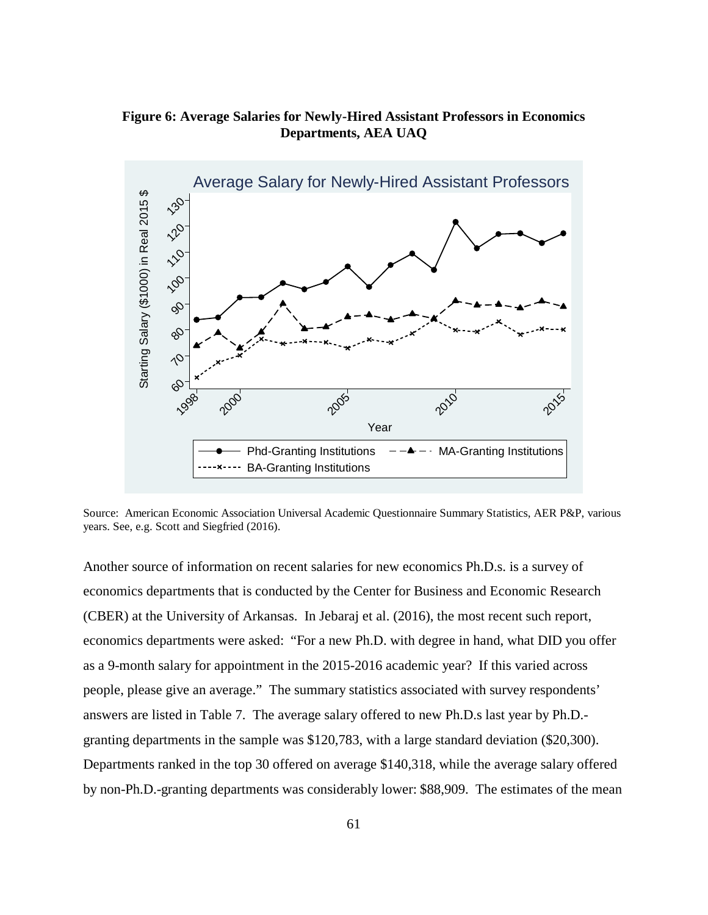## **Figure 6: Average Salaries for Newly-Hired Assistant Professors in Economics Departments, AEA UAQ**



Source: American Economic Association Universal Academic Questionnaire Summary Statistics, AER P&P, various years. See, e.g. Scott and Siegfried (2016).

Another source of information on recent salaries for new economics Ph.D.s. is a survey of economics departments that is conducted by the Center for Business and Economic Research (CBER) at the University of Arkansas. In Jebaraj et al. (2016), the most recent such report, economics departments were asked: "For a new Ph.D. with degree in hand, what DID you offer as a 9-month salary for appointment in the 2015-2016 academic year? If this varied across people, please give an average." The summary statistics associated with survey respondents' answers are listed in Table 7. The average salary offered to new Ph.D.s last year by Ph.D. granting departments in the sample was \$120,783, with a large standard deviation (\$20,300). Departments ranked in the top 30 offered on average \$140,318, while the average salary offered by non-Ph.D.-granting departments was considerably lower: \$88,909. The estimates of the mean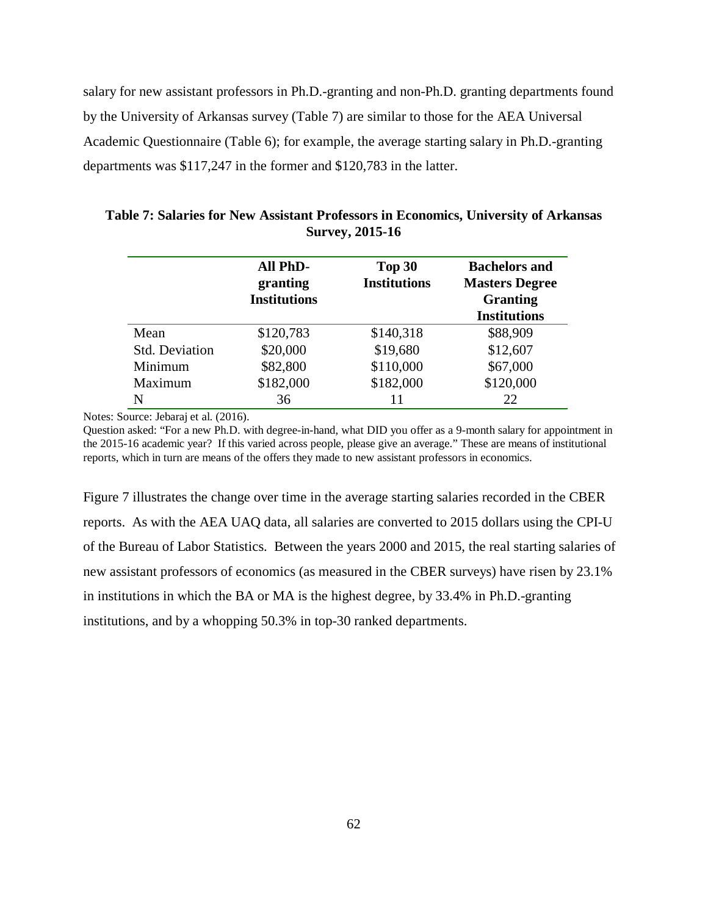salary for new assistant professors in Ph.D.-granting and non-Ph.D. granting departments found by the University of Arkansas survey (Table 7) are similar to those for the AEA Universal Academic Questionnaire (Table 6); for example, the average starting salary in Ph.D.-granting departments was \$117,247 in the former and \$120,783 in the latter.

|                       | All PhD-<br>granting<br><b>Institutions</b> | Top 30<br><b>Institutions</b> | <b>Bachelors and</b><br><b>Masters Degree</b><br><b>Granting</b><br><b>Institutions</b> |
|-----------------------|---------------------------------------------|-------------------------------|-----------------------------------------------------------------------------------------|
| Mean                  | \$120,783                                   | \$140,318                     | \$88,909                                                                                |
| <b>Std. Deviation</b> | \$20,000                                    | \$19,680                      | \$12,607                                                                                |
| Minimum               | \$82,800                                    | \$110,000                     | \$67,000                                                                                |
| Maximum               | \$182,000                                   | \$182,000                     | \$120,000                                                                               |
| N                     | 36                                          | 11                            | 22                                                                                      |

**Table 7: Salaries for New Assistant Professors in Economics, University of Arkansas Survey, 2015-16**

Notes: Source: Jebaraj et al. (2016).

Question asked: "For a new Ph.D. with degree-in-hand, what DID you offer as a 9-month salary for appointment in the 2015-16 academic year? If this varied across people, please give an average." These are means of institutional reports, which in turn are means of the offers they made to new assistant professors in economics.

Figure 7 illustrates the change over time in the average starting salaries recorded in the CBER reports. As with the AEA UAQ data, all salaries are converted to 2015 dollars using the CPI-U of the Bureau of Labor Statistics. Between the years 2000 and 2015, the real starting salaries of new assistant professors of economics (as measured in the CBER surveys) have risen by 23.1% in institutions in which the BA or MA is the highest degree, by 33.4% in Ph.D.-granting institutions, and by a whopping 50.3% in top-30 ranked departments.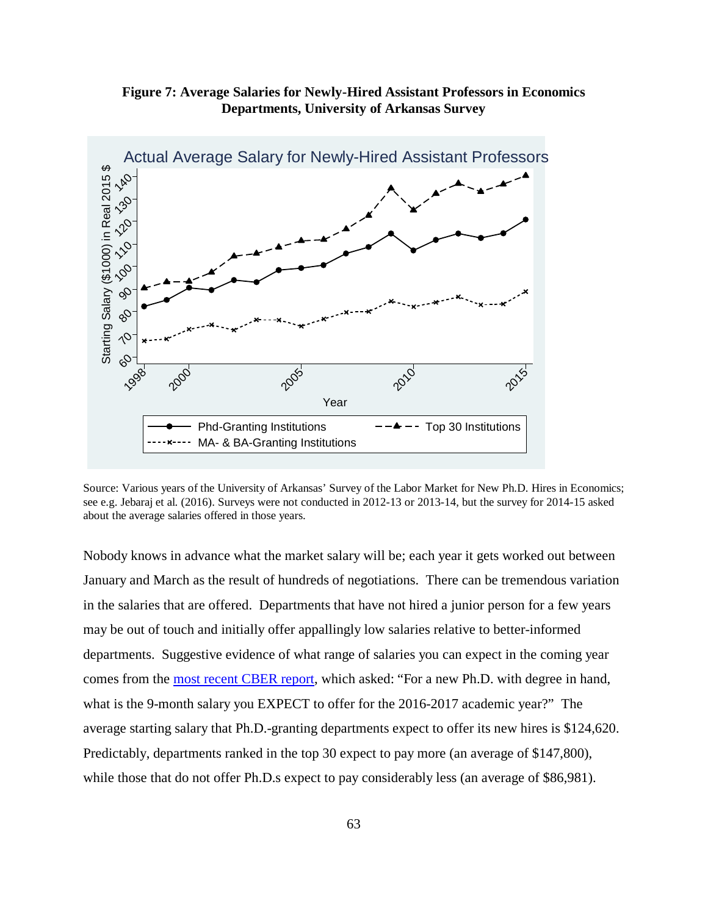**Figure 7: Average Salaries for Newly-Hired Assistant Professors in Economics Departments, University of Arkansas Survey**



Source: Various years of the University of Arkansas' Survey of the Labor Market for New Ph.D. Hires in Economics; see e.g. Jebaraj et al. (2016). Surveys were not conducted in 2012-13 or 2013-14, but the survey for 2014-15 asked about the average salaries offered in those years.

Nobody knows in advance what the market salary will be; each year it gets worked out between January and March as the result of hundreds of negotiations. There can be tremendous variation in the salaries that are offered. Departments that have not hired a junior person for a few years may be out of touch and initially offer appallingly low salaries relative to better-informed departments. Suggestive evidence of what range of salaries you can expect in the coming year comes from the [most recent CBER report,](http://cber.uark.edu/1617phdlms.pdf) which asked: "For a new Ph.D. with degree in hand, what is the 9-month salary you EXPECT to offer for the 2016-2017 academic year?" The average starting salary that Ph.D.-granting departments expect to offer its new hires is \$124,620. Predictably, departments ranked in the top 30 expect to pay more (an average of \$147,800), while those that do not offer Ph.D.s expect to pay considerably less (an average of \$86,981).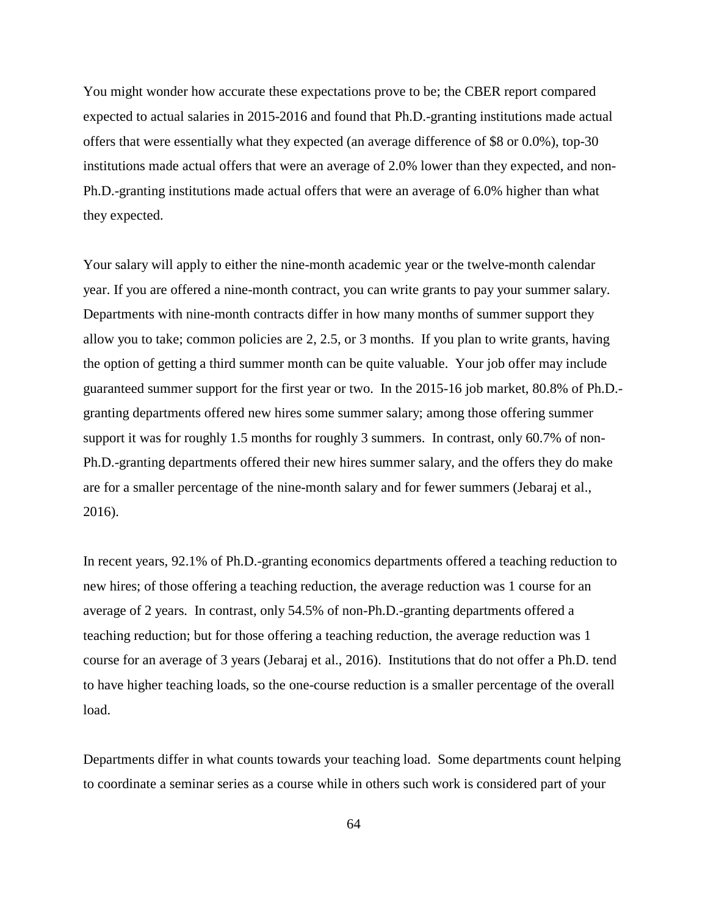You might wonder how accurate these expectations prove to be; the CBER report compared expected to actual salaries in 2015-2016 and found that Ph.D.-granting institutions made actual offers that were essentially what they expected (an average difference of \$8 or 0.0%), top-30 institutions made actual offers that were an average of 2.0% lower than they expected, and non-Ph.D.-granting institutions made actual offers that were an average of 6.0% higher than what they expected.

Your salary will apply to either the nine-month academic year or the twelve-month calendar year. If you are offered a nine-month contract, you can write grants to pay your summer salary. Departments with nine-month contracts differ in how many months of summer support they allow you to take; common policies are 2, 2.5, or 3 months. If you plan to write grants, having the option of getting a third summer month can be quite valuable. Your job offer may include guaranteed summer support for the first year or two. In the 2015-16 job market, 80.8% of Ph.D. granting departments offered new hires some summer salary; among those offering summer support it was for roughly 1.5 months for roughly 3 summers. In contrast, only 60.7% of non-Ph.D.-granting departments offered their new hires summer salary, and the offers they do make are for a smaller percentage of the nine-month salary and for fewer summers (Jebaraj et al., 2016).

In recent years, 92.1% of Ph.D.-granting economics departments offered a teaching reduction to new hires; of those offering a teaching reduction, the average reduction was 1 course for an average of 2 years. In contrast, only 54.5% of non-Ph.D.-granting departments offered a teaching reduction; but for those offering a teaching reduction, the average reduction was 1 course for an average of 3 years (Jebaraj et al., 2016). Institutions that do not offer a Ph.D. tend to have higher teaching loads, so the one-course reduction is a smaller percentage of the overall load.

Departments differ in what counts towards your teaching load. Some departments count helping to coordinate a seminar series as a course while in others such work is considered part of your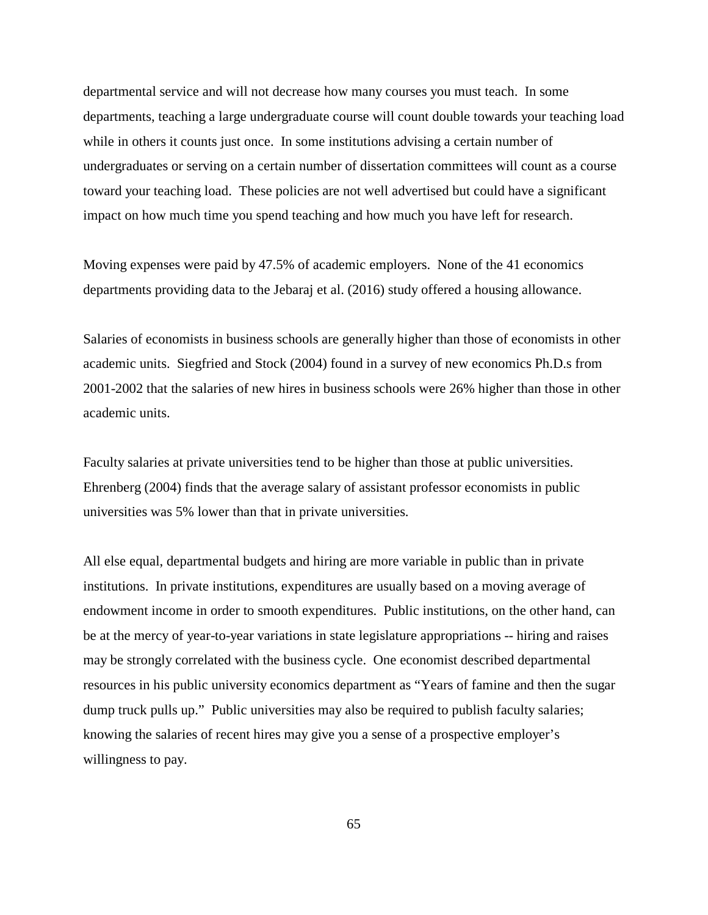departmental service and will not decrease how many courses you must teach. In some departments, teaching a large undergraduate course will count double towards your teaching load while in others it counts just once. In some institutions advising a certain number of undergraduates or serving on a certain number of dissertation committees will count as a course toward your teaching load. These policies are not well advertised but could have a significant impact on how much time you spend teaching and how much you have left for research.

Moving expenses were paid by 47.5% of academic employers. None of the 41 economics departments providing data to the Jebaraj et al. (2016) study offered a housing allowance.

Salaries of economists in business schools are generally higher than those of economists in other academic units. Siegfried and Stock (2004) found in a survey of new economics Ph.D.s from 2001-2002 that the salaries of new hires in business schools were 26% higher than those in other academic units.

Faculty salaries at private universities tend to be higher than those at public universities. Ehrenberg (2004) finds that the average salary of assistant professor economists in public universities was 5% lower than that in private universities.

All else equal, departmental budgets and hiring are more variable in public than in private institutions. In private institutions, expenditures are usually based on a moving average of endowment income in order to smooth expenditures. Public institutions, on the other hand, can be at the mercy of year-to-year variations in state legislature appropriations -- hiring and raises may be strongly correlated with the business cycle. One economist described departmental resources in his public university economics department as "Years of famine and then the sugar dump truck pulls up." Public universities may also be required to publish faculty salaries; knowing the salaries of recent hires may give you a sense of a prospective employer's willingness to pay.

65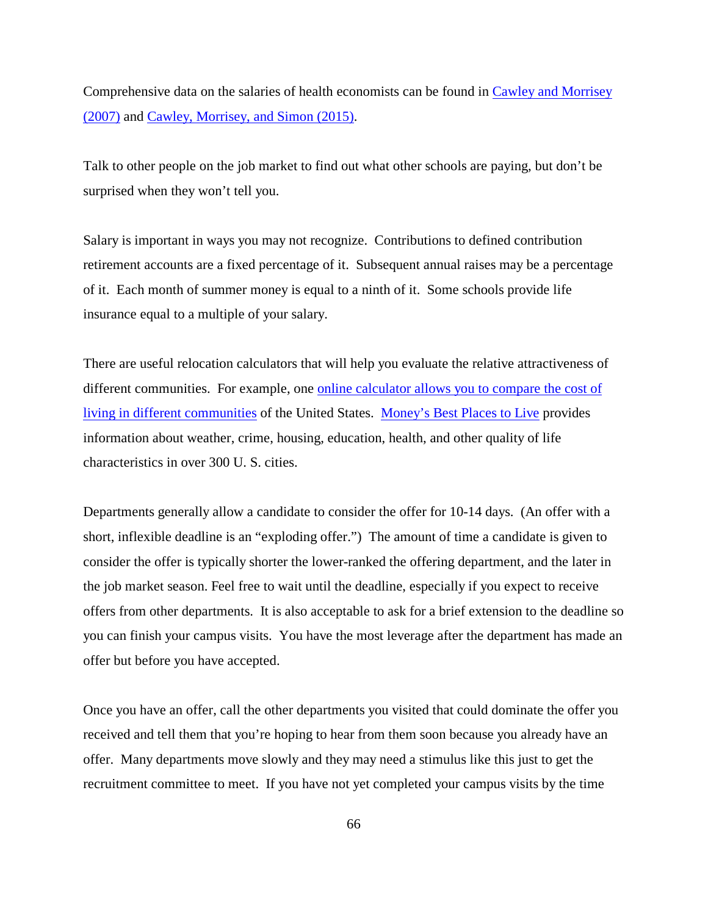Comprehensive data on the salaries of health economists can be found in Cawley and Morrisey [\(2007\)](http://www.sciencedirect.com/science/article/pii/S0167629606001202) and [Cawley, Morrisey, and Simon \(2015\).](http://www.mitpressjournals.org/doi/abs/10.1162/AJHE_a_00014?journalCode=ajhe%23.WC4LKk3ruM8)

Talk to other people on the job market to find out what other schools are paying, but don't be surprised when they won't tell you.

Salary is important in ways you may not recognize. Contributions to defined contribution retirement accounts are a fixed percentage of it. Subsequent annual raises may be a percentage of it. Each month of summer money is equal to a ninth of it. Some schools provide life insurance equal to a multiple of your salary.

There are useful relocation calculators that will help you evaluate the relative attractiveness of different communities. For example, one online [calculator allows you to compare the cost of](http://www.homefair.com/real-estate/salary-calculator.asp)  [living in different communities](http://www.homefair.com/real-estate/salary-calculator.asp) of the United States. [Money's Best Places to Live](http://time.com/money/collection/best-places-to-live/) provides information about weather, crime, housing, education, health, and other quality of life characteristics in over 300 U. S. cities.

Departments generally allow a candidate to consider the offer for 10-14 days. (An offer with a short, inflexible deadline is an "exploding offer.") The amount of time a candidate is given to consider the offer is typically shorter the lower-ranked the offering department, and the later in the job market season. Feel free to wait until the deadline, especially if you expect to receive offers from other departments. It is also acceptable to ask for a brief extension to the deadline so you can finish your campus visits. You have the most leverage after the department has made an offer but before you have accepted.

Once you have an offer, call the other departments you visited that could dominate the offer you received and tell them that you're hoping to hear from them soon because you already have an offer. Many departments move slowly and they may need a stimulus like this just to get the recruitment committee to meet. If you have not yet completed your campus visits by the time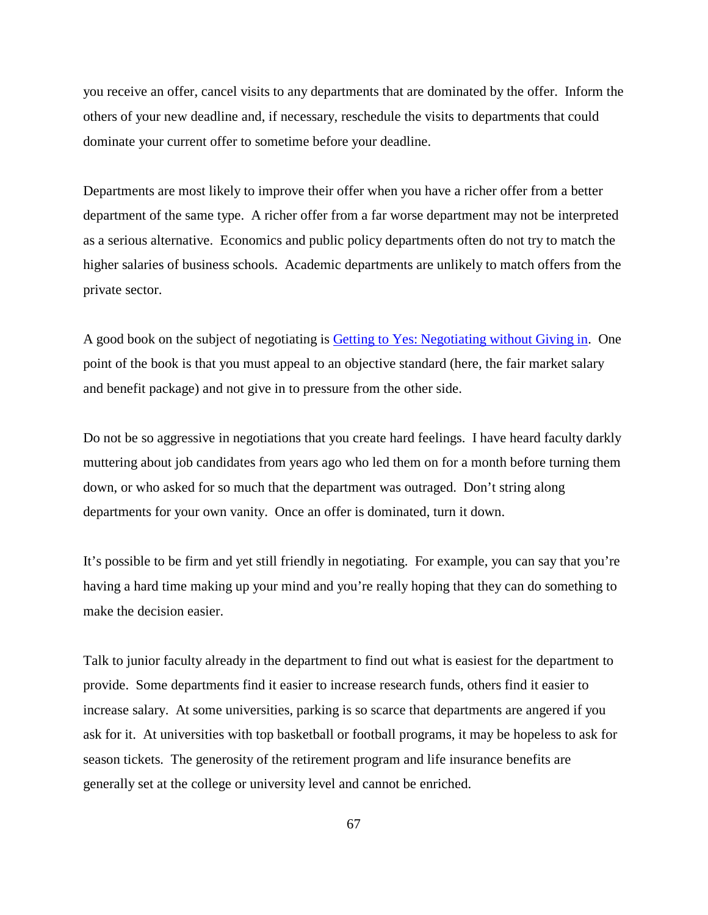you receive an offer, cancel visits to any departments that are dominated by the offer. Inform the others of your new deadline and, if necessary, reschedule the visits to departments that could dominate your current offer to sometime before your deadline.

Departments are most likely to improve their offer when you have a richer offer from a better department of the same type. A richer offer from a far worse department may not be interpreted as a serious alternative. Economics and public policy departments often do not try to match the higher salaries of business schools. Academic departments are unlikely to match offers from the private sector.

A good book on the subject of negotiating is [Getting to Yes: Negotiating without Giving in.](https://www.amazon.com/Getting-Yes-Negotiating-Agreement-Without/dp/0395631246) One point of the book is that you must appeal to an objective standard (here, the fair market salary and benefit package) and not give in to pressure from the other side.

Do not be so aggressive in negotiations that you create hard feelings. I have heard faculty darkly muttering about job candidates from years ago who led them on for a month before turning them down, or who asked for so much that the department was outraged. Don't string along departments for your own vanity. Once an offer is dominated, turn it down.

It's possible to be firm and yet still friendly in negotiating. For example, you can say that you're having a hard time making up your mind and you're really hoping that they can do something to make the decision easier.

Talk to junior faculty already in the department to find out what is easiest for the department to provide. Some departments find it easier to increase research funds, others find it easier to increase salary. At some universities, parking is so scarce that departments are angered if you ask for it. At universities with top basketball or football programs, it may be hopeless to ask for season tickets. The generosity of the retirement program and life insurance benefits are generally set at the college or university level and cannot be enriched.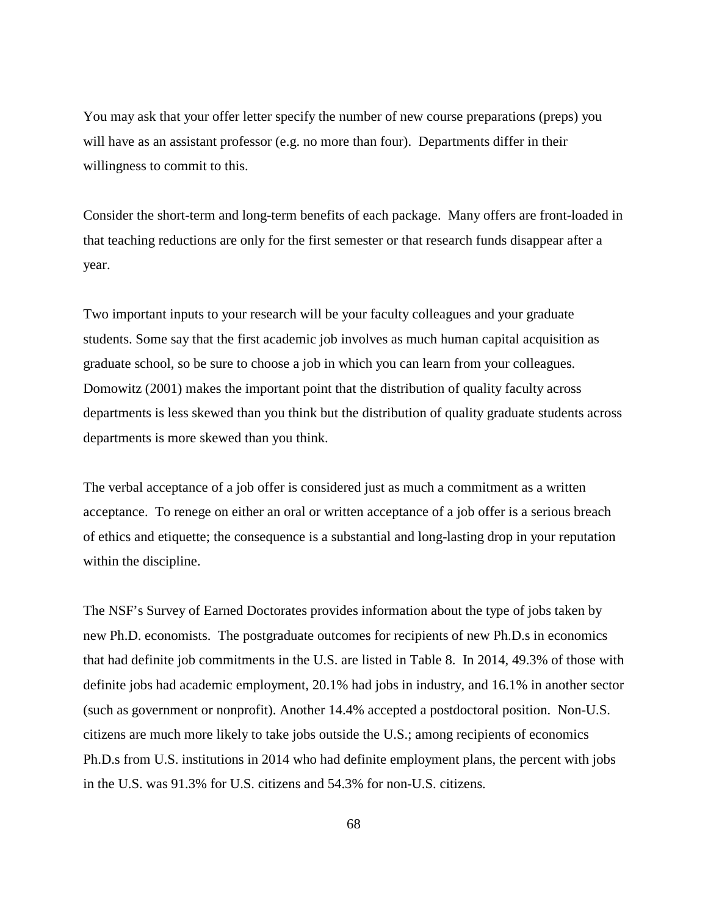You may ask that your offer letter specify the number of new course preparations (preps) you will have as an assistant professor (e.g. no more than four). Departments differ in their willingness to commit to this.

Consider the short-term and long-term benefits of each package. Many offers are front-loaded in that teaching reductions are only for the first semester or that research funds disappear after a year.

Two important inputs to your research will be your faculty colleagues and your graduate students. Some say that the first academic job involves as much human capital acquisition as graduate school, so be sure to choose a job in which you can learn from your colleagues. Domowitz (2001) makes the important point that the distribution of quality faculty across departments is less skewed than you think but the distribution of quality graduate students across departments is more skewed than you think.

The verbal acceptance of a job offer is considered just as much a commitment as a written acceptance. To renege on either an oral or written acceptance of a job offer is a serious breach of ethics and etiquette; the consequence is a substantial and long-lasting drop in your reputation within the discipline.

The NSF's Survey of Earned Doctorates provides information about the type of jobs taken by new Ph.D. economists. The postgraduate outcomes for recipients of new Ph.D.s in economics that had definite job commitments in the U.S. are listed in Table 8. In 2014, 49.3% of those with definite jobs had academic employment, 20.1% had jobs in industry, and 16.1% in another sector (such as government or nonprofit). Another 14.4% accepted a postdoctoral position. Non-U.S. citizens are much more likely to take jobs outside the U.S.; among recipients of economics Ph.D.s from U.S. institutions in 2014 who had definite employment plans, the percent with jobs in the U.S. was 91.3% for U.S. citizens and 54.3% for non-U.S. citizens.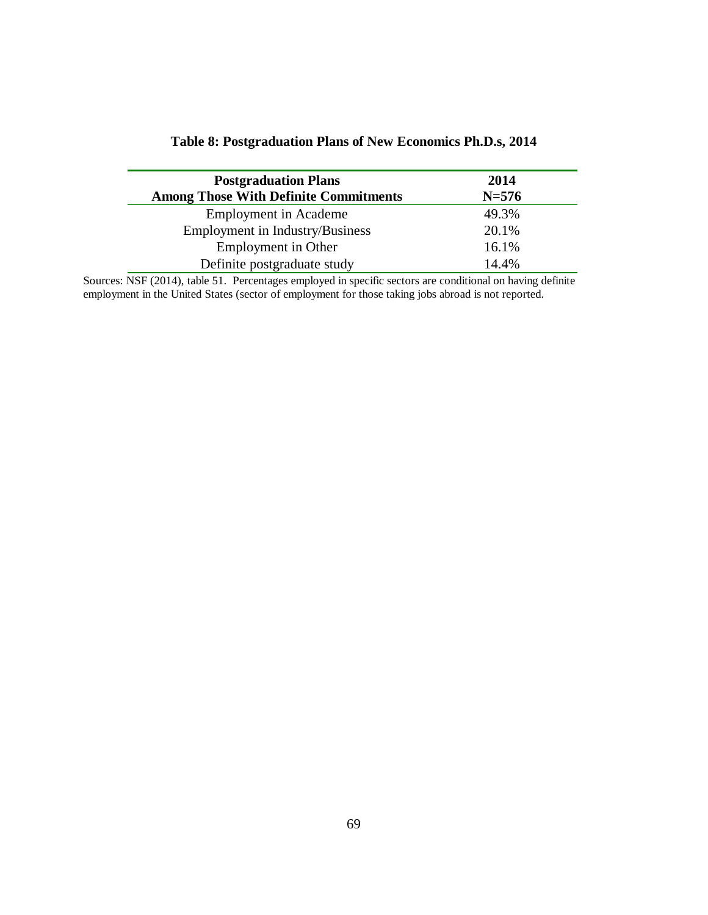| <b>Postgraduation Plans</b>                  | 2014      |
|----------------------------------------------|-----------|
| <b>Among Those With Definite Commitments</b> | $N = 576$ |
| <b>Employment</b> in Academe                 | 49.3%     |
| <b>Employment in Industry/Business</b>       | 20.1%     |
| Employment in Other                          | 16.1%     |
| Definite postgraduate study                  | 14.4%     |

# **Table 8: Postgraduation Plans of New Economics Ph.D.s, 2014**

Sources: NSF (2014), table 51. Percentages employed in specific sectors are conditional on having definite employment in the United States (sector of employment for those taking jobs abroad is not reported.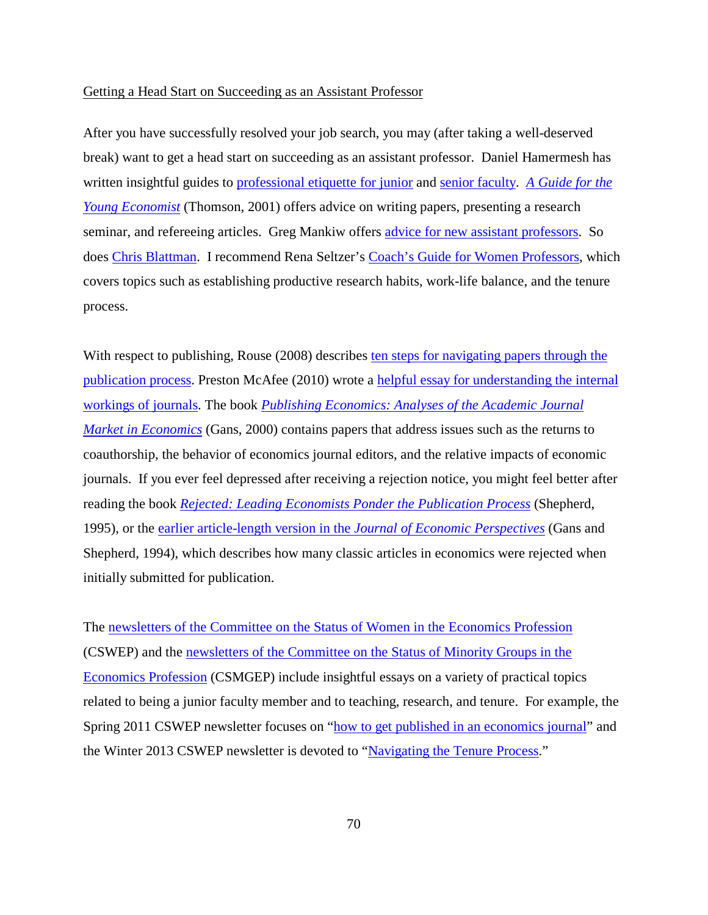#### Getting a Head Start on Succeeding as an Assistant Professor

After you have successfully resolved your job search, you may (after taking a well-deserved break) want to get a head start on succeeding as an assistant professor. Daniel Hamermesh has written insightful guides to [professional etiquette for junior](https://www.aeaweb.org/articles?id=10.1257/jep.6.1.169) and [senior faculty.](https://www.jstor.org/stable/2117635?seq=1%23page_scan_tab_contents) *[A Guide for the](https://www.amazon.com/Guide-Young-Economist-MIT-Press/dp/026251589X/ref=sr_1_1?s=books&ie=UTF8&qid=1479412969&sr=1-1&keywords=guide+for+the+young+economist)  [Young Economist](https://www.amazon.com/Guide-Young-Economist-MIT-Press/dp/026251589X/ref=sr_1_1?s=books&ie=UTF8&qid=1479412969&sr=1-1&keywords=guide+for+the+young+economist)* (Thomson, 2001) offers advice on writing papers, presenting a research seminar, and refereeing articles. Greg Mankiw offers [advice for new assistant professors.](http://gregmankiw.blogspot.com/2007/02/advice-for-new-junior-faculty.html) So does [Chris Blattman.](http://chrisblattman.com/2014/04/15/advice-new-assistant-professors/) I recommend Rena Seltzer's [Coach's Guide for Women Professors,](https://www.amazon.com/Coachs-Guide-Women-Professors-Well-Balanced/dp/1579228968/ref=sr_1_1?ie=UTF8&qid=1479326463&sr=8-1&keywords=rena+seltzer) which covers topics such as establishing productive research habits, work-life balance, and the tenure process.

With respect to publishing, Rouse (2008) describes ten steps for navigating papers through the [publication process.](https://www.aeaweb.org/content/file?id=408) Preston McAfee (2010) wrote a [helpful essay for understanding the internal](http://vita.mcafee.cc/PDF/EditorExperiences.pdf)  [workings of journals.](http://vita.mcafee.cc/PDF/EditorExperiences.pdf) The book *[Publishing Economics: Analyses of the Academic Journal](https://www.amazon.com/Publishing-Economics-Analyses-Academic-Journal/dp/1840649321/ref=tmm_pap_swatch_0?_encoding=UTF8&qid=1479322876&sr=8-1)  [Market in Economics](https://www.amazon.com/Publishing-Economics-Analyses-Academic-Journal/dp/1840649321/ref=tmm_pap_swatch_0?_encoding=UTF8&qid=1479322876&sr=8-1)* (Gans, 2000) contains papers that address issues such as the returns to coauthorship, the behavior of economics journal editors, and the relative impacts of economic journals. If you ever feel depressed after receiving a rejection notice, you might feel better after reading the book *[Rejected: Leading Economists Ponder the Publication Process](https://www.amazon.com/Rejected-Leading-Economists-Publication-Process/dp/0913878537/ref=sr_1_1?ie=UTF8&qid=1479322903&sr=8-1&keywords=Rejected%3A+Leading+Economists+Ponder+the+Publication+Process)* (Shepherd, 1995), or the [earlier article-length version in the](https://www.aeaweb.org/articles?id=10.1257/jep.8.1.165) *Journal of Economic Perspectives* (Gans and Shepherd, 1994), which describes how many classic articles in economics were rejected when initially submitted for publication.

The [newsletters of the Committee on the Status of Women in the Economics Profession](https://www.aeaweb.org/about-aea/committees/cswep/newsletters/topics) (CSWEP) and the [newsletters of the Committee on the Status of Minority Groups in the](https://www.aeaweb.org/about-aea/committees/csmgep/resources)  [Economics Profession](https://www.aeaweb.org/about-aea/committees/csmgep/resources) (CSMGEP) include insightful essays on a variety of practical topics related to being a junior faculty member and to teaching, research, and tenure. For example, the Spring 2011 CSWEP newsletter focuses on ["how to get published in an economics journal"](https://www.aeaweb.org/content/file?id=568) and the Winter 2013 CSWEP newsletter is devoted to ["Navigating the Tenure Process.](https://www.aeaweb.org/content/file?id=587)"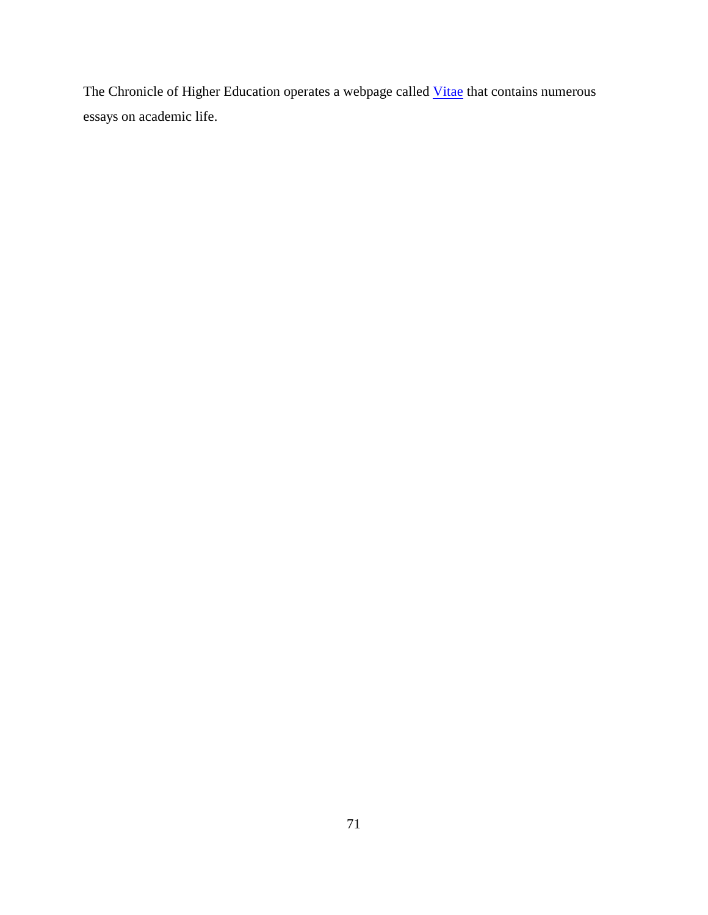The Chronicle of Higher Education operates a webpage called **Vitae** that contains numerous essays on academic life.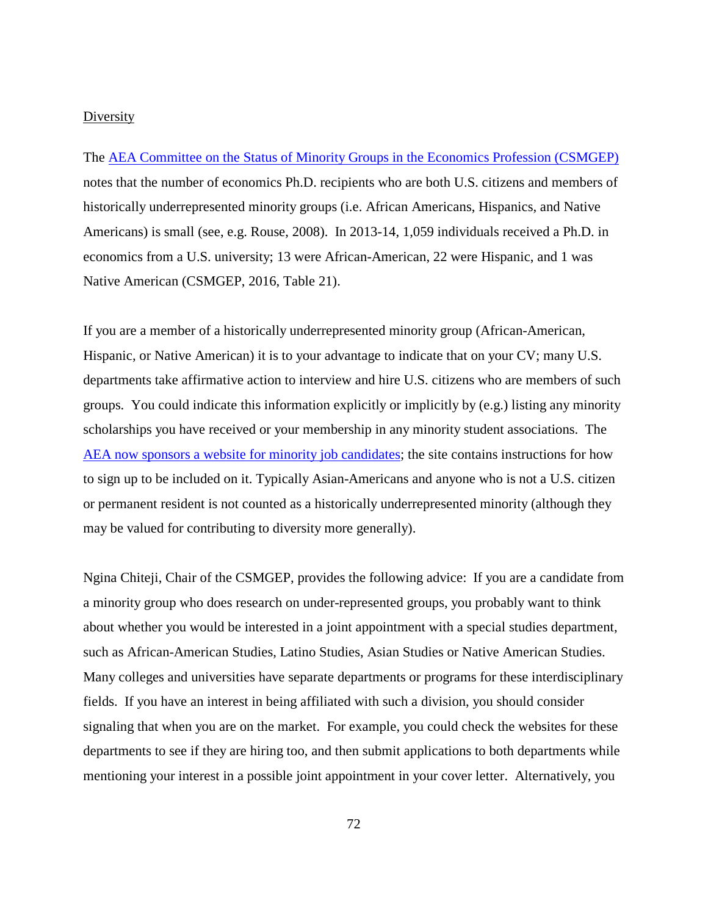## **Diversity**

The AEA Committee on the Status of [Minority Groups in the Economics Profession \(CSMGEP\)](https://www.aeaweb.org/about-aea/committees/csmgep) notes that the number of economics Ph.D. recipients who are both U.S. citizens and members of historically underrepresented minority groups (i.e. African Americans, Hispanics, and Native Americans) is small (see, e.g. Rouse, 2008). In 2013-14, 1,059 individuals received a Ph.D. in economics from a U.S. university; 13 were African-American, 22 were Hispanic, and 1 was Native American (CSMGEP, 2016, Table 21).

If you are a member of a historically underrepresented minority group (African-American, Hispanic, or Native American) it is to your advantage to indicate that on your CV; many U.S. departments take affirmative action to interview and hire U.S. citizens who are members of such groups. You could indicate this information explicitly or implicitly by (e.g.) listing any minority scholarships you have received or your membership in any minority student associations. The [AEA now sponsors a website for minority job candidates;](https://www.aeaweb.org/about-aea/committees/csmgep/market) the site contains instructions for how to sign up to be included on it. Typically Asian-Americans and anyone who is not a U.S. citizen or permanent resident is not counted as a historically underrepresented minority (although they may be valued for contributing to diversity more generally).

Ngina Chiteji, Chair of the CSMGEP, provides the following advice: If you are a candidate from a minority group who does research on under-represented groups, you probably want to think about whether you would be interested in a joint appointment with a special studies department, such as African-American Studies, Latino Studies, Asian Studies or Native American Studies. Many colleges and universities have separate departments or programs for these interdisciplinary fields. If you have an interest in being affiliated with such a division, you should consider signaling that when you are on the market. For example, you could check the websites for these departments to see if they are hiring too, and then submit applications to both departments while mentioning your interest in a possible joint appointment in your cover letter. Alternatively, you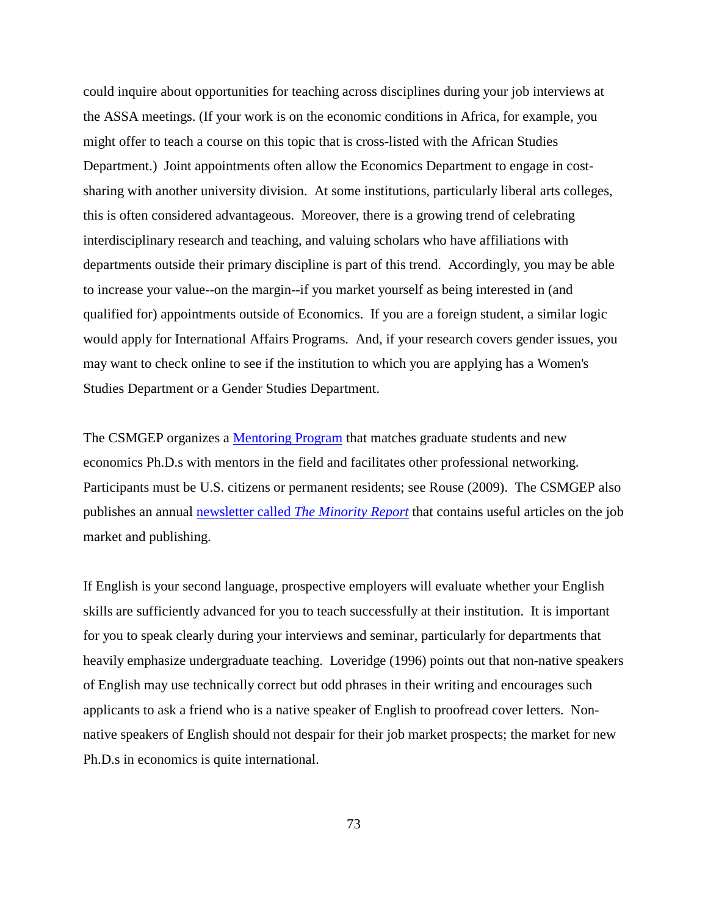could inquire about opportunities for teaching across disciplines during your job interviews at the ASSA meetings. (If your work is on the economic conditions in Africa, for example, you might offer to teach a course on this topic that is cross-listed with the African Studies Department.) Joint appointments often allow the Economics Department to engage in costsharing with another university division. At some institutions, particularly liberal arts colleges, this is often considered advantageous. Moreover, there is a growing trend of celebrating interdisciplinary research and teaching, and valuing scholars who have affiliations with departments outside their primary discipline is part of this trend. Accordingly, you may be able to increase your value--on the margin--if you market yourself as being interested in (and qualified for) appointments outside of Economics. If you are a foreign student, a similar logic would apply for International Affairs Programs. And, if your research covers gender issues, you may want to check online to see if the institution to which you are applying has a Women's Studies Department or a Gender Studies Department.

The CSMGEP organizes a [Mentoring Program](https://www.aeaweb.org/about-aea/committees/csmgep/pipeline) that matches graduate students and new economics Ph.D.s with mentors in the field and facilitates other professional networking. Participants must be U.S. citizens or permanent residents; see Rouse (2009). The CSMGEP also publishes an annual newsletter called *[The Minority Report](https://www.aeaweb.org/about-aea/committees/csmgep/resources)* that contains useful articles on the job market and publishing.

If English is your second language, prospective employers will evaluate whether your English skills are sufficiently advanced for you to teach successfully at their institution. It is important for you to speak clearly during your interviews and seminar, particularly for departments that heavily emphasize undergraduate teaching. Loveridge (1996) points out that non-native speakers of English may use technically correct but odd phrases in their writing and encourages such applicants to ask a friend who is a native speaker of English to proofread cover letters. Nonnative speakers of English should not despair for their job market prospects; the market for new Ph.D.s in economics is quite international.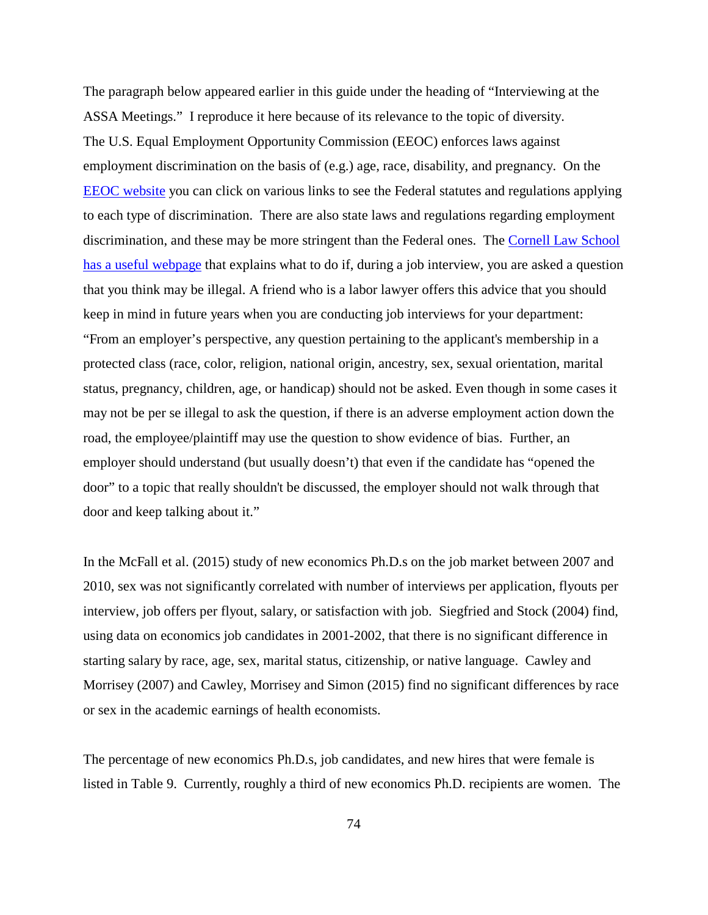The paragraph below appeared earlier in this guide under the heading of "Interviewing at the ASSA Meetings." I reproduce it here because of its relevance to the topic of diversity. The U.S. Equal Employment Opportunity Commission (EEOC) enforces laws against employment discrimination on the basis of (e.g.) age, race, disability, and pregnancy. On the [EEOC website](https://www.eeoc.gov/federal/adr/statutes.cfm) you can click on various links to see the Federal statutes and regulations applying to each type of discrimination. There are also state laws and regulations regarding employment discrimination, and these may be more stringent than the Federal ones. The [Cornell Law School](http://www.lawschool.cornell.edu/careers/students/interview/ill_questions.cfm)  [has a useful webpage](http://www.lawschool.cornell.edu/careers/students/interview/ill_questions.cfm) that explains what to do if, during a job interview, you are asked a question that you think may be illegal. A friend who is a labor lawyer offers this advice that you should keep in mind in future years when you are conducting job interviews for your department: "From an employer's perspective, any question pertaining to the applicant's membership in a protected class (race, color, religion, national origin, ancestry, sex, sexual orientation, marital status, pregnancy, children, age, or handicap) should not be asked. Even though in some cases it may not be per se illegal to ask the question, if there is an adverse employment action down the road, the employee/plaintiff may use the question to show evidence of bias. Further, an employer should understand (but usually doesn't) that even if the candidate has "opened the door" to a topic that really shouldn't be discussed, the employer should not walk through that door and keep talking about it."

In the McFall et al. (2015) study of new economics Ph.D.s on the job market between 2007 and 2010, sex was not significantly correlated with number of interviews per application, flyouts per interview, job offers per flyout, salary, or satisfaction with job. Siegfried and Stock (2004) find, using data on economics job candidates in 2001-2002, that there is no significant difference in starting salary by race, age, sex, marital status, citizenship, or native language. Cawley and Morrisey (2007) and Cawley, Morrisey and Simon (2015) find no significant differences by race or sex in the academic earnings of health economists.

The percentage of new economics Ph.D.s, job candidates, and new hires that were female is listed in Table 9. Currently, roughly a third of new economics Ph.D. recipients are women. The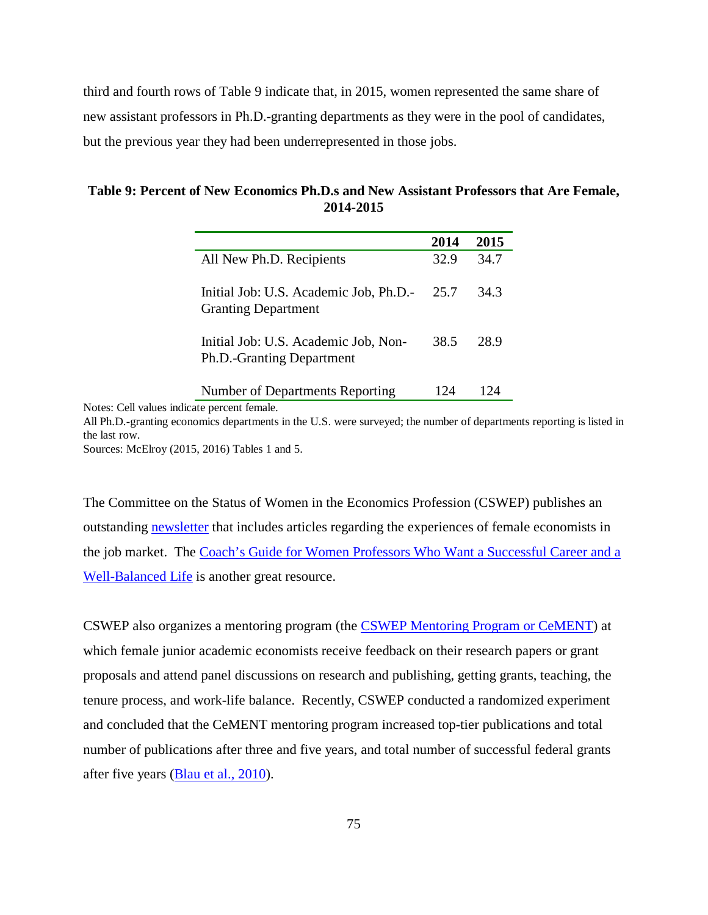third and fourth rows of Table 9 indicate that, in 2015, women represented the same share of new assistant professors in Ph.D.-granting departments as they were in the pool of candidates, but the previous year they had been underrepresented in those jobs.

## **Table 9: Percent of New Economics Ph.D.s and New Assistant Professors that Are Female, 2014-2015**

|                                                                      | 2014 | 2015 |
|----------------------------------------------------------------------|------|------|
| All New Ph.D. Recipients                                             | 32.9 | 34.7 |
| Initial Job: U.S. Academic Job, Ph.D.-<br><b>Granting Department</b> | 25.7 | 34.3 |
| Initial Job: U.S. Academic Job, Non-<br>Ph.D.-Granting Department    | 38.5 | 28.9 |
| Number of Departments Reporting                                      |      |      |

Notes: Cell values indicate percent female.

All Ph.D.-granting economics departments in the U.S. were surveyed; the number of departments reporting is listed in the last row.

Sources: McElroy (2015, 2016) Tables 1 and 5.

The Committee on the Status of Women in the Economics Profession (CSWEP) publishes an outstanding [newsletter](https://www.aeaweb.org/about-aea/committees/cswep/newsletters) that includes articles regarding the experiences of female economists in the job market. The [Coach's Guide for Women Professors Who Want a Successful Career and a](https://www.amazon.com/Coachs-Guide-Women-Professors-Well-Balanced/dp/1579228968/ref=sr_1_1?ie=UTF8&qid=1479326463&sr=8-1&keywords=rena+seltzer)  [Well-Balanced Life](https://www.amazon.com/Coachs-Guide-Women-Professors-Well-Balanced/dp/1579228968/ref=sr_1_1?ie=UTF8&qid=1479326463&sr=8-1&keywords=rena+seltzer) is another great resource.

CSWEP also organizes a mentoring program (the [CSWEP Mentoring Program or CeMENT\)](https://www.aeaweb.org/about-aea/committees/cswep/mentoring/networking) at which female junior academic economists receive feedback on their research papers or grant proposals and attend panel discussions on research and publishing, getting grants, teaching, the tenure process, and work-life balance. Recently, CSWEP conducted a randomized experiment and concluded that the CeMENT mentoring program increased top-tier publications and total number of publications after three and five years, and total number of successful federal grants after five years [\(Blau et al., 2010\)](https://www.aeaweb.org/articles?id=10.1257/aer.100.2.348).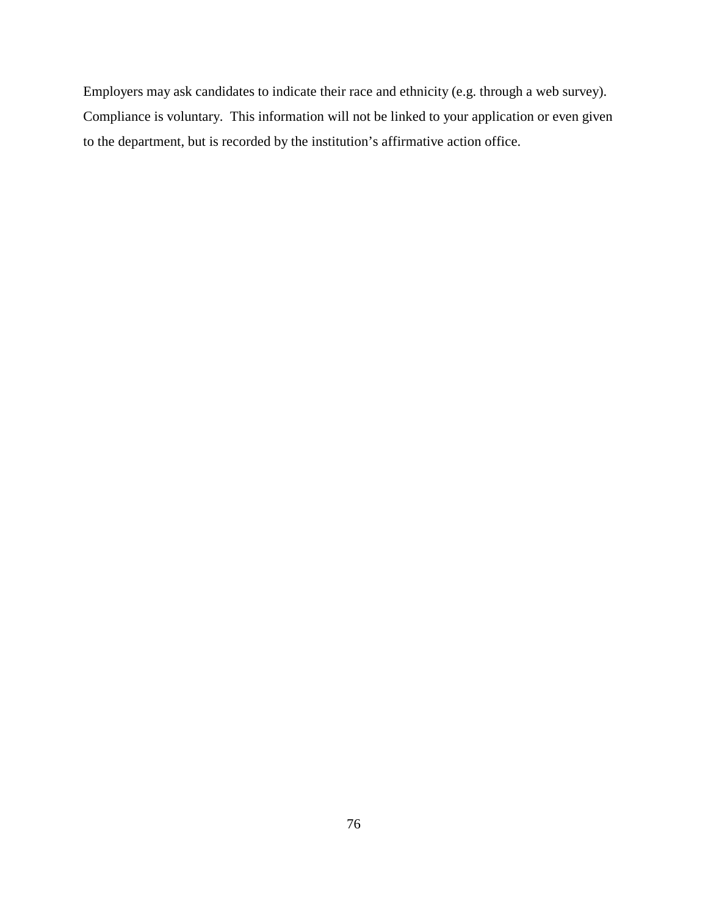Employers may ask candidates to indicate their race and ethnicity (e.g. through a web survey). Compliance is voluntary. This information will not be linked to your application or even given to the department, but is recorded by the institution's affirmative action office.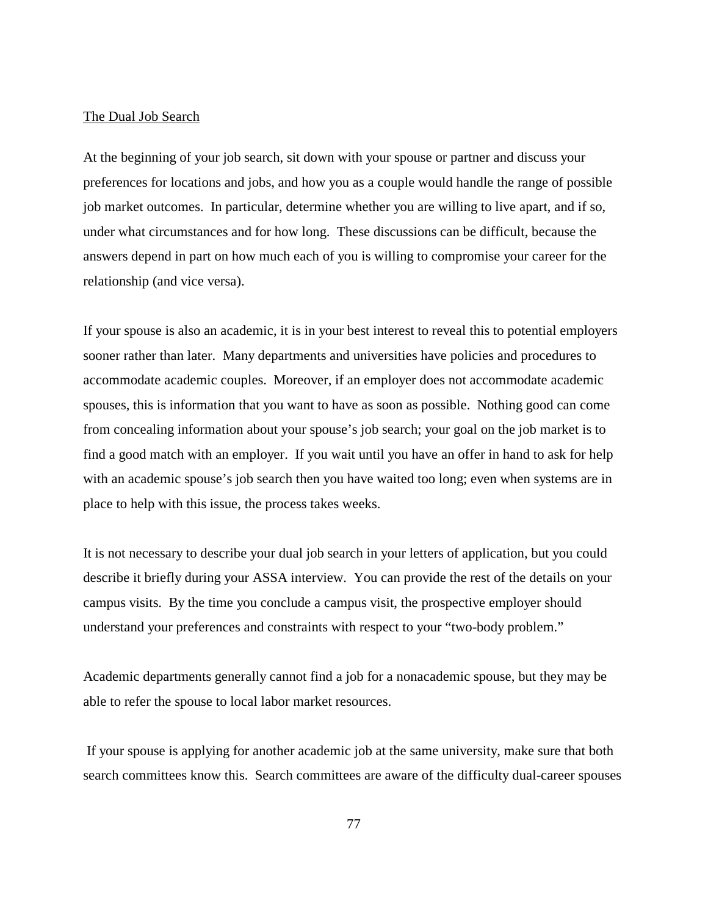## The Dual Job Search

At the beginning of your job search, sit down with your spouse or partner and discuss your preferences for locations and jobs, and how you as a couple would handle the range of possible job market outcomes. In particular, determine whether you are willing to live apart, and if so, under what circumstances and for how long. These discussions can be difficult, because the answers depend in part on how much each of you is willing to compromise your career for the relationship (and vice versa).

If your spouse is also an academic, it is in your best interest to reveal this to potential employers sooner rather than later. Many departments and universities have policies and procedures to accommodate academic couples. Moreover, if an employer does not accommodate academic spouses, this is information that you want to have as soon as possible. Nothing good can come from concealing information about your spouse's job search; your goal on the job market is to find a good match with an employer. If you wait until you have an offer in hand to ask for help with an academic spouse's job search then you have waited too long; even when systems are in place to help with this issue, the process takes weeks.

It is not necessary to describe your dual job search in your letters of application, but you could describe it briefly during your ASSA interview. You can provide the rest of the details on your campus visits. By the time you conclude a campus visit, the prospective employer should understand your preferences and constraints with respect to your "two-body problem."

Academic departments generally cannot find a job for a nonacademic spouse, but they may be able to refer the spouse to local labor market resources.

If your spouse is applying for another academic job at the same university, make sure that both search committees know this. Search committees are aware of the difficulty dual-career spouses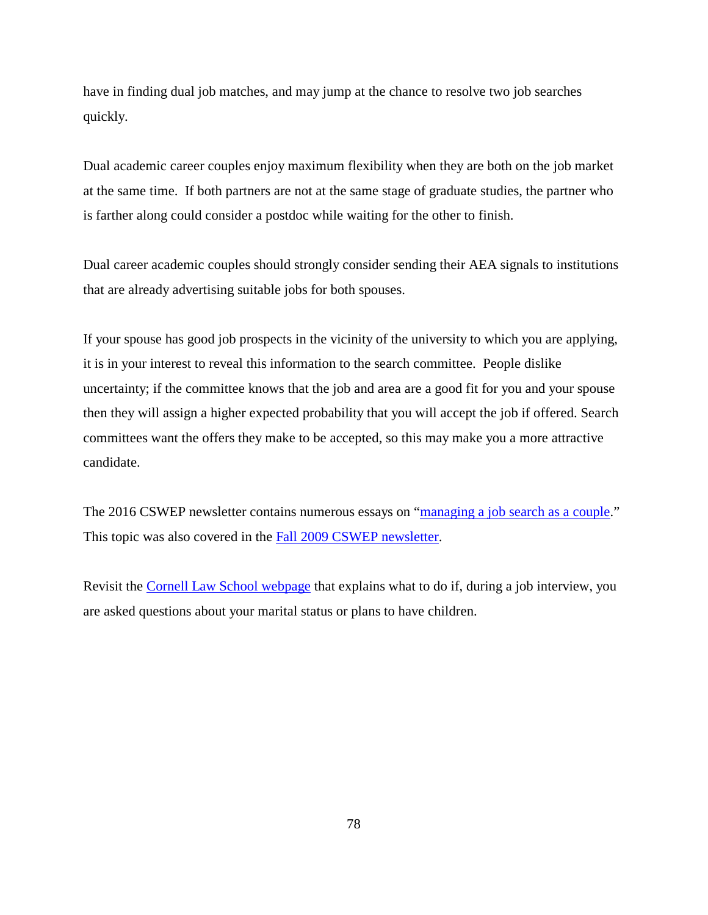have in finding dual job matches, and may jump at the chance to resolve two job searches quickly.

Dual academic career couples enjoy maximum flexibility when they are both on the job market at the same time. If both partners are not at the same stage of graduate studies, the partner who is farther along could consider a postdoc while waiting for the other to finish.

Dual career academic couples should strongly consider sending their AEA signals to institutions that are already advertising suitable jobs for both spouses.

If your spouse has good job prospects in the vicinity of the university to which you are applying, it is in your interest to reveal this information to the search committee. People dislike uncertainty; if the committee knows that the job and area are a good fit for you and your spouse then they will assign a higher expected probability that you will accept the job if offered. Search committees want the offers they make to be accepted, so this may make you a more attractive candidate.

The 2016 CSWEP newsletter contains numerous essays on ["managing a job search as a couple.](https://www.aeaweb.org/content/file?id=2327)" This topic was also covered in the **Fall 2009 CSWEP** newsletter.

Revisit the [Cornell Law School webpage](http://www.lawschool.cornell.edu/careers/students/interview/ill_questions.cfm) that explains what to do if, during a job interview, you are asked questions about your marital status or plans to have children.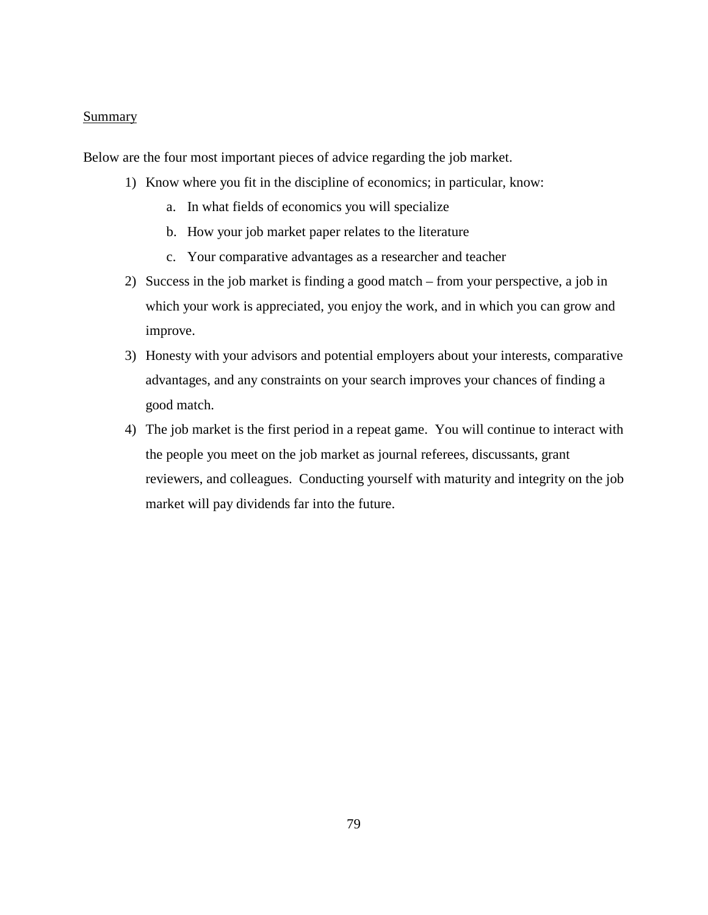## **Summary**

Below are the four most important pieces of advice regarding the job market.

- 1) Know where you fit in the discipline of economics; in particular, know:
	- a. In what fields of economics you will specialize
	- b. How your job market paper relates to the literature
	- c. Your comparative advantages as a researcher and teacher
- 2) Success in the job market is finding a good match from your perspective, a job in which your work is appreciated, you enjoy the work, and in which you can grow and improve.
- 3) Honesty with your advisors and potential employers about your interests, comparative advantages, and any constraints on your search improves your chances of finding a good match.
- 4) The job market is the first period in a repeat game. You will continue to interact with the people you meet on the job market as journal referees, discussants, grant reviewers, and colleagues. Conducting yourself with maturity and integrity on the job market will pay dividends far into the future.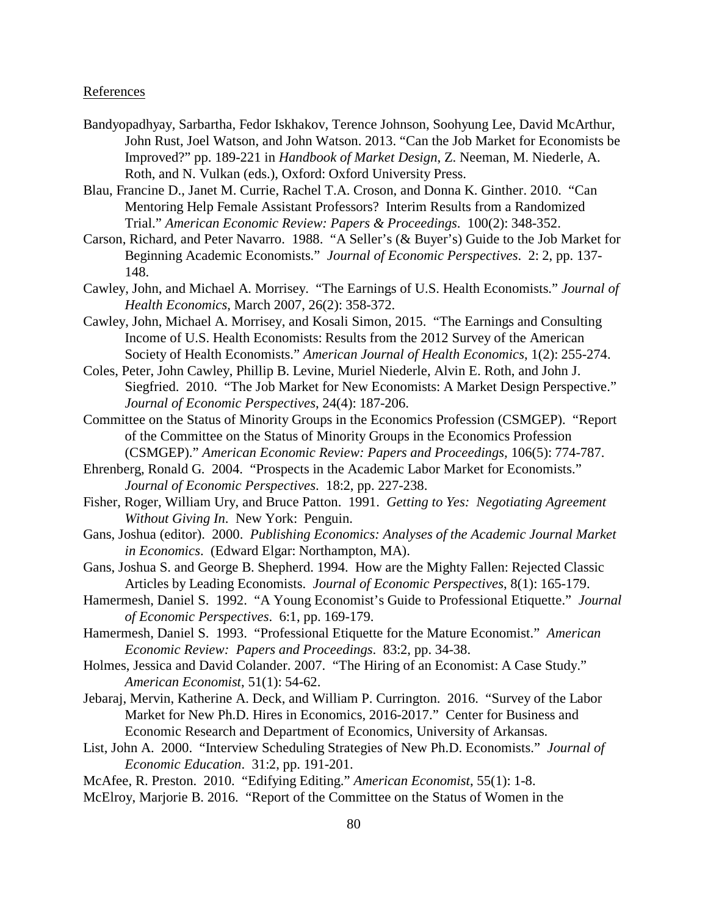## References

- Bandyopadhyay, Sarbartha, Fedor Iskhakov, Terence Johnson, Soohyung Lee, David McArthur, John Rust, Joel Watson, and John Watson. 2013. "Can the Job Market for Economists be Improved?" pp. 189-221 in *Handbook of Market Design*, Z. Neeman, M. Niederle, A. Roth, and N. Vulkan (eds.), Oxford: Oxford University Press.
- Blau, Francine D., Janet M. Currie, Rachel T.A. Croson, and Donna K. Ginther. 2010. "Can Mentoring Help Female Assistant Professors? Interim Results from a Randomized Trial." *American Economic Review: Papers & Proceedings*. 100(2): 348-352.
- Carson, Richard, and Peter Navarro. 1988. "A Seller's (& Buyer's) Guide to the Job Market for Beginning Academic Economists." *Journal of Economic Perspectives*. 2: 2, pp. 137- 148.
- Cawley, John, and Michael A. Morrisey. "The Earnings of U.S. Health Economists." *Journal of Health Economics*, March 2007, 26(2): 358-372.
- Cawley, John, Michael A. Morrisey, and Kosali Simon, 2015. "The Earnings and Consulting Income of U.S. Health Economists: Results from the 2012 Survey of the American Society of Health Economists." *American Journal of Health Economics*, 1(2): 255-274.
- Coles, Peter, John Cawley, Phillip B. Levine, Muriel Niederle, Alvin E. Roth, and John J. Siegfried. 2010. "The Job Market for New Economists: A Market Design Perspective." *Journal of Economic Perspectives*, 24(4): 187-206.
- Committee on the Status of Minority Groups in the Economics Profession (CSMGEP). "Report of the Committee on the Status of Minority Groups in the Economics Profession (CSMGEP)." *American Economic Review: Papers and Proceedings,* 106(5): 774-787.
- Ehrenberg, Ronald G. 2004. "Prospects in the Academic Labor Market for Economists." *Journal of Economic Perspectives*. 18:2, pp. 227-238.
- Fisher, Roger, William Ury, and Bruce Patton. 1991. *Getting to Yes: Negotiating Agreement Without Giving In*. New York: Penguin.
- Gans, Joshua (editor). 2000. *Publishing Economics: Analyses of the Academic Journal Market in Economics*. (Edward Elgar: Northampton, MA).
- Gans, Joshua S. and George B. Shepherd. 1994. How are the Mighty Fallen: Rejected Classic Articles by Leading Economists. *Journal of Economic Perspectives*, 8(1): 165-179.
- Hamermesh, Daniel S. 1992. "A Young Economist's Guide to Professional Etiquette." *Journal of Economic Perspectives*. 6:1, pp. 169-179.
- Hamermesh, Daniel S. 1993. "Professional Etiquette for the Mature Economist." *American Economic Review: Papers and Proceedings*. 83:2, pp. 34-38.
- Holmes, Jessica and David Colander. 2007. "The Hiring of an Economist: A Case Study." *American Economist*, 51(1): 54-62.
- Jebaraj, Mervin, Katherine A. Deck, and William P. Currington. 2016. "Survey of the Labor Market for New Ph.D. Hires in Economics, 2016-2017." Center for Business and Economic Research and Department of Economics, University of Arkansas.
- List, John A. 2000. "Interview Scheduling Strategies of New Ph.D. Economists." *Journal of Economic Education*. 31:2, pp. 191-201.

McAfee, R. Preston. 2010. "Edifying Editing." *American Economist*, 55(1): 1-8.

McElroy, Marjorie B. 2016. "Report of the Committee on the Status of Women in the